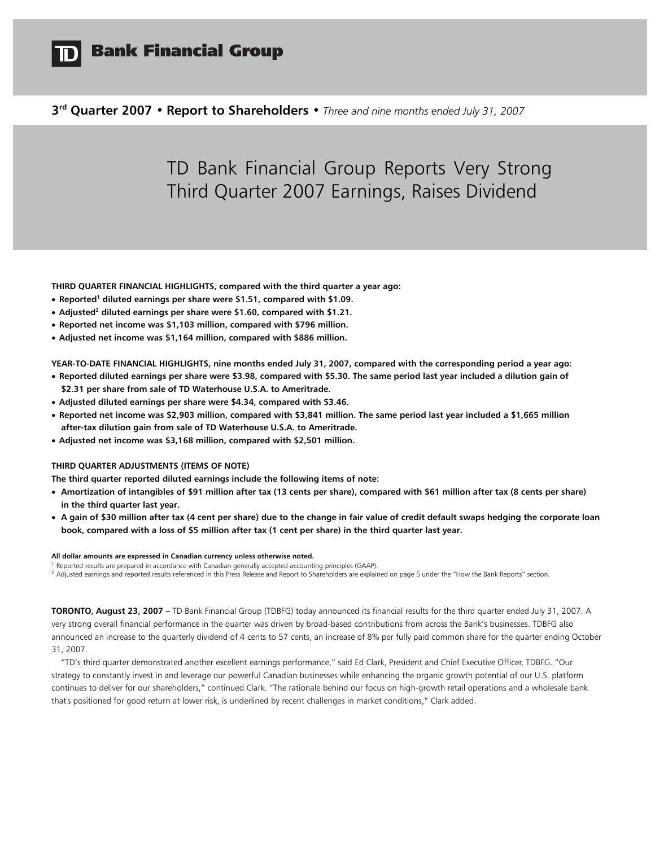

# **Bank Financial Group**

**3rd Quarter 2007 • Report to Shareholders •** *Three and nine months ended July 31, 2007*

# TD Bank Financial Group Reports Very Strong Third Quarter 2007 Earnings, Raises Dividend

**THIRD QUARTER FINANCIAL HIGHLIGHTS, compared with the third quarter a year ago:** 

- **Reported<sup>1</sup> diluted earnings per share were \$1.51, compared with \$1.09.**
- **Adjusted2 diluted earnings per share were \$1.60, compared with \$1.21.**
- **Reported net income was \$1,103 million, compared with \$796 million.**
- **Adjusted net income was \$1,164 million, compared with \$886 million.**

**YEAR-TO-DATE FINANCIAL HIGHLIGHTS, nine months ended July 31, 2007, compared with the corresponding period a year ago:** 

- **Reported diluted earnings per share were \$3.98, compared with \$5.30. The same period last year included a dilution gain of \$2.31 per share from sale of TD Waterhouse U.S.A. to Ameritrade.**
- **Adjusted diluted earnings per share were \$4.34, compared with \$3.46.**
- **Reported net income was \$2,903 million, compared with \$3,841 million. The same period last year included a \$1,665 million after-tax dilution gain from sale of TD Waterhouse U.S.A. to Ameritrade.**
- **Adjusted net income was \$3,168 million, compared with \$2,501 million.**

#### **THIRD QUARTER ADJUSTMENTS (ITEMS OF NOTE)**

**The third quarter reported diluted earnings include the following items of note:** 

- **Amortization of intangibles of \$91 million after tax (13 cents per share), compared with \$61 million after tax (8 cents per share) in the third quarter last year.**
- **A gain of \$30 million after tax (4 cent per share) due to the change in fair value of credit default swaps hedging the corporate loan book, compared with a loss of \$5 million after tax (1 cent per share) in the third quarter last year.**

#### **All dollar amounts are expressed in Canadian currency unless otherwise noted.**

<sup>1</sup> Reported results are prepared in accordance with Canadian generally accepted accounting principles (GAAP).

<sup>2</sup> Adjusted earnings and reported results referenced in this Press Release and Report to Shareholders are explained on page 5 under the "How the Bank Reports" section.

**TORONTO, August 23, 2007 –** TD Bank Financial Group (TDBFG) today announced its financial results for the third quarter ended July 31, 2007. A very strong overall financial performance in the quarter was driven by broad-based contributions from across the Bank's businesses. TDBFG also announced an increase to the quarterly dividend of 4 cents to 57 cents, an increase of 8% per fully paid common share for the quarter ending October 31, 2007.

"TD's third quarter demonstrated another excellent earnings performance," said Ed Clark, President and Chief Executive Officer, TDBFG. "Our strategy to constantly invest in and leverage our powerful Canadian businesses while enhancing the organic growth potential of our U.S. platform continues to deliver for our shareholders," continued Clark. "The rationale behind our focus on high-growth retail operations and a wholesale bank that's positioned for good return at lower risk, is underlined by recent challenges in market conditions," Clark added.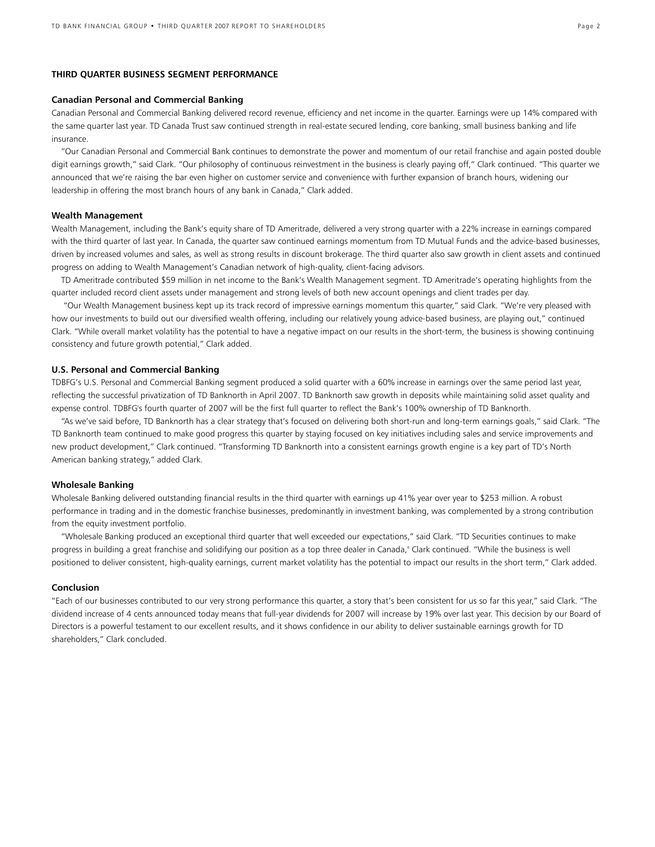### **THIRD QUARTER BUSINESS SEGMENT PERFORMANCE**

### **Canadian Personal and Commercial Banking**

Canadian Personal and Commercial Banking delivered record revenue, efficiency and net income in the quarter. Earnings were up 14% compared with the same quarter last year. TD Canada Trust saw continued strength in real-estate secured lending, core banking, small business banking and life insurance.

"Our Canadian Personal and Commercial Bank continues to demonstrate the power and momentum of our retail franchise and again posted double digit earnings growth," said Clark. "Our philosophy of continuous reinvestment in the business is clearly paying off," Clark continued. "This quarter we announced that we're raising the bar even higher on customer service and convenience with further expansion of branch hours, widening our leadership in offering the most branch hours of any bank in Canada," Clark added.

#### **Wealth Management**

Wealth Management, including the Bank's equity share of TD Ameritrade, delivered a very strong quarter with a 22% increase in earnings compared with the third quarter of last year. In Canada, the quarter saw continued earnings momentum from TD Mutual Funds and the advice-based businesses, driven by increased volumes and sales, as well as strong results in discount brokerage. The third quarter also saw growth in client assets and continued progress on adding to Wealth Management's Canadian network of high-quality, client-facing advisors.

TD Ameritrade contributed \$59 million in net income to the Bank's Wealth Management segment. TD Ameritrade's operating highlights from the quarter included record client assets under management and strong levels of both new account openings and client trades per day.

 "Our Wealth Management business kept up its track record of impressive earnings momentum this quarter," said Clark. "We're very pleased with how our investments to build out our diversified wealth offering, including our relatively young advice-based business, are playing out," continued Clark. "While overall market volatility has the potential to have a negative impact on our results in the short-term, the business is showing continuing consistency and future growth potential," Clark added.

#### **U.S. Personal and Commercial Banking**

TDBFG's U.S. Personal and Commercial Banking segment produced a solid quarter with a 60% increase in earnings over the same period last year, reflecting the successful privatization of TD Banknorth in April 2007. TD Banknorth saw growth in deposits while maintaining solid asset quality and expense control. TDBFG's fourth quarter of 2007 will be the first full quarter to reflect the Bank's 100% ownership of TD Banknorth.

"As we've said before, TD Banknorth has a clear strategy that's focused on delivering both short-run and long-term earnings goals," said Clark. "The TD Banknorth team continued to make good progress this quarter by staying focused on key initiatives including sales and service improvements and new product development," Clark continued. "Transforming TD Banknorth into a consistent earnings growth engine is a key part of TD's North American banking strategy," added Clark.

#### **Wholesale Banking**

Wholesale Banking delivered outstanding financial results in the third quarter with earnings up 41% year over year to \$253 million. A robust performance in trading and in the domestic franchise businesses, predominantly in investment banking, was complemented by a strong contribution from the equity investment portfolio.

"Wholesale Banking produced an exceptional third quarter that well exceeded our expectations," said Clark. "TD Securities continues to make progress in building a great franchise and solidifying our position as a top three dealer in Canada," Clark continued. "While the business is well positioned to deliver consistent, high-quality earnings, current market volatility has the potential to impact our results in the short term," Clark added.

#### **Conclusion**

"Each of our businesses contributed to our very strong performance this quarter, a story that's been consistent for us so far this year," said Clark. "The dividend increase of 4 cents announced today means that full-year dividends for 2007 will increase by 19% over last year. This decision by our Board of Directors is a powerful testament to our excellent results, and it shows confidence in our ability to deliver sustainable earnings growth for TD shareholders," Clark concluded.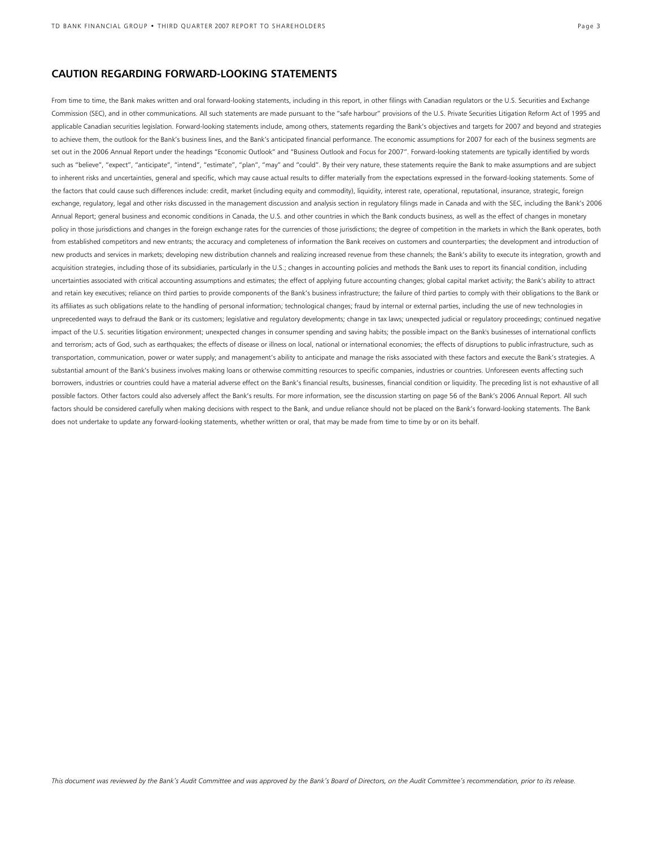### **CAUTION REGARDING FORWARD-LOOKING STATEMENTS**

From time to time, the Bank makes written and oral forward-looking statements, including in this report, in other filings with Canadian regulators or the U.S. Securities and Exchange Commission (SEC), and in other communications. All such statements are made pursuant to the "safe harbour" provisions of the U.S. Private Securities Litigation Reform Act of 1995 and applicable Canadian securities legislation. Forward-looking statements include, among others, statements regarding the Bank's objectives and targets for 2007 and beyond and strategies to achieve them, the outlook for the Bank's business lines, and the Bank's anticipated financial performance. The economic assumptions for 2007 for each of the business segments are set out in the 2006 Annual Report under the headings "Economic Outlook" and "Business Outlook and Focus for 2007". Forward-looking statements are typically identified by words such as "believe", "expect", "anticipate", "intend", "estimate", "plan", "may" and "could". By their very nature, these statements require the Bank to make assumptions and are subject to inherent risks and uncertainties, general and specific, which may cause actual results to differ materially from the expectations expressed in the forward-looking statements. Some of the factors that could cause such differences include: credit, market (including equity and commodity), liquidity, interest rate, operational, reputational, insurance, strategic, foreign exchange, regulatory, legal and other risks discussed in the management discussion and analysis section in regulatory filings made in Canada and with the SEC, including the Bank's 2006 Annual Report; general business and economic conditions in Canada, the U.S. and other countries in which the Bank conducts business, as well as the effect of changes in monetary policy in those jurisdictions and changes in the foreign exchange rates for the currencies of those jurisdictions; the degree of competition in the markets in which the Bank operates, both from established competitors and new entrants; the accuracy and completeness of information the Bank receives on customers and counterparties; the development and introduction of new products and services in markets; developing new distribution channels and realizing increased revenue from these channels; the Bank's ability to execute its integration, growth and acquisition strategies, including those of its subsidiaries, particularly in the U.S.; changes in accounting policies and methods the Bank uses to report its financial condition, including uncertainties associated with critical accounting assumptions and estimates; the effect of applying future accounting changes; global capital market activity; the Bank's ability to attract and retain key executives; reliance on third parties to provide components of the Bank's business infrastructure; the failure of third parties to comply with their obligations to the Bank or its affiliates as such obligations relate to the handling of personal information; technological changes; fraud by internal or external parties, including the use of new technologies in unprecedented ways to defraud the Bank or its customers; legislative and regulatory developments; change in tax laws; unexpected judicial or regulatory proceedings; continued negative impact of the U.S. securities litigation environment; unexpected changes in consumer spending and saving habits; the possible impact on the Bank's businesses of international conflicts and terrorism; acts of God, such as earthquakes; the effects of disease or illness on local, national or international economies; the effects of disruptions to public infrastructure, such as transportation, communication, power or water supply; and management's ability to anticipate and manage the risks associated with these factors and execute the Bank's strategies. A substantial amount of the Bank's business involves making loans or otherwise committing resources to specific companies, industries or countries. Unforeseen events affecting such borrowers, industries or countries could have a material adverse effect on the Bank's financial results, businesses, financial condition or liquidity. The preceding list is not exhaustive of all possible factors. Other factors could also adversely affect the Bank's results. For more information, see the discussion starting on page 56 of the Bank's 2006 Annual Report. All such factors should be considered carefully when making decisions with respect to the Bank, and undue reliance should not be placed on the Bank's forward-looking statements. The Bank does not undertake to update any forward-looking statements, whether written or oral, that may be made from time to time by or on its behalf.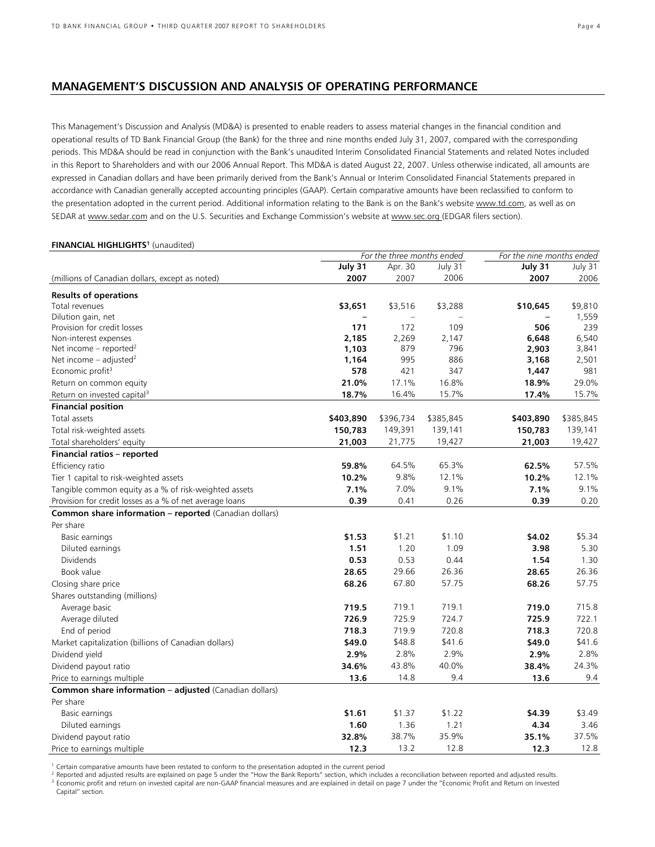### **MANAGEMENT'S DISCUSSION AND ANALYSIS OF OPERATING PERFORMANCE**

This Management's Discussion and Analysis (MD&A) is presented to enable readers to assess material changes in the financial condition and operational results of TD Bank Financial Group (the Bank) for the three and nine months ended July 31, 2007, compared with the corresponding periods. This MD&A should be read in conjunction with the Bank's unaudited Interim Consolidated Financial Statements and related Notes included in this Report to Shareholders and with our 2006 Annual Report. This MD&A is dated August 22, 2007. Unless otherwise indicated, all amounts are expressed in Canadian dollars and have been primarily derived from the Bank's Annual or Interim Consolidated Financial Statements prepared in accordance with Canadian generally accepted accounting principles (GAAP). Certain comparative amounts have been reclassified to conform to the presentation adopted in the current period. Additional information relating to the Bank is on the Bank's website www.td.com, as well as on SEDAR at www.sedar.com and on the U.S. Securities and Exchange Commission's website at www.sec.org (EDGAR filers section).

#### **FINANCIAL HIGHLIGHTS1** (unaudited)

|                                                         | For the three months ended |           |           | For the nine months ended |           |
|---------------------------------------------------------|----------------------------|-----------|-----------|---------------------------|-----------|
|                                                         | July 31                    | Apr. 30   | July 31   | July 31                   | July 31   |
| (millions of Canadian dollars, except as noted)         | 2007                       | 2007      | 2006      | 2007                      | 2006      |
| <b>Results of operations</b>                            |                            |           |           |                           |           |
| Total revenues                                          | \$3,651                    | \$3,516   | \$3,288   | \$10,645                  | \$9,810   |
| Dilution gain, net                                      |                            | $\sim$    |           |                           | 1,559     |
| Provision for credit losses                             | 171                        | 172       | 109       | 506                       | 239       |
| Non-interest expenses                                   | 2,185                      | 2,269     | 2,147     | 6,648                     | 6,540     |
| Net income – reported <sup>2</sup>                      | 1,103                      | 879       | 796       | 2,903                     | 3,841     |
| Net income $-$ adjusted <sup>2</sup>                    | 1,164                      | 995       | 886       | 3,168                     | 2,501     |
| Economic profit <sup>3</sup>                            | 578                        | 421       | 347       | 1,447                     | 981       |
| Return on common equity                                 | 21.0%                      | 17.1%     | 16.8%     | 18.9%                     | 29.0%     |
| Return on invested capital <sup>3</sup>                 | 18.7%                      | 16.4%     | 15.7%     | 17.4%                     | 15.7%     |
| <b>Financial position</b>                               |                            |           |           |                           |           |
| Total assets                                            | \$403,890                  | \$396,734 | \$385,845 | \$403,890                 | \$385,845 |
| Total risk-weighted assets                              | 150,783                    | 149,391   | 139,141   | 150,783                   | 139,141   |
| Total shareholders' equity                              | 21,003                     | 21,775    | 19,427    | 21,003                    | 19,427    |
| Financial ratios - reported                             |                            |           |           |                           |           |
| Efficiency ratio                                        | 59.8%                      | 64.5%     | 65.3%     | 62.5%                     | 57.5%     |
| Tier 1 capital to risk-weighted assets                  | 10.2%                      | 9.8%      | 12.1%     | 10.2%                     | 12.1%     |
| Tangible common equity as a % of risk-weighted assets   | 7.1%                       | 7.0%      | 9.1%      | 7.1%                      | 9.1%      |
| Provision for credit losses as a % of net average loans | 0.39                       | 0.41      | 0.26      | 0.39                      | 0.20      |
| Common share information - reported (Canadian dollars)  |                            |           |           |                           |           |
| Per share                                               |                            |           |           |                           |           |
| Basic earnings                                          | \$1.53                     | \$1.21    | \$1.10    | \$4.02                    | \$5.34    |
| Diluted earnings                                        | 1.51                       | 1.20      | 1.09      | 3.98                      | 5.30      |
| <b>Dividends</b>                                        | 0.53                       | 0.53      | 0.44      | 1.54                      | 1.30      |
| Book value                                              | 28.65                      | 29.66     | 26.36     | 28.65                     | 26.36     |
| Closing share price                                     | 68.26                      | 67.80     | 57.75     | 68.26                     | 57.75     |
| Shares outstanding (millions)                           |                            |           |           |                           |           |
| Average basic                                           | 719.5                      | 719.1     | 719.1     | 719.0                     | 715.8     |
| Average diluted                                         | 726.9                      | 725.9     | 724.7     | 725.9                     | 722.1     |
| End of period                                           | 718.3                      | 719.9     | 720.8     | 718.3                     | 720.8     |
| Market capitalization (billions of Canadian dollars)    | \$49.0                     | \$48.8    | \$41.6    | \$49.0                    | \$41.6    |
| Dividend yield                                          | 2.9%                       | 2.8%      | 2.9%      | 2.9%                      | 2.8%      |
| Dividend payout ratio                                   | 34.6%                      | 43.8%     | 40.0%     | 38.4%                     | 24.3%     |
| Price to earnings multiple                              | 13.6                       | 14.8      | 9.4       | 13.6                      | 9.4       |
| Common share information - adjusted (Canadian dollars)  |                            |           |           |                           |           |
| Per share                                               |                            |           |           |                           |           |
| Basic earnings                                          | \$1.61                     | \$1.37    | \$1.22    | \$4.39                    | \$3.49    |
| Diluted earnings                                        | 1.60                       | 1.36      | 1.21      | 4.34                      | 3.46      |
| Dividend payout ratio                                   | 32.8%                      | 38.7%     | 35.9%     | 35.1%                     | 37.5%     |
| Price to earnings multiple                              | 12.3                       | 13.2      | 12.8      | 12.3                      | 12.8      |

<sup>1</sup> Certain comparative amounts have been restated to conform to the presentation adopted in the current period<br><sup>2</sup> Reported and adjusted results are explained on page 5 under the "How the Bank Reports" section, which inc <sup>3</sup> Economic profit and return on invested capital are non-GAAP financial measures and are explained in detail on page 7 under the "Economic Profit and Return on Invested Capital" section.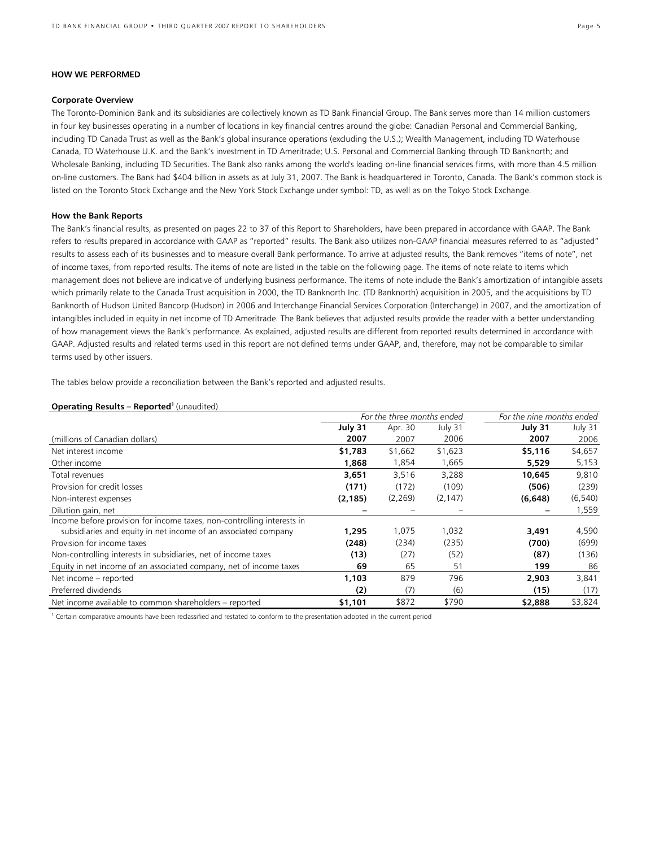### **HOW WE PERFORMED**

#### **Corporate Overview**

The Toronto-Dominion Bank and its subsidiaries are collectively known as TD Bank Financial Group. The Bank serves more than 14 million customers in four key businesses operating in a number of locations in key financial centres around the globe: Canadian Personal and Commercial Banking, including TD Canada Trust as well as the Bank's global insurance operations (excluding the U.S.); Wealth Management, including TD Waterhouse Canada, TD Waterhouse U.K. and the Bank's investment in TD Ameritrade; U.S. Personal and Commercial Banking through TD Banknorth; and Wholesale Banking, including TD Securities. The Bank also ranks among the world's leading on-line financial services firms, with more than 4.5 million on-line customers. The Bank had \$404 billion in assets as at July 31, 2007. The Bank is headquartered in Toronto, Canada. The Bank's common stock is listed on the Toronto Stock Exchange and the New York Stock Exchange under symbol: TD, as well as on the Tokyo Stock Exchange.

#### **How the Bank Reports**

The Bank's financial results, as presented on pages 22 to 37 of this Report to Shareholders, have been prepared in accordance with GAAP. The Bank refers to results prepared in accordance with GAAP as "reported" results. The Bank also utilizes non-GAAP financial measures referred to as "adjusted" results to assess each of its businesses and to measure overall Bank performance. To arrive at adjusted results, the Bank removes "items of note", net of income taxes, from reported results. The items of note are listed in the table on the following page. The items of note relate to items which management does not believe are indicative of underlying business performance. The items of note include the Bank's amortization of intangible assets which primarily relate to the Canada Trust acquisition in 2000, the TD Banknorth Inc. (TD Banknorth) acquisition in 2005, and the acquisitions by TD Banknorth of Hudson United Bancorp (Hudson) in 2006 and Interchange Financial Services Corporation (Interchange) in 2007, and the amortization of intangibles included in equity in net income of TD Ameritrade. The Bank believes that adjusted results provide the reader with a better understanding of how management views the Bank's performance. As explained, adjusted results are different from reported results determined in accordance with GAAP. Adjusted results and related terms used in this report are not defined terms under GAAP, and, therefore, may not be comparable to similar terms used by other issuers.

The tables below provide a reconciliation between the Bank's reported and adjusted results.

#### **Operating Results – Reported1** (unaudited)

|                                                                                                                                          | For the three months ended |          |          | For the nine months ended |          |  |
|------------------------------------------------------------------------------------------------------------------------------------------|----------------------------|----------|----------|---------------------------|----------|--|
|                                                                                                                                          | July 31                    | Apr. 30  | July 31  | July 31                   | July 31  |  |
| (millions of Canadian dollars)                                                                                                           | 2007                       | 2007     | 2006     | 2007                      | 2006     |  |
| Net interest income                                                                                                                      | \$1,783                    | \$1,662  | \$1,623  | \$5,116                   | \$4,657  |  |
| Other income                                                                                                                             | 1,868                      | 1,854    | 1,665    | 5,529                     | 5,153    |  |
| Total revenues                                                                                                                           | 3,651                      | 3,516    | 3,288    | 10,645                    | 9,810    |  |
| Provision for credit losses                                                                                                              | (171)                      | (172)    | (109)    | (506)                     | (239)    |  |
| Non-interest expenses                                                                                                                    | (2, 185)                   | (2, 269) | (2, 147) | (6, 648)                  | (6, 540) |  |
| Dilution gain, net                                                                                                                       |                            |          |          |                           | 1,559    |  |
| Income before provision for income taxes, non-controlling interests in<br>subsidiaries and equity in net income of an associated company | 1,295                      | 1,075    | 1,032    | 3,491                     | 4,590    |  |
| Provision for income taxes                                                                                                               | (248)                      | (234)    | (235)    | (700)                     | (699)    |  |
| Non-controlling interests in subsidiaries, net of income taxes                                                                           | (13)                       | (27)     | (52)     | (87)                      | (136)    |  |
| Equity in net income of an associated company, net of income taxes                                                                       | 69                         | 65       | 51       | 199                       | 86       |  |
| Net income – reported                                                                                                                    | 1,103                      | 879      | 796      | 2,903                     | 3,841    |  |
| Preferred dividends                                                                                                                      | (2)                        | (7)      | (6)      | (15)                      | (17)     |  |
| Net income available to common shareholders - reported                                                                                   | \$1,101                    | \$872    | \$790    | \$2,888                   | \$3,824  |  |

<sup>1</sup> Certain comparative amounts have been reclassified and restated to conform to the presentation adopted in the current period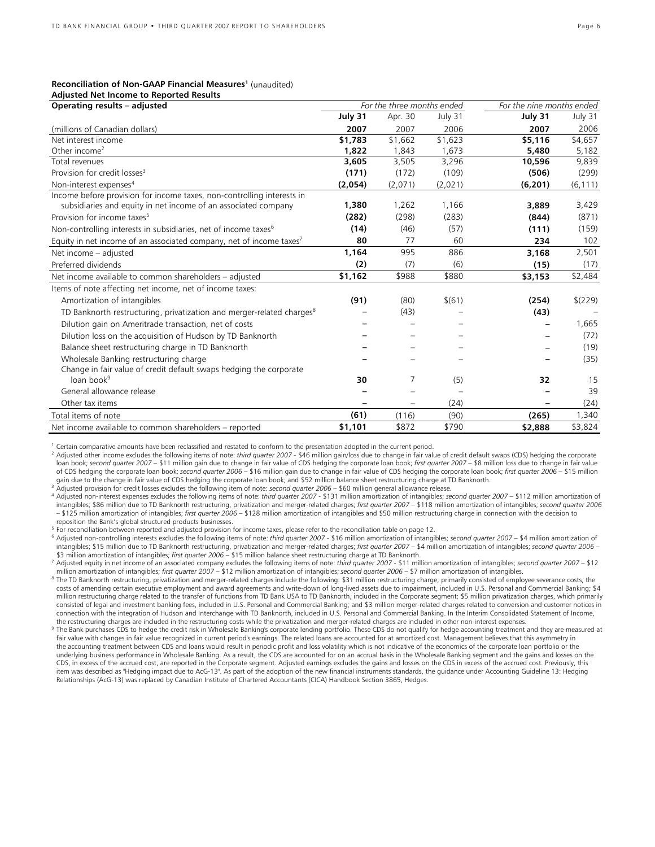#### **Reconciliation of Non-GAAP Financial Measures<sup>1</sup> (unaudited) Adjusted Net Income to Reported Results**

| Operating results - adjusted                                                      | For the three months ended |         |         | For the nine months ended |          |  |
|-----------------------------------------------------------------------------------|----------------------------|---------|---------|---------------------------|----------|--|
|                                                                                   | July 31                    | Apr. 30 | July 31 | July 31                   | July 31  |  |
| (millions of Canadian dollars)                                                    | 2007                       | 2007    | 2006    | 2007                      | 2006     |  |
| Net interest income                                                               | \$1,783                    | \$1.662 | \$1,623 | \$5,116                   | \$4,657  |  |
| Other income <sup>2</sup>                                                         | 1,822                      | 1,843   | 1,673   | 5,480                     | 5,182    |  |
| Total revenues                                                                    | 3,605                      | 3,505   | 3,296   | 10,596                    | 9,839    |  |
| Provision for credit losses <sup>3</sup>                                          | (171)                      | (172)   | (109)   | (506)                     | (299)    |  |
| Non-interest expenses <sup>4</sup>                                                | (2,054)                    | (2,071) | (2,021) | (6, 201)                  | (6, 111) |  |
| Income before provision for income taxes, non-controlling interests in            |                            |         |         |                           |          |  |
| subsidiaries and equity in net income of an associated company                    | 1,380                      | 1,262   | 1,166   | 3,889                     | 3,429    |  |
| Provision for income taxes <sup>5</sup>                                           | (282)                      | (298)   | (283)   | (844)                     | (871)    |  |
| Non-controlling interests in subsidiaries, net of income taxes <sup>6</sup>       | (14)                       | (46)    | (57)    | (111)                     | (159)    |  |
| Equity in net income of an associated company, net of income taxes <sup>7</sup>   | 80                         | 77      | 60      | 234                       | 102      |  |
| Net income - adjusted                                                             | 1,164                      | 995     | 886     | 3,168                     | 2,501    |  |
| Preferred dividends                                                               | (2)                        | (7)     | (6)     | (15)                      | (17)     |  |
| Net income available to common shareholders - adjusted                            | \$1,162                    | \$988   | \$880   | \$3,153                   | \$2,484  |  |
| Items of note affecting net income, net of income taxes:                          |                            |         |         |                           |          |  |
| Amortization of intangibles                                                       | (91)                       | (80)    | \$(61)  | (254)                     | \$(229)  |  |
| TD Banknorth restructuring, privatization and merger-related charges <sup>8</sup> |                            | (43)    |         | (43)                      |          |  |
| Dilution gain on Ameritrade transaction, net of costs                             |                            |         |         |                           | 1,665    |  |
| Dilution loss on the acquisition of Hudson by TD Banknorth                        |                            |         |         |                           | (72)     |  |
| Balance sheet restructuring charge in TD Banknorth                                |                            |         |         |                           | (19)     |  |
| Wholesale Banking restructuring charge                                            |                            |         |         |                           | (35)     |  |
| Change in fair value of credit default swaps hedging the corporate                |                            |         |         |                           |          |  |
| loan book <sup>9</sup>                                                            | 30                         | 7       | (5)     | 32                        | 15       |  |
| General allowance release                                                         |                            |         |         |                           | 39       |  |
| Other tax items                                                                   |                            | -       | (24)    |                           | (24)     |  |
| Total items of note                                                               | (61)                       | (116)   | (90)    | (265)                     | 1,340    |  |
| Net income available to common shareholders - reported                            | \$1,101                    | \$872   | \$790   | \$2,888                   | \$3,824  |  |

<sup>1</sup> Certain comparative amounts have been reclassified and restated to conform to the presentation adopted in the current period.

<sup>2</sup> Adjusted other income excludes the following items of note: *third quarter 2007* - \$46 million gain/loss due to change in fair value of credit default swaps (CDS) hedging the corporate loan book; *second quarter 2007 –* \$11 million gain due to change in fair value of CDS hedging the corporate loan book; *first quarter 2007 –* \$8 million loss due to change in fair value of CDS hedging the corporate loan book; *second quarter 2006 –* \$16 million gain due to change in fair value of CDS hedging the corporate loan book; *first quarter 2006 –* \$15 million gain due to the change in fair value of CDS hedging the corporate loan book; and \$52 million balance sheet restructuring charge at TD Banknorth.<br><sup>3</sup> Adjusted provision for credit losses excludes the following item of note:

intangibles; \$86 million due to TD Banknorth restructuring, privatization and merger-related charges; *first quarter 2007* – \$118 million amortization of intangibles; *second quarter 2006*  – \$125 million amortization of intangibles; *first quarter 2006* – \$128 million amortization of intangibles and \$50 million restructuring charge in connection with the decision to reposition the Bank's global structured products businesses.<br>For reconciliation between reported and adjusted provision for income taxes, please refer to the reconciliation table on page 12.

<sup>6</sup> Adjusted non-controlling interests excludes the following items of note: third quarter 2007 - \$16 million amortization of intangibles; second quarter 2007 - \$4 million amortization of intangibles; \$15 million due to TD Banknorth restructuring, privatization and merger-related charges; *first quarter 2007* – \$4 million amortization of intangibles; *second quarter 2006* –

\$3 million amortization of intangibles; *first quarter 2006* – \$15 million balance sheet restructuring charge at TD Banknorth.<br><sup>7</sup> Adjusted equity in net income of an associated company excludes the following items of note million amortization of intangibles; *first quarter 2007* – \$12 million amortization of intangibles; *second quarter 2006* – \$7 million amortization of intangibles.<br><sup>8</sup> The TD Banknorth restructuring, privatization and mer

costs of amending certain executive employment and award agreements and write-down of long-lived assets due to impairment, included in U.S. Personal and Commercial Banking; \$4 million restructuring charge related to the transfer of functions from TD Bank USA to TD Banknorth, included in the Corporate segment; \$5 million privatization charges, which primarily consisted of legal and investment banking fees, included in U.S. Personal and Commercial Banking; and \$3 million merger-related charges related to conversion and customer notices in connection with the integration of Hudson and Interchange with TD Banknorth, included in U.S. Personal and Commercial Banking. In the Interim Consolidated Statement of Income, the restructuring charges are included in othe

9 The Bank purchases CDS to hedge the credit risk in Wholesale Banking's corporate lending portfolio. These CDS do not qualify for hedge accounting treatment and they are measured at fair value with changes in fair value recognized in current period's earnings. The related loans are accounted for at amortized cost. Management believes that this asymmetry in the accounting treatment between CDS and loans would result in periodic profit and loss volatility which is not indicative of the economics of the corporate loan portfolio or the underlying business performance in Wholesale Banking. As a result, the CDS are accounted for on an accrual basis in the Wholesale Banking segment and the gains and losses on the CDS, in excess of the accrued cost, are reported in the Corporate segment. Adjusted earnings excludes the gains and losses on the CDS in excess of the accrued cost. Previously, this item was described as "Hedging impact due to AcG-13". As part of the adoption of the new financial instruments standards, the guidance under Accounting Guideline 13: Hedging Relationships (AcG-13) was replaced by Canadian Institute of Chartered Accountants (CICA) Handbook Section 3865, Hedges.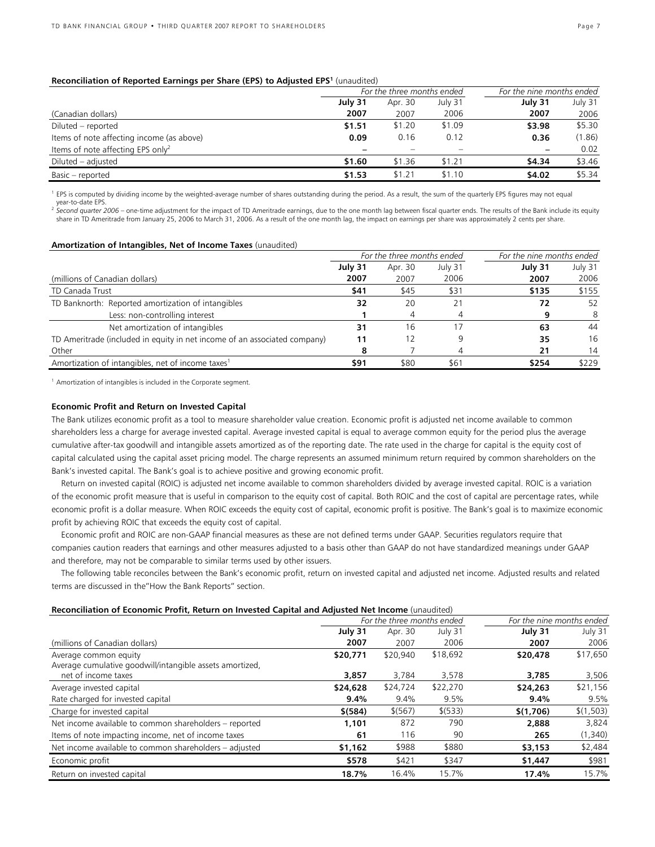#### **Reconciliation of Reported Earnings per Share (EPS) to Adjusted EPS<sup>1</sup> (unaudited)**

|                                               |         | For the three months ended |         | For the nine months ended |         |  |
|-----------------------------------------------|---------|----------------------------|---------|---------------------------|---------|--|
|                                               | July 31 | Apr. 30                    | July 31 | July 31                   | July 31 |  |
| (Canadian dollars)                            | 2007    | 2007                       | 2006    | 2007                      | 2006    |  |
| Diluted – reported                            | \$1.51  | \$1.20                     | \$1.09  | \$3.98                    | \$5.30  |  |
| Items of note affecting income (as above)     | 0.09    | 0.16                       | 0.12    | 0.36                      | (1.86)  |  |
| Items of note affecting EPS only <sup>2</sup> |         |                            |         | $\overline{\phantom{m}}$  | 0.02    |  |
| Diluted – adjusted                            | \$1.60  | \$1.36                     | \$1.21  | \$4.34                    | \$3.46  |  |
| Basic - reported                              | \$1.53  | \$1.21                     | \$1.10  | \$4.02                    | \$5.34  |  |

<sup>1</sup> EPS is computed by dividing income by the weighted-average number of shares outstanding during the period. As a result, the sum of the quarterly EPS figures may not equal year-to-date EPS.

<sup>2</sup> Second quarter 2006 – one-time adjustment for the impact of TD Ameritrade earnings, due to the one month lag between fiscal quarter ends. The results of the Bank include its equity share in TD Ameritrade from January 25, 2006 to March 31, 2006. As a result of the one month lag, the impact on earnings per share was approximately 2 cents per share.

#### **Amortization of Intangibles, Net of Income Taxes** (unaudited)

|                                                                           | For the three months ended |         |         | For the nine months ended |         |  |
|---------------------------------------------------------------------------|----------------------------|---------|---------|---------------------------|---------|--|
|                                                                           | July 31                    | Apr. 30 | July 31 | July 31                   | July 31 |  |
| (millions of Canadian dollars)                                            | 2007                       | 2007    | 2006    | 2007                      | 2006    |  |
| TD Canada Trust                                                           | \$41                       | \$45    | \$31    | \$135                     | \$155   |  |
| TD Banknorth: Reported amortization of intangibles                        | 32                         | 20      |         | 72                        | 52      |  |
| Less: non-controlling interest                                            |                            |         |         |                           | -8      |  |
| Net amortization of intangibles                                           | 31                         | 16      | 17      | 63                        | 44      |  |
| TD Ameritrade (included in equity in net income of an associated company) | 11                         | 2       | 9       | 35                        | 16      |  |
| Other                                                                     |                            |         |         | 21                        | 14      |  |
| Amortization of intangibles, net of income taxes <sup>1</sup>             | \$91                       | \$80    | \$61    | \$254                     | \$229   |  |

<sup>1</sup> Amortization of intangibles is included in the Corporate segment.

#### **Economic Profit and Return on Invested Capital**

The Bank utilizes economic profit as a tool to measure shareholder value creation. Economic profit is adjusted net income available to common shareholders less a charge for average invested capital. Average invested capital is equal to average common equity for the period plus the average cumulative after-tax goodwill and intangible assets amortized as of the reporting date. The rate used in the charge for capital is the equity cost of capital calculated using the capital asset pricing model. The charge represents an assumed minimum return required by common shareholders on the Bank's invested capital. The Bank's goal is to achieve positive and growing economic profit.

Return on invested capital (ROIC) is adjusted net income available to common shareholders divided by average invested capital. ROIC is a variation of the economic profit measure that is useful in comparison to the equity cost of capital. Both ROIC and the cost of capital are percentage rates, while economic profit is a dollar measure. When ROIC exceeds the equity cost of capital, economic profit is positive. The Bank's goal is to maximize economic profit by achieving ROIC that exceeds the equity cost of capital.

Economic profit and ROIC are non-GAAP financial measures as these are not defined terms under GAAP. Securities regulators require that companies caution readers that earnings and other measures adjusted to a basis other than GAAP do not have standardized meanings under GAAP and therefore, may not be comparable to similar terms used by other issuers.

The following table reconciles between the Bank's economic profit, return on invested capital and adjusted net income. Adjusted results and related terms are discussed in the"How the Bank Reports" section.

| Reconciliation of Economic Profit, Return on Invested Capital and Adjusted Net Income (unaudited) |  |
|---------------------------------------------------------------------------------------------------|--|
|---------------------------------------------------------------------------------------------------|--|

|                                                          | For the three months ended |          |          | For the nine months ended |           |  |
|----------------------------------------------------------|----------------------------|----------|----------|---------------------------|-----------|--|
|                                                          | July 31                    | Apr. 30  | July 31  | July 31                   | July 31   |  |
| (millions of Canadian dollars)                           | 2007                       | 2007     | 2006     | 2007                      | 2006      |  |
| Average common equity                                    | \$20,771                   | \$20,940 | \$18,692 | \$20,478                  | \$17,650  |  |
| Average cumulative goodwill/intangible assets amortized, |                            |          |          |                           |           |  |
| net of income taxes                                      | 3,857                      | 3,784    | 3,578    | 3,785                     | 3,506     |  |
| Average invested capital                                 | \$24,628                   | \$24,724 | \$22,270 | \$24,263                  | \$21,156  |  |
| Rate charged for invested capital                        | 9.4%                       | 9.4%     | 9.5%     | 9.4%                      | 9.5%      |  |
| Charge for invested capital                              | $$$ (584)                  | \$ (567) | \$ (533) | \$(1,706)                 | \$(1,503) |  |
| Net income available to common shareholders - reported   | 1,101                      | 872      | 790      | 2,888                     | 3,824     |  |
| Items of note impacting income, net of income taxes      | 61                         | 116      | 90       | 265                       | (1,340)   |  |
| Net income available to common shareholders – adjusted   | \$1,162                    | \$988    | \$880    | \$3,153                   | \$2,484   |  |
| Economic profit                                          | \$578                      | \$421    | \$347    | \$1,447                   | \$981     |  |
| Return on invested capital                               | 18.7%                      | 16.4%    | 15.7%    | 17.4%                     | 15.7%     |  |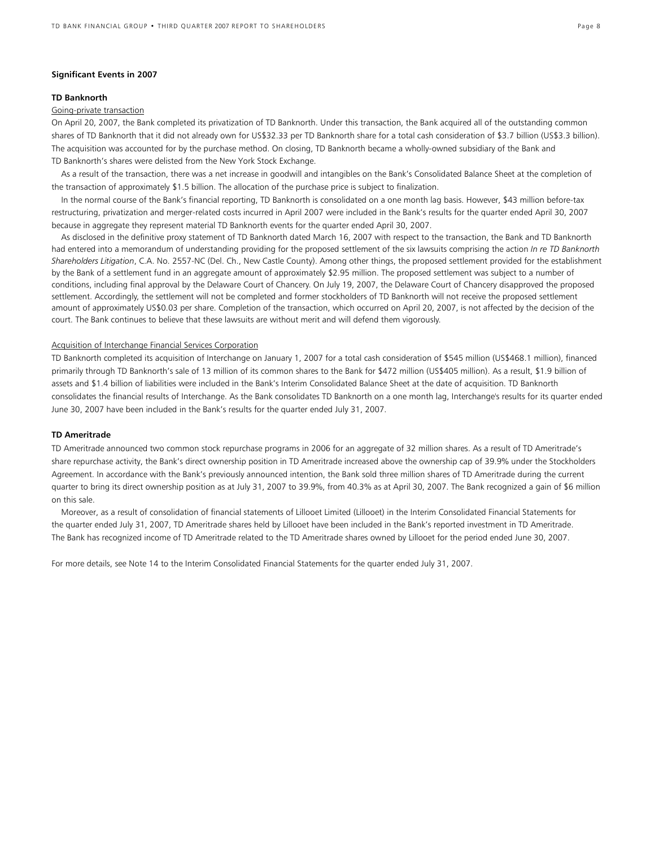#### **Significant Events in 2007**

#### **TD Banknorth**

#### Going-private transaction

On April 20, 2007, the Bank completed its privatization of TD Banknorth. Under this transaction, the Bank acquired all of the outstanding common shares of TD Banknorth that it did not already own for US\$32.33 per TD Banknorth share for a total cash consideration of \$3.7 billion (US\$3.3 billion). The acquisition was accounted for by the purchase method. On closing, TD Banknorth became a wholly-owned subsidiary of the Bank and TD Banknorth's shares were delisted from the New York Stock Exchange.

As a result of the transaction, there was a net increase in goodwill and intangibles on the Bank's Consolidated Balance Sheet at the completion of the transaction of approximately \$1.5 billion. The allocation of the purchase price is subject to finalization.

In the normal course of the Bank's financial reporting, TD Banknorth is consolidated on a one month lag basis. However, \$43 million before-tax restructuring, privatization and merger-related costs incurred in April 2007 were included in the Bank's results for the quarter ended April 30, 2007 because in aggregate they represent material TD Banknorth events for the quarter ended April 30, 2007.

As disclosed in the definitive proxy statement of TD Banknorth dated March 16, 2007 with respect to the transaction, the Bank and TD Banknorth had entered into a memorandum of understanding providing for the proposed settlement of the six lawsuits comprising the action *In re TD Banknorth Shareholders Litigation*, C.A. No. 2557-NC (Del. Ch., New Castle County). Among other things, the proposed settlement provided for the establishment by the Bank of a settlement fund in an aggregate amount of approximately \$2.95 million. The proposed settlement was subject to a number of conditions, including final approval by the Delaware Court of Chancery. On July 19, 2007, the Delaware Court of Chancery disapproved the proposed settlement. Accordingly, the settlement will not be completed and former stockholders of TD Banknorth will not receive the proposed settlement amount of approximately US\$0.03 per share. Completion of the transaction, which occurred on April 20, 2007, is not affected by the decision of the court. The Bank continues to believe that these lawsuits are without merit and will defend them vigorously.

#### Acquisition of Interchange Financial Services Corporation

TD Banknorth completed its acquisition of Interchange on January 1, 2007 for a total cash consideration of \$545 million (US\$468.1 million), financed primarily through TD Banknorth's sale of 13 million of its common shares to the Bank for \$472 million (US\$405 million). As a result, \$1.9 billion of assets and \$1.4 billion of liabilities were included in the Bank's Interim Consolidated Balance Sheet at the date of acquisition. TD Banknorth consolidates the financial results of Interchange. As the Bank consolidates TD Banknorth on a one month lag, Interchange's results for its quarter ended June 30, 2007 have been included in the Bank's results for the quarter ended July 31, 2007.

### **TD Ameritrade**

TD Ameritrade announced two common stock repurchase programs in 2006 for an aggregate of 32 million shares. As a result of TD Ameritrade's share repurchase activity, the Bank's direct ownership position in TD Ameritrade increased above the ownership cap of 39.9% under the Stockholders Agreement. In accordance with the Bank's previously announced intention, the Bank sold three million shares of TD Ameritrade during the current quarter to bring its direct ownership position as at July 31, 2007 to 39.9%, from 40.3% as at April 30, 2007. The Bank recognized a gain of \$6 million on this sale.

Moreover, as a result of consolidation of financial statements of Lillooet Limited (Lillooet) in the Interim Consolidated Financial Statements for the quarter ended July 31, 2007, TD Ameritrade shares held by Lillooet have been included in the Bank's reported investment in TD Ameritrade. The Bank has recognized income of TD Ameritrade related to the TD Ameritrade shares owned by Lillooet for the period ended June 30, 2007.

For more details, see Note 14 to the Interim Consolidated Financial Statements for the quarter ended July 31, 2007.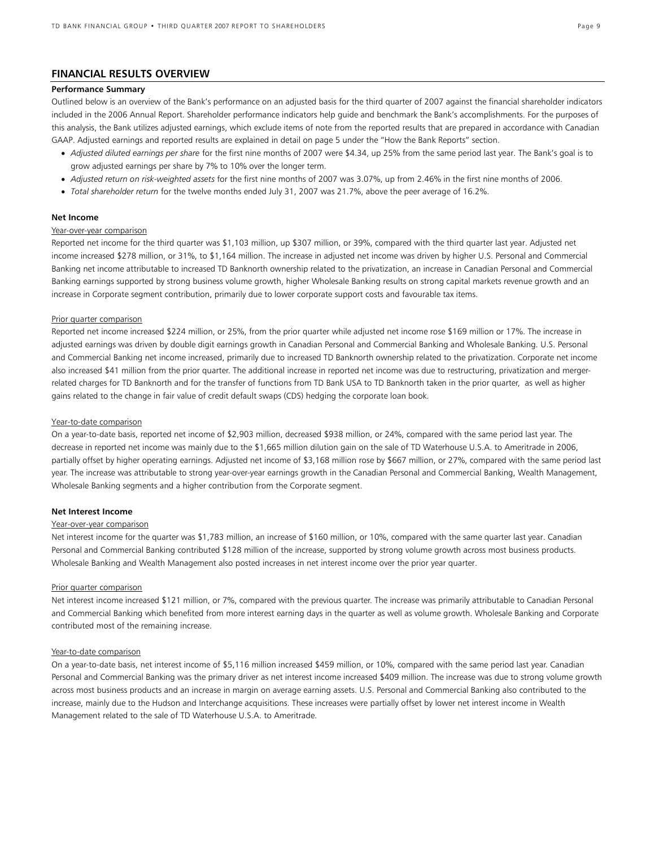## **FINANCIAL RESULTS OVERVIEW**

### **Performance Summary**

Outlined below is an overview of the Bank's performance on an adjusted basis for the third quarter of 2007 against the financial shareholder indicators included in the 2006 Annual Report. Shareholder performance indicators help guide and benchmark the Bank's accomplishments. For the purposes of this analysis, the Bank utilizes adjusted earnings, which exclude items of note from the reported results that are prepared in accordance with Canadian GAAP. Adjusted earnings and reported results are explained in detail on page 5 under the "How the Bank Reports" section.

- *Adjusted diluted earnings per share* for the first nine months of 2007 were \$4.34, up 25% from the same period last year. The Bank's goal is to grow adjusted earnings per share by 7% to 10% over the longer term.
- *Adjusted return on risk-weighted assets* for the first nine months of 2007 was 3.07%, up from 2.46% in the first nine months of 2006.
- *Total shareholder return* for the twelve months ended July 31, 2007 was 21.7%, above the peer average of 16.2%.

### **Net Income**

### Year-over-year comparison

Reported net income for the third quarter was \$1,103 million, up \$307 million, or 39%, compared with the third quarter last year. Adjusted net income increased \$278 million, or 31%, to \$1,164 million. The increase in adjusted net income was driven by higher U.S. Personal and Commercial Banking net income attributable to increased TD Banknorth ownership related to the privatization, an increase in Canadian Personal and Commercial Banking earnings supported by strong business volume growth, higher Wholesale Banking results on strong capital markets revenue growth and an increase in Corporate segment contribution, primarily due to lower corporate support costs and favourable tax items.

#### Prior quarter comparison

Reported net income increased \$224 million, or 25%, from the prior quarter while adjusted net income rose \$169 million or 17%. The increase in adjusted earnings was driven by double digit earnings growth in Canadian Personal and Commercial Banking and Wholesale Banking. U.S. Personal and Commercial Banking net income increased, primarily due to increased TD Banknorth ownership related to the privatization. Corporate net income also increased \$41 million from the prior quarter. The additional increase in reported net income was due to restructuring, privatization and mergerrelated charges for TD Banknorth and for the transfer of functions from TD Bank USA to TD Banknorth taken in the prior quarter, as well as higher gains related to the change in fair value of credit default swaps (CDS) hedging the corporate loan book.

#### Year-to-date comparison

On a year-to-date basis, reported net income of \$2,903 million, decreased \$938 million, or 24%, compared with the same period last year. The decrease in reported net income was mainly due to the \$1,665 million dilution gain on the sale of TD Waterhouse U.S.A. to Ameritrade in 2006, partially offset by higher operating earnings. Adjusted net income of \$3,168 million rose by \$667 million, or 27%, compared with the same period last year. The increase was attributable to strong year-over-year earnings growth in the Canadian Personal and Commercial Banking, Wealth Management, Wholesale Banking segments and a higher contribution from the Corporate segment.

#### **Net Interest Income**

#### Year-over-year comparison

Net interest income for the quarter was \$1,783 million, an increase of \$160 million, or 10%, compared with the same quarter last year. Canadian Personal and Commercial Banking contributed \$128 million of the increase, supported by strong volume growth across most business products. Wholesale Banking and Wealth Management also posted increases in net interest income over the prior year quarter.

#### Prior quarter comparison

Net interest income increased \$121 million, or 7%, compared with the previous quarter. The increase was primarily attributable to Canadian Personal and Commercial Banking which benefited from more interest earning days in the quarter as well as volume growth. Wholesale Banking and Corporate contributed most of the remaining increase.

#### Year-to-date comparison

On a year-to-date basis, net interest income of \$5,116 million increased \$459 million, or 10%, compared with the same period last year. Canadian Personal and Commercial Banking was the primary driver as net interest income increased \$409 million. The increase was due to strong volume growth across most business products and an increase in margin on average earning assets. U.S. Personal and Commercial Banking also contributed to the increase, mainly due to the Hudson and Interchange acquisitions. These increases were partially offset by lower net interest income in Wealth Management related to the sale of TD Waterhouse U.S.A. to Ameritrade.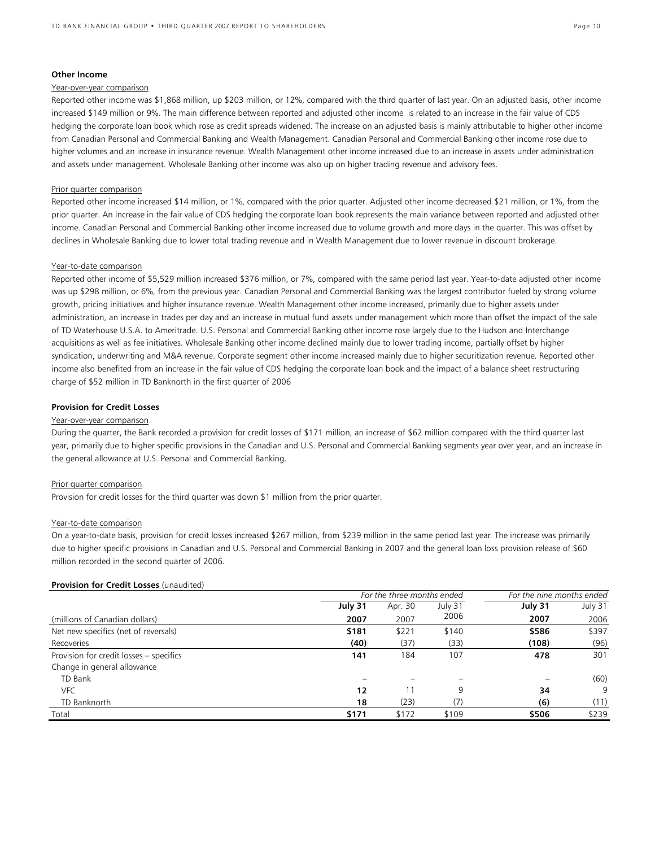#### **Other Income**

#### Year-over-year comparison

Reported other income was \$1,868 million, up \$203 million, or 12%, compared with the third quarter of last year. On an adjusted basis, other income increased \$149 million or 9%. The main difference between reported and adjusted other income is related to an increase in the fair value of CDS hedging the corporate loan book which rose as credit spreads widened. The increase on an adjusted basis is mainly attributable to higher other income from Canadian Personal and Commercial Banking and Wealth Management. Canadian Personal and Commercial Banking other income rose due to higher volumes and an increase in insurance revenue. Wealth Management other income increased due to an increase in assets under administration and assets under management. Wholesale Banking other income was also up on higher trading revenue and advisory fees.

#### Prior quarter comparison

Reported other income increased \$14 million, or 1%, compared with the prior quarter. Adjusted other income decreased \$21 million, or 1%, from the prior quarter. An increase in the fair value of CDS hedging the corporate loan book represents the main variance between reported and adjusted other income. Canadian Personal and Commercial Banking other income increased due to volume growth and more days in the quarter. This was offset by declines in Wholesale Banking due to lower total trading revenue and in Wealth Management due to lower revenue in discount brokerage.

#### Year-to-date comparison

Reported other income of \$5,529 million increased \$376 million, or 7%, compared with the same period last year. Year-to-date adjusted other income was up \$298 million, or 6%, from the previous year. Canadian Personal and Commercial Banking was the largest contributor fueled by strong volume growth, pricing initiatives and higher insurance revenue. Wealth Management other income increased, primarily due to higher assets under administration, an increase in trades per day and an increase in mutual fund assets under management which more than offset the impact of the sale of TD Waterhouse U.S.A. to Ameritrade. U.S. Personal and Commercial Banking other income rose largely due to the Hudson and Interchange acquisitions as well as fee initiatives. Wholesale Banking other income declined mainly due to lower trading income, partially offset by higher syndication, underwriting and M&A revenue. Corporate segment other income increased mainly due to higher securitization revenue. Reported other income also benefited from an increase in the fair value of CDS hedging the corporate loan book and the impact of a balance sheet restructuring charge of \$52 million in TD Banknorth in the first quarter of 2006

### **Provision for Credit Losses**

#### Year-over-year comparison

During the quarter, the Bank recorded a provision for credit losses of \$171 million, an increase of \$62 million compared with the third quarter last year, primarily due to higher specific provisions in the Canadian and U.S. Personal and Commercial Banking segments year over year, and an increase in the general allowance at U.S. Personal and Commercial Banking.

#### Prior quarter comparison

Provision for credit losses for the third quarter was down \$1 million from the prior quarter.

#### Year-to-date comparison

On a year-to-date basis, provision for credit losses increased \$267 million, from \$239 million in the same period last year. The increase was primarily due to higher specific provisions in Canadian and U.S. Personal and Commercial Banking in 2007 and the general loan loss provision release of \$60 million recorded in the second quarter of 2006.

#### **Provision for Credit Losses** (unaudited)

|                                         | For the three months ended | For the nine months ended |         |         |         |
|-----------------------------------------|----------------------------|---------------------------|---------|---------|---------|
|                                         | July 31                    | Apr. 30                   | July 31 | July 31 | July 31 |
| (millions of Canadian dollars)          | 2007                       | 2007                      | 2006    | 2007    | 2006    |
| Net new specifics (net of reversals)    | \$181                      | \$221                     | \$140   | \$586   | \$397   |
| Recoveries                              | (40)                       | (37)                      | (33)    | (108)   | (96)    |
| Provision for credit losses - specifics | 141                        | 184                       | 107     | 478     | 301     |
| Change in general allowance             |                            |                           |         |         |         |
| TD Bank                                 |                            |                           |         |         | (60)    |
| <b>VFC</b>                              | 12                         |                           | q       | 34      | 9       |
| TD Banknorth                            | 18                         | (23)                      | (7)     | (6)     | (11)    |
| Total                                   | \$171                      | \$172                     | \$109   | \$506   | \$239   |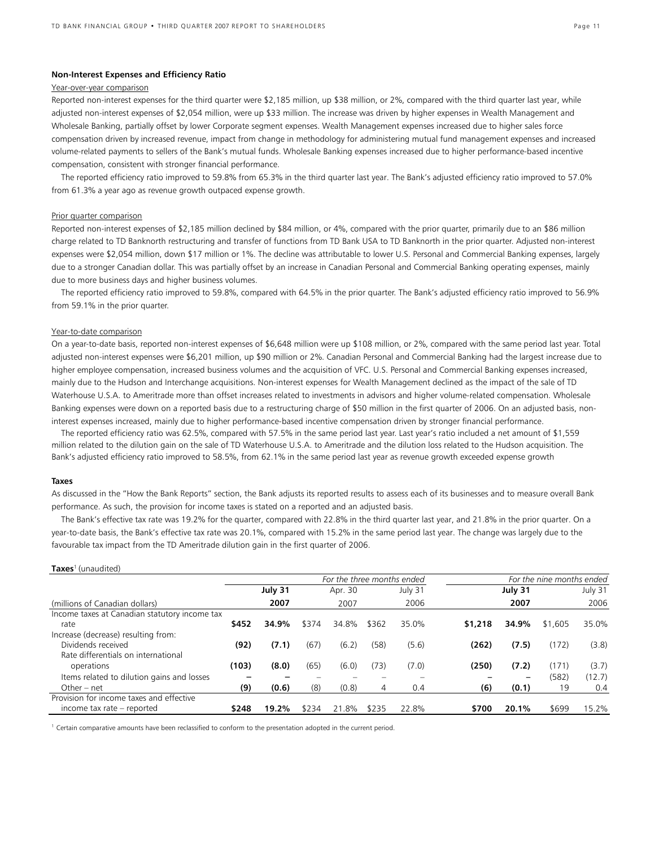### **Non-Interest Expenses and Efficiency Ratio**

### Year-over-year comparison

Reported non-interest expenses for the third quarter were \$2,185 million, up \$38 million, or 2%, compared with the third quarter last year, while adjusted non-interest expenses of \$2,054 million, were up \$33 million. The increase was driven by higher expenses in Wealth Management and Wholesale Banking, partially offset by lower Corporate segment expenses. Wealth Management expenses increased due to higher sales force compensation driven by increased revenue, impact from change in methodology for administering mutual fund management expenses and increased volume-related payments to sellers of the Bank's mutual funds. Wholesale Banking expenses increased due to higher performance-based incentive compensation, consistent with stronger financial performance.

The reported efficiency ratio improved to 59.8% from 65.3% in the third quarter last year. The Bank's adjusted efficiency ratio improved to 57.0% from 61.3% a year ago as revenue growth outpaced expense growth.

#### Prior quarter comparison

Reported non-interest expenses of \$2,185 million declined by \$84 million, or 4%, compared with the prior quarter, primarily due to an \$86 million charge related to TD Banknorth restructuring and transfer of functions from TD Bank USA to TD Banknorth in the prior quarter. Adjusted non-interest expenses were \$2,054 million, down \$17 million or 1%. The decline was attributable to lower U.S. Personal and Commercial Banking expenses, largely due to a stronger Canadian dollar. This was partially offset by an increase in Canadian Personal and Commercial Banking operating expenses, mainly due to more business days and higher business volumes.

The reported efficiency ratio improved to 59.8%, compared with 64.5% in the prior quarter. The Bank's adjusted efficiency ratio improved to 56.9% from 59.1% in the prior quarter.

#### Year-to-date comparison

On a year-to-date basis, reported non-interest expenses of \$6,648 million were up \$108 million, or 2%, compared with the same period last year. Total adjusted non-interest expenses were \$6,201 million, up \$90 million or 2%. Canadian Personal and Commercial Banking had the largest increase due to higher employee compensation, increased business volumes and the acquisition of VFC. U.S. Personal and Commercial Banking expenses increased, mainly due to the Hudson and Interchange acquisitions. Non-interest expenses for Wealth Management declined as the impact of the sale of TD Waterhouse U.S.A. to Ameritrade more than offset increases related to investments in advisors and higher volume-related compensation. Wholesale Banking expenses were down on a reported basis due to a restructuring charge of \$50 million in the first quarter of 2006. On an adjusted basis, noninterest expenses increased, mainly due to higher performance-based incentive compensation driven by stronger financial performance.

The reported efficiency ratio was 62.5%, compared with 57.5% in the same period last year. Last year's ratio included a net amount of \$1,559 million related to the dilution gain on the sale of TD Waterhouse U.S.A. to Ameritrade and the dilution loss related to the Hudson acquisition. The Bank's adjusted efficiency ratio improved to 58.5%, from 62.1% in the same period last year as revenue growth exceeded expense growth

#### **Taxes**

**Taxes**1 (unaudited)

As discussed in the "How the Bank Reports" section, the Bank adjusts its reported results to assess each of its businesses and to measure overall Bank performance. As such, the provision for income taxes is stated on a reported and an adjusted basis.

The Bank's effective tax rate was 19.2% for the quarter, compared with 22.8% in the third quarter last year, and 21.8% in the prior quarter. On a year-to-date basis, the Bank's effective tax rate was 20.1%, compared with 15.2% in the same period last year. The change was largely due to the favourable tax impact from the TD Ameritrade dilution gain in the first quarter of 2006.

|                                               | For the three months ended |         |       |         |       |         | For the nine months ended |         |         |         |
|-----------------------------------------------|----------------------------|---------|-------|---------|-------|---------|---------------------------|---------|---------|---------|
|                                               |                            | July 31 |       | Apr. 30 |       | July 31 |                           | July 31 |         | July 31 |
| (millions of Canadian dollars)                |                            | 2007    |       | 2007    |       | 2006    |                           | 2007    |         | 2006    |
| Income taxes at Canadian statutory income tax |                            |         |       |         |       |         |                           |         |         |         |
| rate                                          | \$452                      | 34.9%   | \$374 | 34.8%   | \$362 | 35.0%   | \$1,218                   | 34.9%   | \$1,605 | 35.0%   |
| Increase (decrease) resulting from:           |                            |         |       |         |       |         |                           |         |         |         |
| Dividends received                            | (92)                       | (7.1)   | (67)  | (6.2)   | (58)  | (5.6)   | (262)                     | (7.5)   | (172)   | (3.8)   |
| Rate differentials on international           |                            |         |       |         |       |         |                           |         |         |         |
| operations                                    | (103)                      | (8.0)   | (65)  | (6.0)   | (73)  | (7.0)   | (250)                     | (7.2)   | (171)   | (3.7)   |
| Items related to dilution gains and losses    |                            |         |       |         |       |         |                           |         | (582)   | (12.7)  |
| Other $-$ net                                 | (9)                        | (0.6)   | (8)   | (0.8)   | 4     | 0.4     | (6)                       | (0.1)   | 19      | 0.4     |
| Provision for income taxes and effective      |                            |         |       |         |       |         |                           |         |         |         |
| income tax rate – reported                    | \$248                      | 19.2%   | \$234 | 21.8%   | \$235 | 22.8%   | \$700                     | 20.1%   | \$699   | 15.2%   |

<sup>1</sup> Certain comparative amounts have been reclassified to conform to the presentation adopted in the current period.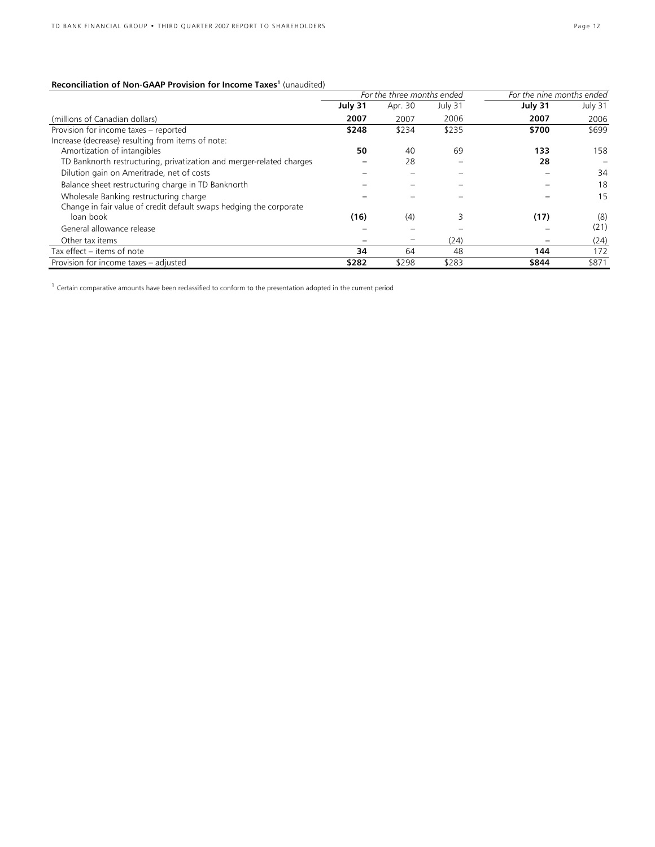### **Reconciliation of Non-GAAP Provision for Income Taxes<sup>1</sup> (unaudited)**

|                                                                      |         | For the three months ended |         | For the nine months ended |         |
|----------------------------------------------------------------------|---------|----------------------------|---------|---------------------------|---------|
|                                                                      | July 31 | Apr. 30                    | July 31 | July 31                   | July 31 |
| (millions of Canadian dollars)                                       | 2007    | 2007                       | 2006    | 2007                      | 2006    |
| Provision for income taxes - reported                                | \$248   | \$234                      | \$235   | \$700                     | \$699   |
| Increase (decrease) resulting from items of note:                    |         |                            |         |                           |         |
| Amortization of intangibles                                          | 50      | 40                         | 69      | 133                       | 158     |
| TD Banknorth restructuring, privatization and merger-related charges |         | 28                         |         | 28                        |         |
| Dilution gain on Ameritrade, net of costs                            |         |                            |         |                           | 34      |
| Balance sheet restructuring charge in TD Banknorth                   |         |                            |         |                           | 18      |
| Wholesale Banking restructuring charge                               |         |                            |         |                           | 15      |
| Change in fair value of credit default swaps hedging the corporate   |         |                            |         |                           |         |
| loan book                                                            | (16)    | (4)                        |         | (17)                      | (8)     |
| General allowance release                                            |         |                            |         |                           | (21)    |
| Other tax items                                                      |         |                            | (24)    |                           | (24)    |
| Tax effect – items of note                                           | 34      | 64                         | 48      | 144                       | 172     |
| Provision for income taxes - adjusted                                | \$282   | \$298                      | \$283   | \$844                     | \$871   |

 $<sup>1</sup>$  Certain comparative amounts have been reclassified to conform to the presentation adopted in the current period</sup>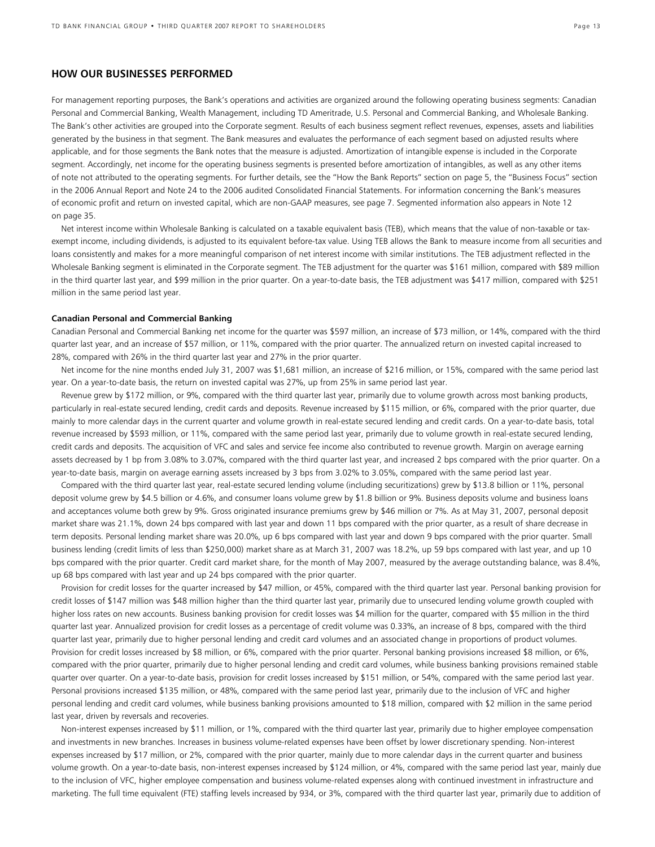### **HOW OUR BUSINESSES PERFORMED**

For management reporting purposes, the Bank's operations and activities are organized around the following operating business segments: Canadian Personal and Commercial Banking, Wealth Management, including TD Ameritrade, U.S. Personal and Commercial Banking, and Wholesale Banking. The Bank's other activities are grouped into the Corporate segment. Results of each business segment reflect revenues, expenses, assets and liabilities generated by the business in that segment. The Bank measures and evaluates the performance of each segment based on adjusted results where applicable, and for those segments the Bank notes that the measure is adjusted. Amortization of intangible expense is included in the Corporate segment. Accordingly, net income for the operating business segments is presented before amortization of intangibles, as well as any other items of note not attributed to the operating segments. For further details, see the "How the Bank Reports" section on page 5, the "Business Focus" section in the 2006 Annual Report and Note 24 to the 2006 audited Consolidated Financial Statements. For information concerning the Bank's measures of economic profit and return on invested capital, which are non-GAAP measures, see page 7. Segmented information also appears in Note 12 on page 35.

Net interest income within Wholesale Banking is calculated on a taxable equivalent basis (TEB), which means that the value of non-taxable or taxexempt income, including dividends, is adjusted to its equivalent before-tax value. Using TEB allows the Bank to measure income from all securities and loans consistently and makes for a more meaningful comparison of net interest income with similar institutions. The TEB adjustment reflected in the Wholesale Banking segment is eliminated in the Corporate segment. The TEB adjustment for the quarter was \$161 million, compared with \$89 million in the third quarter last year, and \$99 million in the prior quarter. On a year-to-date basis, the TEB adjustment was \$417 million, compared with \$251 million in the same period last year.

#### **Canadian Personal and Commercial Banking**

Canadian Personal and Commercial Banking net income for the quarter was \$597 million, an increase of \$73 million, or 14%, compared with the third quarter last year, and an increase of \$57 million, or 11%, compared with the prior quarter. The annualized return on invested capital increased to 28%, compared with 26% in the third quarter last year and 27% in the prior quarter.

Net income for the nine months ended July 31, 2007 was \$1,681 million, an increase of \$216 million, or 15%, compared with the same period last year. On a year-to-date basis, the return on invested capital was 27%, up from 25% in same period last year.

Revenue grew by \$172 million, or 9%, compared with the third quarter last year, primarily due to volume growth across most banking products, particularly in real-estate secured lending, credit cards and deposits. Revenue increased by \$115 million, or 6%, compared with the prior quarter, due mainly to more calendar days in the current quarter and volume growth in real-estate secured lending and credit cards. On a year-to-date basis, total revenue increased by \$593 million, or 11%, compared with the same period last year, primarily due to volume growth in real-estate secured lending, credit cards and deposits. The acquisition of VFC and sales and service fee income also contributed to revenue growth. Margin on average earning assets decreased by 1 bp from 3.08% to 3.07%, compared with the third quarter last year, and increased 2 bps compared with the prior quarter. On a year-to-date basis, margin on average earning assets increased by 3 bps from 3.02% to 3.05%, compared with the same period last year.

Compared with the third quarter last year, real-estate secured lending volume (including securitizations) grew by \$13.8 billion or 11%, personal deposit volume grew by \$4.5 billion or 4.6%, and consumer loans volume grew by \$1.8 billion or 9%. Business deposits volume and business loans and acceptances volume both grew by 9%. Gross originated insurance premiums grew by \$46 million or 7%. As at May 31, 2007, personal deposit market share was 21.1%, down 24 bps compared with last year and down 11 bps compared with the prior quarter, as a result of share decrease in term deposits. Personal lending market share was 20.0%, up 6 bps compared with last year and down 9 bps compared with the prior quarter. Small business lending (credit limits of less than \$250,000) market share as at March 31, 2007 was 18.2%, up 59 bps compared with last year, and up 10 bps compared with the prior quarter. Credit card market share, for the month of May 2007, measured by the average outstanding balance, was 8.4%, up 68 bps compared with last year and up 24 bps compared with the prior quarter.

Provision for credit losses for the quarter increased by \$47 million, or 45%, compared with the third quarter last year. Personal banking provision for credit losses of \$147 million was \$48 million higher than the third quarter last year, primarily due to unsecured lending volume growth coupled with higher loss rates on new accounts. Business banking provision for credit losses was \$4 million for the quarter, compared with \$5 million in the third quarter last year. Annualized provision for credit losses as a percentage of credit volume was 0.33%, an increase of 8 bps, compared with the third quarter last year, primarily due to higher personal lending and credit card volumes and an associated change in proportions of product volumes. Provision for credit losses increased by \$8 million, or 6%, compared with the prior quarter. Personal banking provisions increased \$8 million, or 6%, compared with the prior quarter, primarily due to higher personal lending and credit card volumes, while business banking provisions remained stable quarter over quarter. On a year-to-date basis, provision for credit losses increased by \$151 million, or 54%, compared with the same period last year. Personal provisions increased \$135 million, or 48%, compared with the same period last year, primarily due to the inclusion of VFC and higher personal lending and credit card volumes, while business banking provisions amounted to \$18 million, compared with \$2 million in the same period last year, driven by reversals and recoveries.

Non-interest expenses increased by \$11 million, or 1%, compared with the third quarter last year, primarily due to higher employee compensation and investments in new branches. Increases in business volume-related expenses have been offset by lower discretionary spending. Non-interest expenses increased by \$17 million, or 2%, compared with the prior quarter, mainly due to more calendar days in the current quarter and business volume growth. On a year-to-date basis, non-interest expenses increased by \$124 million, or 4%, compared with the same period last year, mainly due to the inclusion of VFC, higher employee compensation and business volume-related expenses along with continued investment in infrastructure and marketing. The full time equivalent (FTE) staffing levels increased by 934, or 3%, compared with the third quarter last year, primarily due to addition of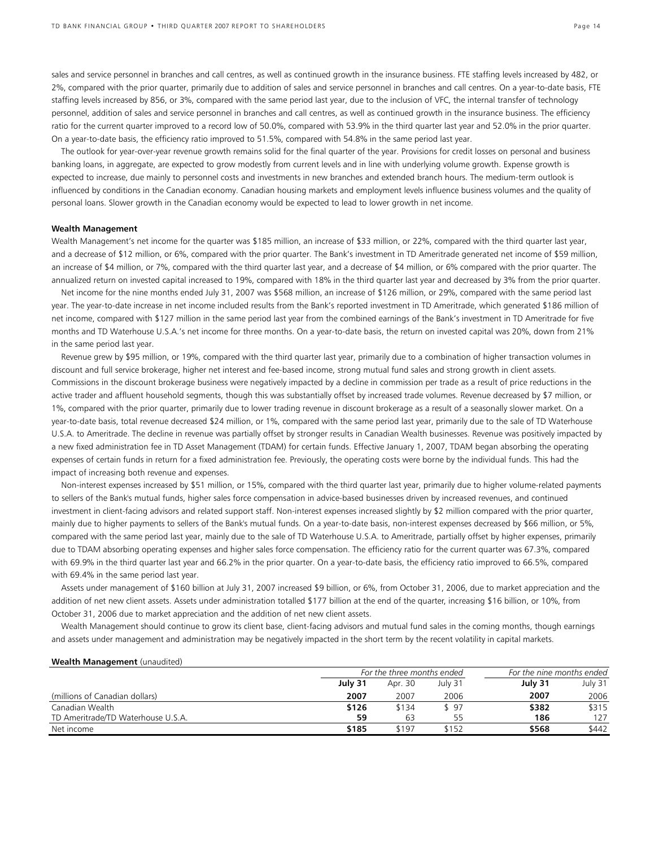sales and service personnel in branches and call centres, as well as continued growth in the insurance business. FTE staffing levels increased by 482, or 2%, compared with the prior quarter, primarily due to addition of sales and service personnel in branches and call centres. On a year-to-date basis, FTE staffing levels increased by 856, or 3%, compared with the same period last year, due to the inclusion of VFC, the internal transfer of technology personnel, addition of sales and service personnel in branches and call centres, as well as continued growth in the insurance business. The efficiency ratio for the current quarter improved to a record low of 50.0%, compared with 53.9% in the third quarter last year and 52.0% in the prior quarter. On a year-to-date basis, the efficiency ratio improved to 51.5%, compared with 54.8% in the same period last year.

The outlook for year-over-year revenue growth remains solid for the final quarter of the year. Provisions for credit losses on personal and business banking loans, in aggregate, are expected to grow modestly from current levels and in line with underlying volume growth. Expense growth is expected to increase, due mainly to personnel costs and investments in new branches and extended branch hours. The medium-term outlook is influenced by conditions in the Canadian economy. Canadian housing markets and employment levels influence business volumes and the quality of personal loans. Slower growth in the Canadian economy would be expected to lead to lower growth in net income.

#### **Wealth Management**

Wealth Management's net income for the quarter was \$185 million, an increase of \$33 million, or 22%, compared with the third quarter last year, and a decrease of \$12 million, or 6%, compared with the prior quarter. The Bank's investment in TD Ameritrade generated net income of \$59 million, an increase of \$4 million, or 7%, compared with the third quarter last year, and a decrease of \$4 million, or 6% compared with the prior quarter. The annualized return on invested capital increased to 19%, compared with 18% in the third quarter last year and decreased by 3% from the prior quarter.

Net income for the nine months ended July 31, 2007 was \$568 million, an increase of \$126 million, or 29%, compared with the same period last year. The year-to-date increase in net income included results from the Bank's reported investment in TD Ameritrade, which generated \$186 million of net income, compared with \$127 million in the same period last year from the combined earnings of the Bank's investment in TD Ameritrade for five months and TD Waterhouse U.S.A.'s net income for three months. On a year-to-date basis, the return on invested capital was 20%, down from 21% in the same period last year.

Revenue grew by \$95 million, or 19%, compared with the third quarter last year, primarily due to a combination of higher transaction volumes in discount and full service brokerage, higher net interest and fee-based income, strong mutual fund sales and strong growth in client assets. Commissions in the discount brokerage business were negatively impacted by a decline in commission per trade as a result of price reductions in the active trader and affluent household segments, though this was substantially offset by increased trade volumes. Revenue decreased by \$7 million, or 1%, compared with the prior quarter, primarily due to lower trading revenue in discount brokerage as a result of a seasonally slower market. On a year-to-date basis, total revenue decreased \$24 million, or 1%, compared with the same period last year, primarily due to the sale of TD Waterhouse U.S.A. to Ameritrade. The decline in revenue was partially offset by stronger results in Canadian Wealth businesses. Revenue was positively impacted by a new fixed administration fee in TD Asset Management (TDAM) for certain funds. Effective January 1, 2007, TDAM began absorbing the operating expenses of certain funds in return for a fixed administration fee. Previously, the operating costs were borne by the individual funds. This had the impact of increasing both revenue and expenses.

Non-interest expenses increased by \$51 million, or 15%, compared with the third quarter last year, primarily due to higher volume-related payments to sellers of the Bank's mutual funds, higher sales force compensation in advice-based businesses driven by increased revenues, and continued investment in client-facing advisors and related support staff. Non-interest expenses increased slightly by \$2 million compared with the prior quarter, mainly due to higher payments to sellers of the Bank's mutual funds. On a year-to-date basis, non-interest expenses decreased by \$66 million, or 5%, compared with the same period last year, mainly due to the sale of TD Waterhouse U.S.A. to Ameritrade, partially offset by higher expenses, primarily due to TDAM absorbing operating expenses and higher sales force compensation. The efficiency ratio for the current quarter was 67.3%, compared with 69.9% in the third quarter last year and 66.2% in the prior quarter. On a year-to-date basis, the efficiency ratio improved to 66.5%, compared with 69.4% in the same period last year.

Assets under management of \$160 billion at July 31, 2007 increased \$9 billion, or 6%, from October 31, 2006, due to market appreciation and the addition of net new client assets. Assets under administration totalled \$177 billion at the end of the quarter, increasing \$16 billion, or 10%, from October 31, 2006 due to market appreciation and the addition of net new client assets.

Wealth Management should continue to grow its client base, client-facing advisors and mutual fund sales in the coming months, though earnings and assets under management and administration may be negatively impacted in the short term by the recent volatility in capital markets.

#### **Wealth Management** (unaudited)

|                                    | For the three months ended |         |         | For the nine months ended |         |  |
|------------------------------------|----------------------------|---------|---------|---------------------------|---------|--|
|                                    | July 31                    | Apr. 30 | July 31 | July 31                   | July 31 |  |
| (millions of Canadian dollars)     | 2007                       | 2007    | 2006    | 2007                      | 2006    |  |
| Canadian Wealth                    | \$126                      | \$134   | \$97    | \$382                     | \$315   |  |
| TD Ameritrade/TD Waterhouse U.S.A. | 59                         | 63      | 55      | 186                       | 127     |  |
| Net income                         | \$185                      | \$197   | \$152   | \$568                     | \$442   |  |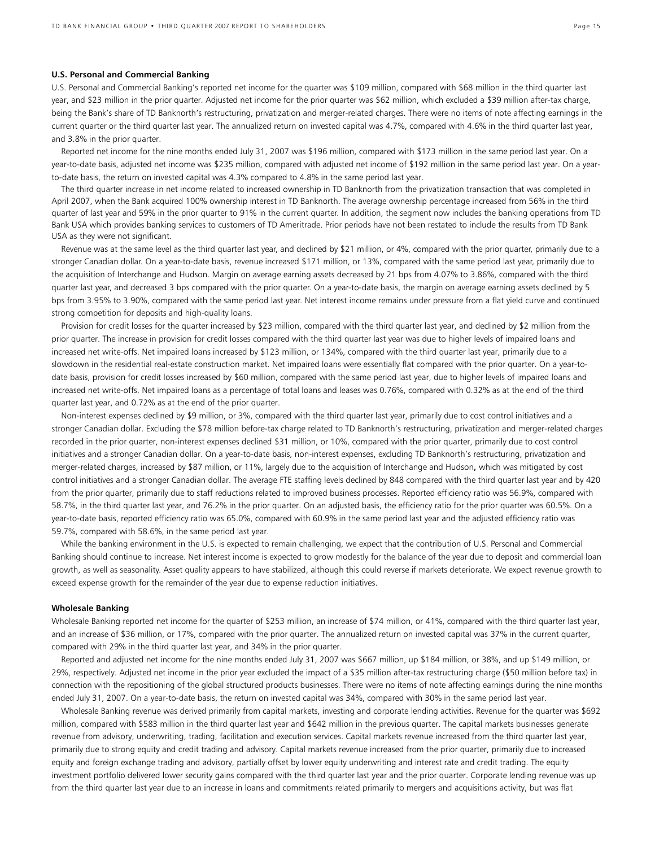#### **U.S. Personal and Commercial Banking**

U.S. Personal and Commercial Banking's reported net income for the quarter was \$109 million, compared with \$68 million in the third quarter last year, and \$23 million in the prior quarter. Adjusted net income for the prior quarter was \$62 million, which excluded a \$39 million after-tax charge, being the Bank's share of TD Banknorth's restructuring, privatization and merger-related charges. There were no items of note affecting earnings in the current quarter or the third quarter last year. The annualized return on invested capital was 4.7%, compared with 4.6% in the third quarter last year, and 3.8% in the prior quarter.

Reported net income for the nine months ended July 31, 2007 was \$196 million, compared with \$173 million in the same period last year. On a year-to-date basis, adjusted net income was \$235 million, compared with adjusted net income of \$192 million in the same period last year. On a yearto-date basis, the return on invested capital was 4.3% compared to 4.8% in the same period last year.

The third quarter increase in net income related to increased ownership in TD Banknorth from the privatization transaction that was completed in April 2007, when the Bank acquired 100% ownership interest in TD Banknorth. The average ownership percentage increased from 56% in the third quarter of last year and 59% in the prior quarter to 91% in the current quarter. In addition, the segment now includes the banking operations from TD Bank USA which provides banking services to customers of TD Ameritrade. Prior periods have not been restated to include the results from TD Bank USA as they were not significant.

Revenue was at the same level as the third quarter last year, and declined by \$21 million, or 4%, compared with the prior quarter, primarily due to a stronger Canadian dollar. On a year-to-date basis, revenue increased \$171 million, or 13%, compared with the same period last year, primarily due to the acquisition of Interchange and Hudson. Margin on average earning assets decreased by 21 bps from 4.07% to 3.86%, compared with the third quarter last year, and decreased 3 bps compared with the prior quarter. On a year-to-date basis, the margin on average earning assets declined by 5 bps from 3.95% to 3.90%, compared with the same period last year. Net interest income remains under pressure from a flat yield curve and continued strong competition for deposits and high-quality loans.

Provision for credit losses for the quarter increased by \$23 million, compared with the third quarter last year, and declined by \$2 million from the prior quarter. The increase in provision for credit losses compared with the third quarter last year was due to higher levels of impaired loans and increased net write-offs. Net impaired loans increased by \$123 million, or 134%, compared with the third quarter last year, primarily due to a slowdown in the residential real-estate construction market. Net impaired loans were essentially flat compared with the prior quarter. On a year-todate basis, provision for credit losses increased by \$60 million, compared with the same period last year, due to higher levels of impaired loans and increased net write-offs. Net impaired loans as a percentage of total loans and leases was 0.76%, compared with 0.32% as at the end of the third quarter last year, and 0.72% as at the end of the prior quarter.

Non-interest expenses declined by \$9 million, or 3%, compared with the third quarter last year, primarily due to cost control initiatives and a stronger Canadian dollar. Excluding the \$78 million before-tax charge related to TD Banknorth's restructuring, privatization and merger-related charges recorded in the prior quarter, non-interest expenses declined \$31 million, or 10%, compared with the prior quarter, primarily due to cost control initiatives and a stronger Canadian dollar. On a year-to-date basis, non-interest expenses, excluding TD Banknorth's restructuring, privatization and merger-related charges, increased by \$87 million, or 11%, largely due to the acquisition of Interchange and Hudson**,** which was mitigated by cost control initiatives and a stronger Canadian dollar. The average FTE staffing levels declined by 848 compared with the third quarter last year and by 420 from the prior quarter, primarily due to staff reductions related to improved business processes. Reported efficiency ratio was 56.9%, compared with 58.7%, in the third quarter last year, and 76.2% in the prior quarter. On an adjusted basis, the efficiency ratio for the prior quarter was 60.5%. On a year-to-date basis, reported efficiency ratio was 65.0%, compared with 60.9% in the same period last year and the adjusted efficiency ratio was 59.7%, compared with 58.6%, in the same period last year.

While the banking environment in the U.S. is expected to remain challenging, we expect that the contribution of U.S. Personal and Commercial Banking should continue to increase. Net interest income is expected to grow modestly for the balance of the year due to deposit and commercial loan growth, as well as seasonality. Asset quality appears to have stabilized, although this could reverse if markets deteriorate. We expect revenue growth to exceed expense growth for the remainder of the year due to expense reduction initiatives.

#### **Wholesale Banking**

Wholesale Banking reported net income for the quarter of \$253 million, an increase of \$74 million, or 41%, compared with the third quarter last year, and an increase of \$36 million, or 17%, compared with the prior quarter. The annualized return on invested capital was 37% in the current quarter, compared with 29% in the third quarter last year, and 34% in the prior quarter.

Reported and adjusted net income for the nine months ended July 31, 2007 was \$667 million, up \$184 million, or 38%, and up \$149 million, or 29%, respectively. Adjusted net income in the prior year excluded the impact of a \$35 million after-tax restructuring charge (\$50 million before tax) in connection with the repositioning of the global structured products businesses. There were no items of note affecting earnings during the nine months ended July 31, 2007. On a year-to-date basis, the return on invested capital was 34%, compared with 30% in the same period last year.

Wholesale Banking revenue was derived primarily from capital markets, investing and corporate lending activities. Revenue for the quarter was \$692 million, compared with \$583 million in the third quarter last year and \$642 million in the previous quarter. The capital markets businesses generate revenue from advisory, underwriting, trading, facilitation and execution services. Capital markets revenue increased from the third quarter last year, primarily due to strong equity and credit trading and advisory. Capital markets revenue increased from the prior quarter, primarily due to increased equity and foreign exchange trading and advisory, partially offset by lower equity underwriting and interest rate and credit trading. The equity investment portfolio delivered lower security gains compared with the third quarter last year and the prior quarter. Corporate lending revenue was up from the third quarter last year due to an increase in loans and commitments related primarily to mergers and acquisitions activity, but was flat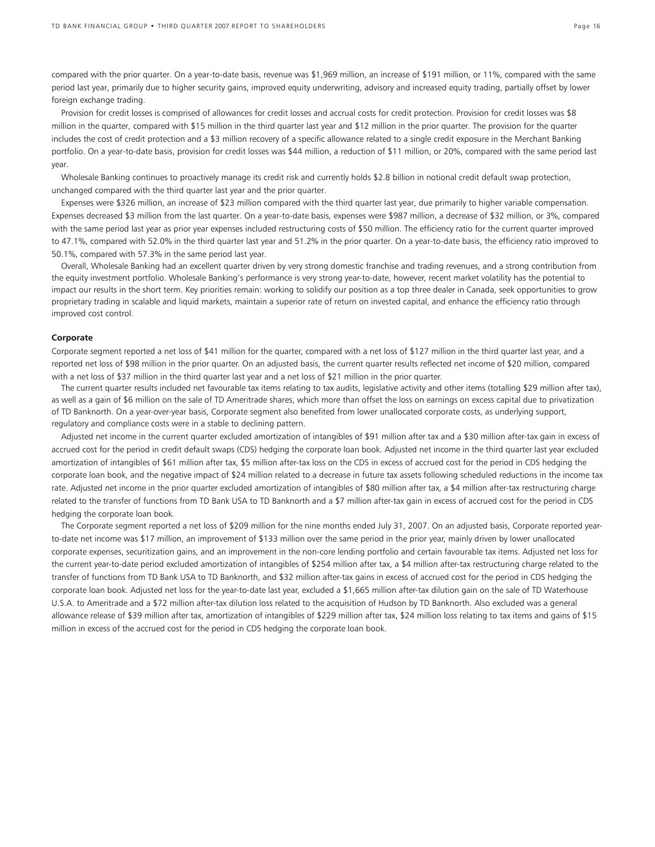compared with the prior quarter. On a year-to-date basis, revenue was \$1,969 million, an increase of \$191 million, or 11%, compared with the same period last year, primarily due to higher security gains, improved equity underwriting, advisory and increased equity trading, partially offset by lower foreign exchange trading.

Provision for credit losses is comprised of allowances for credit losses and accrual costs for credit protection. Provision for credit losses was \$8 million in the quarter, compared with \$15 million in the third quarter last year and \$12 million in the prior quarter. The provision for the quarter includes the cost of credit protection and a \$3 million recovery of a specific allowance related to a single credit exposure in the Merchant Banking portfolio. On a year-to-date basis, provision for credit losses was \$44 million, a reduction of \$11 million, or 20%, compared with the same period last year.

Wholesale Banking continues to proactively manage its credit risk and currently holds \$2.8 billion in notional credit default swap protection, unchanged compared with the third quarter last year and the prior quarter.

Expenses were \$326 million, an increase of \$23 million compared with the third quarter last year, due primarily to higher variable compensation. Expenses decreased \$3 million from the last quarter. On a year-to-date basis, expenses were \$987 million, a decrease of \$32 million, or 3%, compared with the same period last year as prior year expenses included restructuring costs of \$50 million. The efficiency ratio for the current quarter improved to 47.1%, compared with 52.0% in the third quarter last year and 51.2% in the prior quarter. On a year-to-date basis, the efficiency ratio improved to 50.1%, compared with 57.3% in the same period last year.

Overall, Wholesale Banking had an excellent quarter driven by very strong domestic franchise and trading revenues, and a strong contribution from the equity investment portfolio. Wholesale Banking's performance is very strong year-to-date, however, recent market volatility has the potential to impact our results in the short term. Key priorities remain: working to solidify our position as a top three dealer in Canada, seek opportunities to grow proprietary trading in scalable and liquid markets, maintain a superior rate of return on invested capital, and enhance the efficiency ratio through improved cost control.

#### **Corporate**

Corporate segment reported a net loss of \$41 million for the quarter, compared with a net loss of \$127 million in the third quarter last year, and a reported net loss of \$98 million in the prior quarter. On an adjusted basis, the current quarter results reflected net income of \$20 million, compared with a net loss of \$37 million in the third quarter last year and a net loss of \$21 million in the prior quarter.

The current quarter results included net favourable tax items relating to tax audits, legislative activity and other items (totalling \$29 million after tax), as well as a gain of \$6 million on the sale of TD Ameritrade shares, which more than offset the loss on earnings on excess capital due to privatization of TD Banknorth. On a year-over-year basis, Corporate segment also benefited from lower unallocated corporate costs, as underlying support, regulatory and compliance costs were in a stable to declining pattern.

Adjusted net income in the current quarter excluded amortization of intangibles of \$91 million after tax and a \$30 million after-tax gain in excess of accrued cost for the period in credit default swaps (CDS) hedging the corporate loan book. Adjusted net income in the third quarter last year excluded amortization of intangibles of \$61 million after tax, \$5 million after-tax loss on the CDS in excess of accrued cost for the period in CDS hedging the corporate loan book, and the negative impact of \$24 million related to a decrease in future tax assets following scheduled reductions in the income tax rate. Adjusted net income in the prior quarter excluded amortization of intangibles of \$80 million after tax, a \$4 million after-tax restructuring charge related to the transfer of functions from TD Bank USA to TD Banknorth and a \$7 million after-tax gain in excess of accrued cost for the period in CDS hedging the corporate loan book.

The Corporate segment reported a net loss of \$209 million for the nine months ended July 31, 2007. On an adjusted basis, Corporate reported yearto-date net income was \$17 million, an improvement of \$133 million over the same period in the prior year, mainly driven by lower unallocated corporate expenses, securitization gains, and an improvement in the non-core lending portfolio and certain favourable tax items. Adjusted net loss for the current year-to-date period excluded amortization of intangibles of \$254 million after tax, a \$4 million after-tax restructuring charge related to the transfer of functions from TD Bank USA to TD Banknorth, and \$32 million after-tax gains in excess of accrued cost for the period in CDS hedging the corporate loan book. Adjusted net loss for the year-to-date last year, excluded a \$1,665 million after-tax dilution gain on the sale of TD Waterhouse U.S.A. to Ameritrade and a \$72 million after-tax dilution loss related to the acquisition of Hudson by TD Banknorth. Also excluded was a general allowance release of \$39 million after tax, amortization of intangibles of \$229 million after tax, \$24 million loss relating to tax items and gains of \$15 million in excess of the accrued cost for the period in CDS hedging the corporate loan book.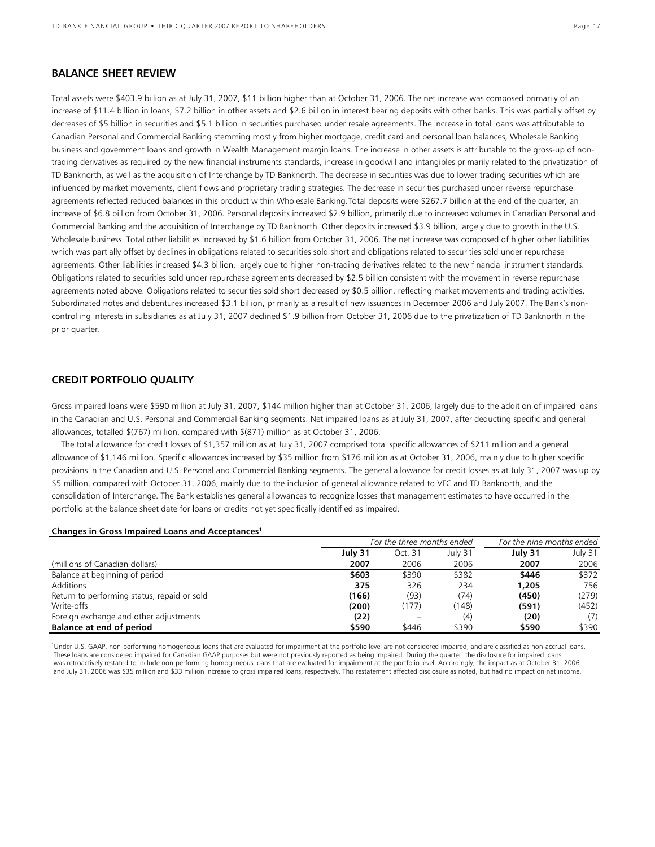### **BALANCE SHEET REVIEW**

Total assets were \$403.9 billion as at July 31, 2007, \$11 billion higher than at October 31, 2006. The net increase was composed primarily of an increase of \$11.4 billion in loans, \$7.2 billion in other assets and \$2.6 billion in interest bearing deposits with other banks. This was partially offset by decreases of \$5 billion in securities and \$5.1 billion in securities purchased under resale agreements. The increase in total loans was attributable to Canadian Personal and Commercial Banking stemming mostly from higher mortgage, credit card and personal loan balances, Wholesale Banking business and government loans and growth in Wealth Management margin loans. The increase in other assets is attributable to the gross-up of nontrading derivatives as required by the new financial instruments standards, increase in goodwill and intangibles primarily related to the privatization of TD Banknorth, as well as the acquisition of Interchange by TD Banknorth. The decrease in securities was due to lower trading securities which are influenced by market movements, client flows and proprietary trading strategies. The decrease in securities purchased under reverse repurchase agreements reflected reduced balances in this product within Wholesale Banking.Total deposits were \$267.7 billion at the end of the quarter, an increase of \$6.8 billion from October 31, 2006. Personal deposits increased \$2.9 billion, primarily due to increased volumes in Canadian Personal and Commercial Banking and the acquisition of Interchange by TD Banknorth. Other deposits increased \$3.9 billion, largely due to growth in the U.S. Wholesale business. Total other liabilities increased by \$1.6 billion from October 31, 2006. The net increase was composed of higher other liabilities which was partially offset by declines in obligations related to securities sold short and obligations related to securities sold under repurchase agreements. Other liabilities increased \$4.3 billion, largely due to higher non-trading derivatives related to the new financial instrument standards. Obligations related to securities sold under repurchase agreements decreased by \$2.5 billion consistent with the movement in reverse repurchase agreements noted above. Obligations related to securities sold short decreased by \$0.5 billion, reflecting market movements and trading activities. Subordinated notes and debentures increased \$3.1 billion, primarily as a result of new issuances in December 2006 and July 2007. The Bank's noncontrolling interests in subsidiaries as at July 31, 2007 declined \$1.9 billion from October 31, 2006 due to the privatization of TD Banknorth in the prior quarter.

### **CREDIT PORTFOLIO QUALITY**

Gross impaired loans were \$590 million at July 31, 2007, \$144 million higher than at October 31, 2006, largely due to the addition of impaired loans in the Canadian and U.S. Personal and Commercial Banking segments. Net impaired loans as at July 31, 2007, after deducting specific and general allowances, totalled \$(767) million, compared with \$(871) million as at October 31, 2006.

The total allowance for credit losses of \$1,357 million as at July 31, 2007 comprised total specific allowances of \$211 million and a general allowance of \$1,146 million. Specific allowances increased by \$35 million from \$176 million as at October 31, 2006, mainly due to higher specific provisions in the Canadian and U.S. Personal and Commercial Banking segments. The general allowance for credit losses as at July 31, 2007 was up by \$5 million, compared with October 31, 2006, mainly due to the inclusion of general allowance related to VFC and TD Banknorth, and the consolidation of Interchange. The Bank establishes general allowances to recognize losses that management estimates to have occurred in the portfolio at the balance sheet date for loans or credits not yet specifically identified as impaired.

#### **Changes in Gross Impaired Loans and Acceptances1**

|                                             | For the three months ended | For the nine months ended |         |         |         |
|---------------------------------------------|----------------------------|---------------------------|---------|---------|---------|
|                                             | July 31                    | Oct. 31                   | July 31 | July 31 | July 31 |
| (millions of Canadian dollars)              | 2007                       | 2006                      | 2006    | 2007    | 2006    |
| Balance at beginning of period              | \$603                      | \$390                     | \$382   | \$446   | \$372   |
| Additions                                   | 375                        | 326                       | 234     | 1,205   | 756     |
| Return to performing status, repaid or sold | (166)                      | (93)                      | (74)    | (450)   | (279)   |
| Write-offs                                  | (200)                      | (177)                     | (148)   | (591)   | (452)   |
| Foreign exchange and other adjustments      | (22)                       |                           | (4)     | (20)    | (7)     |
| Balance at end of period                    | \$590                      | \$446                     | \$390   | \$590   | \$390   |

1 Under U.S. GAAP, non-performing homogeneous loans that are evaluated for impairment at the portfolio level are not considered impaired, and are classified as non-accrual loans. These loans are considered impaired for Canadian GAAP purposes but were not previously reported as being impaired. During the quarter, the disclosure for impaired loans was retroactively restated to include non-performing homogeneous loans that are evaluated for impairment at the portfolio level. Accordingly, the impact as at October 31, 2006 and July 31, 2006 was \$35 million and \$33 million increase to gross impaired loans, respectively. This restatement affected disclosure as noted, but had no impact on net income.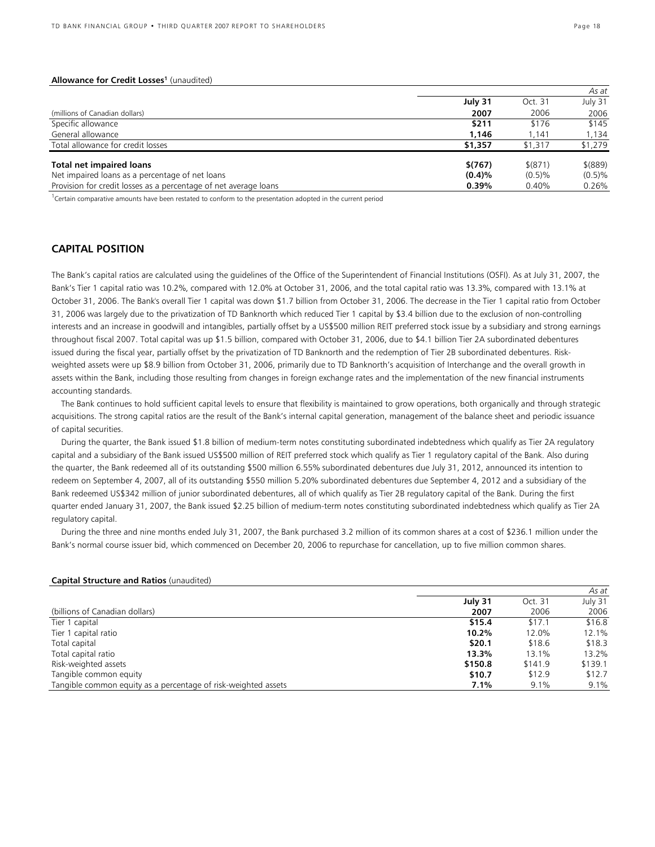#### Allowance for Credit Losses<sup>1</sup> (unaudited)

|                                                                  |         |             | As at       |
|------------------------------------------------------------------|---------|-------------|-------------|
|                                                                  | July 31 | Oct. 31     | July 31     |
| (millions of Canadian dollars)                                   | 2007    | 2006        | 2006        |
| Specific allowance                                               | \$211   | \$176       | \$145       |
| General allowance                                                | 1.146   | 1.141       | 1.134       |
| Total allowance for credit losses                                | \$1,357 | \$1,317     | \$1,279     |
| <b>Total net impaired loans</b>                                  | \$(767) | $$^{(871)}$ | $$^{(889)}$ |
| Net impaired loans as a percentage of net loans                  | (0.4)%  | (0.5)%      | (0.5)%      |
| Provision for credit losses as a percentage of net average loans | 0.39%   | 0.40%       | 0.26%       |

<sup>1</sup> Certain comparative amounts have been restated to conform to the presentation adopted in the current period

### **CAPITAL POSITION**

The Bank's capital ratios are calculated using the guidelines of the Office of the Superintendent of Financial Institutions (OSFI). As at July 31, 2007, the Bank's Tier 1 capital ratio was 10.2%, compared with 12.0% at October 31, 2006, and the total capital ratio was 13.3%, compared with 13.1% at October 31, 2006. The Bank's overall Tier 1 capital was down \$1.7 billion from October 31, 2006. The decrease in the Tier 1 capital ratio from October 31, 2006 was largely due to the privatization of TD Banknorth which reduced Tier 1 capital by \$3.4 billion due to the exclusion of non-controlling interests and an increase in goodwill and intangibles, partially offset by a US\$500 million REIT preferred stock issue by a subsidiary and strong earnings throughout fiscal 2007. Total capital was up \$1.5 billion, compared with October 31, 2006, due to \$4.1 billion Tier 2A subordinated debentures issued during the fiscal year, partially offset by the privatization of TD Banknorth and the redemption of Tier 2B subordinated debentures. Riskweighted assets were up \$8.9 billion from October 31, 2006, primarily due to TD Banknorth's acquisition of Interchange and the overall growth in assets within the Bank, including those resulting from changes in foreign exchange rates and the implementation of the new financial instruments accounting standards.

The Bank continues to hold sufficient capital levels to ensure that flexibility is maintained to grow operations, both organically and through strategic acquisitions. The strong capital ratios are the result of the Bank's internal capital generation, management of the balance sheet and periodic issuance of capital securities.

During the quarter, the Bank issued \$1.8 billion of medium-term notes constituting subordinated indebtedness which qualify as Tier 2A regulatory capital and a subsidiary of the Bank issued US\$500 million of REIT preferred stock which qualify as Tier 1 regulatory capital of the Bank. Also during the quarter, the Bank redeemed all of its outstanding \$500 million 6.55% subordinated debentures due July 31, 2012, announced its intention to redeem on September 4, 2007, all of its outstanding \$550 million 5.20% subordinated debentures due September 4, 2012 and a subsidiary of the Bank redeemed US\$342 million of junior subordinated debentures, all of which qualify as Tier 2B regulatory capital of the Bank. During the first quarter ended January 31, 2007, the Bank issued \$2.25 billion of medium-term notes constituting subordinated indebtedness which qualify as Tier 2A regulatory capital.

During the three and nine months ended July 31, 2007, the Bank purchased 3.2 million of its common shares at a cost of \$236.1 million under the Bank's normal course issuer bid, which commenced on December 20, 2006 to repurchase for cancellation, up to five million common shares.

#### **Capital Structure and Ratios** (unaudited)

|                                                                |         |         | As at   |
|----------------------------------------------------------------|---------|---------|---------|
|                                                                | July 31 | Oct. 31 | July 31 |
| (billions of Canadian dollars)                                 | 2007    | 2006    | 2006    |
| Tier 1 capital                                                 | \$15.4  | \$17.1  | \$16.8  |
| Tier 1 capital ratio                                           | 10.2%   | 12.0%   | 12.1%   |
| Total capital                                                  | \$20.1  | \$18.6  | \$18.3  |
| Total capital ratio                                            | 13.3%   | 13.1%   | 13.2%   |
| Risk-weighted assets                                           | \$150.8 | \$141.9 | \$139.1 |
| Tangible common equity                                         | \$10.7  | \$12.9  | \$12.7  |
| Tangible common equity as a percentage of risk-weighted assets | 7.1%    | 9.1%    | 9.1%    |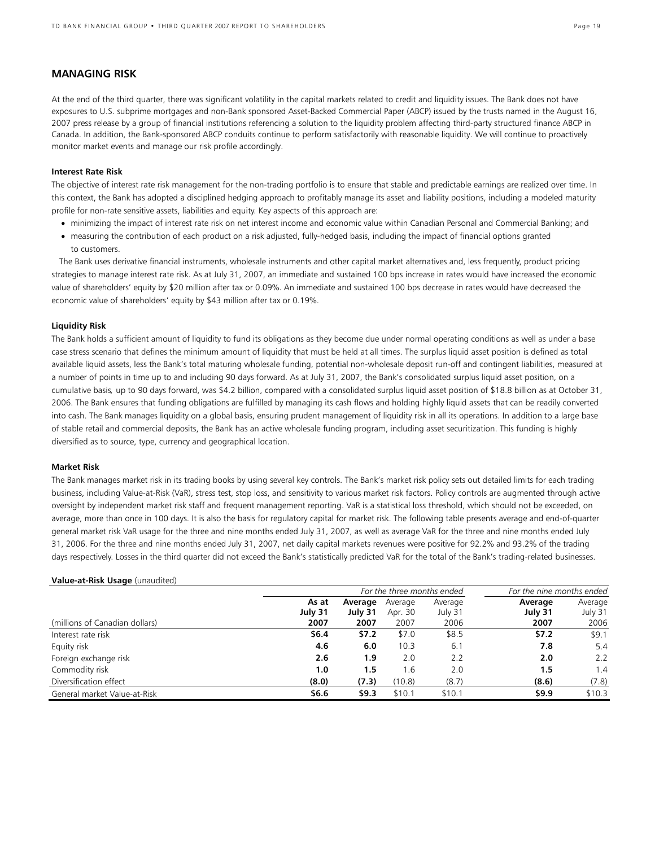### **MANAGING RISK**

At the end of the third quarter, there was significant volatility in the capital markets related to credit and liquidity issues. The Bank does not have exposures to U.S. subprime mortgages and non-Bank sponsored Asset-Backed Commercial Paper (ABCP) issued by the trusts named in the August 16, 2007 press release by a group of financial institutions referencing a solution to the liquidity problem affecting third-party structured finance ABCP in Canada. In addition, the Bank-sponsored ABCP conduits continue to perform satisfactorily with reasonable liquidity. We will continue to proactively monitor market events and manage our risk profile accordingly.

#### **Interest Rate Risk**

The objective of interest rate risk management for the non-trading portfolio is to ensure that stable and predictable earnings are realized over time. In this context, the Bank has adopted a disciplined hedging approach to profitably manage its asset and liability positions, including a modeled maturity profile for non-rate sensitive assets, liabilities and equity. Key aspects of this approach are:

- minimizing the impact of interest rate risk on net interest income and economic value within Canadian Personal and Commercial Banking; and
- measuring the contribution of each product on a risk adjusted, fully-hedged basis, including the impact of financial options granted to customers.

The Bank uses derivative financial instruments, wholesale instruments and other capital market alternatives and, less frequently, product pricing strategies to manage interest rate risk. As at July 31, 2007, an immediate and sustained 100 bps increase in rates would have increased the economic value of shareholders' equity by \$20 million after tax or 0.09%. An immediate and sustained 100 bps decrease in rates would have decreased the economic value of shareholders' equity by \$43 million after tax or 0.19%.

#### **Liquidity Risk**

The Bank holds a sufficient amount of liquidity to fund its obligations as they become due under normal operating conditions as well as under a base case stress scenario that defines the minimum amount of liquidity that must be held at all times. The surplus liquid asset position is defined as total available liquid assets, less the Bank's total maturing wholesale funding, potential non-wholesale deposit run-off and contingent liabilities, measured at a number of points in time up to and including 90 days forward. As at July 31, 2007, the Bank's consolidated surplus liquid asset position, on a cumulative basis*,* up to 90 days forward, was \$4.2 billion, compared with a consolidated surplus liquid asset position of \$18.8 billion as at October 31, 2006. The Bank ensures that funding obligations are fulfilled by managing its cash flows and holding highly liquid assets that can be readily converted into cash. The Bank manages liquidity on a global basis, ensuring prudent management of liquidity risk in all its operations. In addition to a large base of stable retail and commercial deposits, the Bank has an active wholesale funding program, including asset securitization. This funding is highly diversified as to source, type, currency and geographical location.

#### **Market Risk**

The Bank manages market risk in its trading books by using several key controls. The Bank's market risk policy sets out detailed limits for each trading business, including Value-at-Risk (VaR), stress test, stop loss, and sensitivity to various market risk factors. Policy controls are augmented through active oversight by independent market risk staff and frequent management reporting. VaR is a statistical loss threshold, which should not be exceeded, on average, more than once in 100 days. It is also the basis for regulatory capital for market risk. The following table presents average and end-of-quarter general market risk VaR usage for the three and nine months ended July 31, 2007, as well as average VaR for the three and nine months ended July 31, 2006. For the three and nine months ended July 31, 2007, net daily capital markets revenues were positive for 92.2% and 93.2% of the trading days respectively. Losses in the third quarter did not exceed the Bank's statistically predicted VaR for the total of the Bank's trading-related businesses.

#### **Value-at-Risk Usage** (unaudited)

|                                |         |         |         | For the three months ended | For the nine months ended |               |  |
|--------------------------------|---------|---------|---------|----------------------------|---------------------------|---------------|--|
|                                | As at   | Average | Average | Average                    | Average                   | Average       |  |
|                                | July 31 | July 31 | Apr. 30 | July 31                    | July 31                   | July 31       |  |
| (millions of Canadian dollars) | 2007    | 2007    | 2007    | 2006                       | 2007                      | 2006          |  |
| Interest rate risk             | \$6.4   | \$7.2   | \$7.0   | \$8.5                      | \$7.2                     | \$9.1         |  |
| Equity risk                    | 4.6     | 6.0     | 10.3    | 6.1                        | 7.8                       | 5.4           |  |
| Foreign exchange risk          | 2.6     | 1.9     | 2.0     | 2.2                        | 2.0                       | $2.2^{\circ}$ |  |
| Commodity risk                 | 1.0     | 1.5     | 1.6     | 2.0                        | 1.5                       | 1.4           |  |
| Diversification effect         | (8.0)   | (7.3)   | (10.8)  | (8.7)                      | (8.6)                     | (7.8)         |  |
| General market Value-at-Risk   | \$6.6   | \$9.3   | \$10.1  | \$10.1                     | \$9.9                     | \$10.3        |  |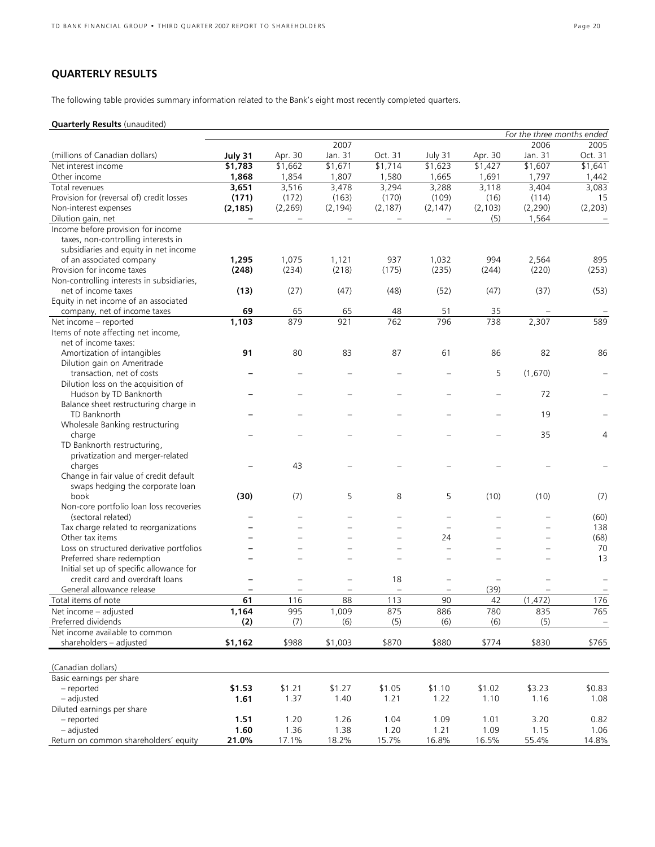# **QUARTERLY RESULTS**

The following table provides summary information related to the Bank's eight most recently completed quarters.

### **Quarterly Results** (unaudited)

|                                                                           | For the three months ended |                          |                   |                          |                          |          |          |                |
|---------------------------------------------------------------------------|----------------------------|--------------------------|-------------------|--------------------------|--------------------------|----------|----------|----------------|
|                                                                           |                            |                          | 2007              |                          |                          |          | 2006     | 2005           |
| (millions of Canadian dollars)                                            | July 31                    | Apr. 30                  | Jan. 31           | Oct. 31                  | July 31                  | Apr. 30  | Jan. 31  | Oct. 31        |
| Net interest income                                                       | \$1,783                    | \$1,662                  | \$1,671           | \$1,714                  | \$1,623                  | \$1,427  | \$1,607  | \$1,641        |
| Other income                                                              | 1,868                      | 1,854                    | 1,807             | 1,580                    | 1,665                    | 1,691    | 1,797    | 1,442          |
| Total revenues                                                            | 3,651                      | 3,516                    | 3,478             | 3,294                    | 3,288                    | 3,118    | 3,404    | 3,083          |
| Provision for (reversal of) credit losses                                 | (171)                      | (172)                    | (163)             | (170)                    | (109)                    | (16)     | (114)    | 15             |
| Non-interest expenses                                                     | (2, 185)                   | (2, 269)                 | (2, 194)          | (2, 187)                 | (2, 147)                 | (2, 103) | (2, 290) | (2, 203)       |
| Dilution gain, net                                                        |                            | $\overline{\phantom{0}}$ | $\qquad \qquad -$ | $\overline{\phantom{m}}$ | $\overline{\phantom{a}}$ | (5)      | 1,564    |                |
| Income before provision for income<br>taxes, non-controlling interests in |                            |                          |                   |                          |                          |          |          |                |
|                                                                           |                            |                          |                   |                          |                          |          |          |                |
| subsidiaries and equity in net income                                     |                            | 1,075                    |                   | 937                      | 1,032                    | 994      |          | 895            |
| of an associated company<br>Provision for income taxes                    | 1,295                      |                          | 1,121             |                          |                          |          | 2,564    |                |
|                                                                           | (248)                      | (234)                    | (218)             | (175)                    | (235)                    | (244)    | (220)    | (253)          |
| Non-controlling interests in subsidiaries,                                |                            |                          |                   |                          |                          |          |          |                |
| net of income taxes                                                       | (13)                       | (27)                     | (47)              | (48)                     | (52)                     | (47)     | (37)     | (53)           |
| Equity in net income of an associated                                     |                            |                          |                   |                          |                          |          |          |                |
| company, net of income taxes                                              | 69                         | 65                       | 65                | 48                       | 51                       | 35       |          |                |
| Net income - reported                                                     | 1,103                      | 879                      | 921               | 762                      | 796                      | 738      | 2,307    | 589            |
| Items of note affecting net income,                                       |                            |                          |                   |                          |                          |          |          |                |
| net of income taxes:                                                      |                            |                          |                   |                          |                          |          |          |                |
| Amortization of intangibles                                               | 91                         | 80                       | 83                | 87                       | 61                       | 86       | 82       | 86             |
| Dilution gain on Ameritrade                                               |                            |                          |                   |                          |                          |          |          |                |
| transaction, net of costs                                                 |                            |                          |                   |                          |                          | 5        | (1,670)  |                |
| Dilution loss on the acquisition of                                       |                            |                          |                   |                          |                          |          |          |                |
| Hudson by TD Banknorth                                                    |                            |                          |                   |                          |                          |          | 72       |                |
| Balance sheet restructuring charge in                                     |                            |                          |                   |                          |                          |          |          |                |
| TD Banknorth                                                              |                            |                          |                   |                          |                          |          | 19       |                |
| Wholesale Banking restructuring                                           |                            |                          |                   |                          |                          |          |          |                |
| charge                                                                    |                            |                          |                   |                          |                          |          | 35       | $\overline{4}$ |
| TD Banknorth restructuring,                                               |                            |                          |                   |                          |                          |          |          |                |
| privatization and merger-related                                          |                            |                          |                   |                          |                          |          |          |                |
| charges                                                                   |                            | 43                       |                   |                          |                          |          |          |                |
| Change in fair value of credit default                                    |                            |                          |                   |                          |                          |          |          |                |
| swaps hedging the corporate loan                                          |                            |                          |                   |                          |                          |          |          |                |
| book                                                                      | (30)                       | (7)                      | 5                 | 8                        | 5                        | (10)     | (10)     | (7)            |
| Non-core portfolio loan loss recoveries                                   |                            |                          |                   |                          |                          |          |          |                |
| (sectoral related)                                                        |                            | $\overline{\phantom{a}}$ |                   |                          | $\equiv$                 |          |          | (60)           |
|                                                                           |                            |                          |                   |                          | $\sim$                   |          |          |                |
| Tax charge related to reorganizations                                     |                            |                          |                   |                          |                          |          |          | 138            |
| Other tax items                                                           |                            |                          |                   |                          | 24                       |          |          | (68)           |
| Loss on structured derivative portfolios                                  |                            |                          |                   |                          | $\equiv$                 |          |          | 70             |
| Preferred share redemption                                                |                            |                          |                   |                          | $\sim$                   |          |          | 13             |
| Initial set up of specific allowance for                                  |                            |                          |                   |                          |                          |          |          |                |
| credit card and overdraft loans                                           |                            |                          |                   | 18                       | $\qquad \qquad -$        |          |          |                |
| General allowance release                                                 |                            |                          |                   |                          |                          | (39)     |          |                |
| Total items of note                                                       | 61                         | 116                      | 88                | 113                      | 90                       | 42       | (1, 472) | 176            |
| Net income - adjusted                                                     | 1,164                      | 995                      | 1,009             | 875                      | 886                      | 780      | 835      | 765            |
| Preferred dividends                                                       | (2)                        | (7)                      | (6)               | (5)                      | (6)                      | (6)      | (5)      | $\pm$          |
| Net income available to common                                            |                            |                          |                   |                          |                          |          |          |                |
| shareholders - adjusted                                                   | \$1,162                    | \$988                    | \$1,003           | \$870                    | \$880                    | \$774    | \$830    | \$765          |
|                                                                           |                            |                          |                   |                          |                          |          |          |                |
|                                                                           |                            |                          |                   |                          |                          |          |          |                |
| (Canadian dollars)                                                        |                            |                          |                   |                          |                          |          |          |                |
| Basic earnings per share                                                  |                            |                          |                   |                          |                          |          |          |                |
| - reported                                                                | \$1.53                     | \$1.21                   | \$1.27            | \$1.05                   | \$1.10                   | \$1.02   | \$3.23   | \$0.83         |
| - adjusted                                                                | 1.61                       | 1.37                     | 1.40              | 1.21                     | 1.22                     | 1.10     | 1.16     | 1.08           |
| Diluted earnings per share                                                |                            |                          |                   |                          |                          |          |          |                |
| - reported                                                                | 1.51                       | 1.20                     | 1.26              | 1.04                     | 1.09                     | 1.01     | 3.20     | 0.82           |
| - adjusted                                                                | 1.60                       | 1.36                     | 1.38              | 1.20                     | 1.21                     | 1.09     | 1.15     | 1.06           |
| Return on common shareholders' equity                                     | 21.0%                      | 17.1%                    | 18.2%             | 15.7%                    | 16.8%                    | 16.5%    | 55.4%    | 14.8%          |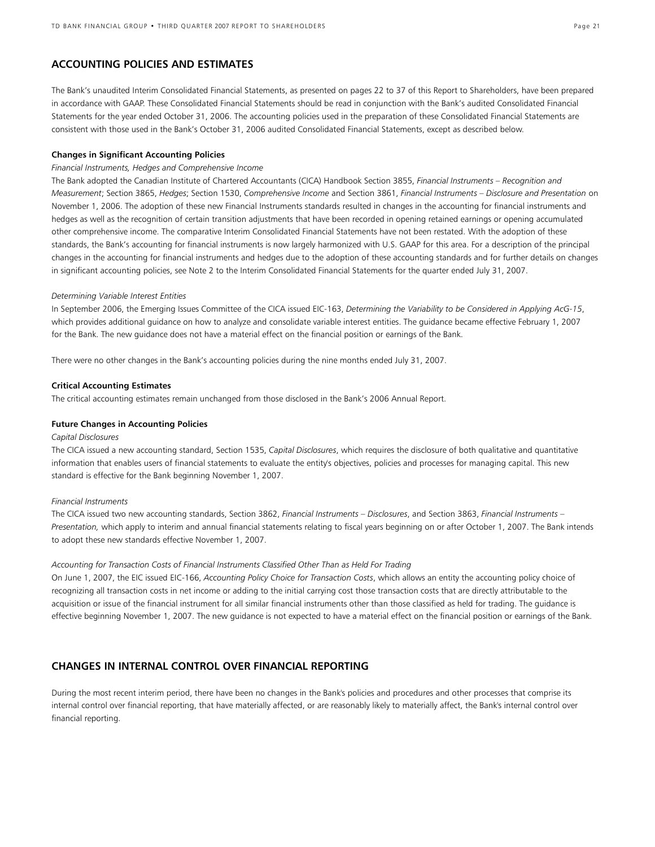### **ACCOUNTING POLICIES AND ESTIMATES**

The Bank's unaudited Interim Consolidated Financial Statements, as presented on pages 22 to 37 of this Report to Shareholders, have been prepared in accordance with GAAP. These Consolidated Financial Statements should be read in conjunction with the Bank's audited Consolidated Financial Statements for the year ended October 31, 2006. The accounting policies used in the preparation of these Consolidated Financial Statements are consistent with those used in the Bank's October 31, 2006 audited Consolidated Financial Statements, except as described below.

#### **Changes in Significant Accounting Policies**

#### *Financial Instruments, Hedges and Comprehensive Income*

The Bank adopted the Canadian Institute of Chartered Accountants (CICA) Handbook Section 3855, *Financial Instruments – Recognition and Measurement*; Section 3865, *Hedges*; Section 1530, *Comprehensive Income* and Section 3861, *Financial Instruments – Disclosure and Presentation* on November 1, 2006. The adoption of these new Financial Instruments standards resulted in changes in the accounting for financial instruments and hedges as well as the recognition of certain transition adjustments that have been recorded in opening retained earnings or opening accumulated other comprehensive income. The comparative Interim Consolidated Financial Statements have not been restated. With the adoption of these standards, the Bank's accounting for financial instruments is now largely harmonized with U.S. GAAP for this area. For a description of the principal changes in the accounting for financial instruments and hedges due to the adoption of these accounting standards and for further details on changes in significant accounting policies, see Note 2 to the Interim Consolidated Financial Statements for the quarter ended July 31, 2007.

#### *Determining Variable Interest Entities*

In September 2006, the Emerging Issues Committee of the CICA issued EIC-163, *Determining the Variability to be Considered in Applying AcG-15*, which provides additional guidance on how to analyze and consolidate variable interest entities. The guidance became effective February 1, 2007 for the Bank. The new guidance does not have a material effect on the financial position or earnings of the Bank.

There were no other changes in the Bank's accounting policies during the nine months ended July 31, 2007.

#### **Critical Accounting Estimates**

The critical accounting estimates remain unchanged from those disclosed in the Bank's 2006 Annual Report.

#### **Future Changes in Accounting Policies**

#### *Capital Disclosures*

The CICA issued a new accounting standard, Section 1535, *Capital Disclosures*, which requires the disclosure of both qualitative and quantitative information that enables users of financial statements to evaluate the entity's objectives, policies and processes for managing capital. This new standard is effective for the Bank beginning November 1, 2007.

#### *Financial Instruments*

The CICA issued two new accounting standards, Section 3862, *Financial Instruments – Disclosures*, and Section 3863, *Financial Instruments – Presentation,* which apply to interim and annual financial statements relating to fiscal years beginning on or after October 1, 2007. The Bank intends to adopt these new standards effective November 1, 2007.

#### *Accounting for Transaction Costs of Financial Instruments Classified Other Than as Held For Trading*

On June 1, 2007, the EIC issued EIC-166, *Accounting Policy Choice for Transaction Costs*, which allows an entity the accounting policy choice of recognizing all transaction costs in net income or adding to the initial carrying cost those transaction costs that are directly attributable to the acquisition or issue of the financial instrument for all similar financial instruments other than those classified as held for trading. The guidance is effective beginning November 1, 2007. The new guidance is not expected to have a material effect on the financial position or earnings of the Bank.

### **CHANGES IN INTERNAL CONTROL OVER FINANCIAL REPORTING**

During the most recent interim period, there have been no changes in the Bank's policies and procedures and other processes that comprise its internal control over financial reporting, that have materially affected, or are reasonably likely to materially affect, the Bank's internal control over financial reporting.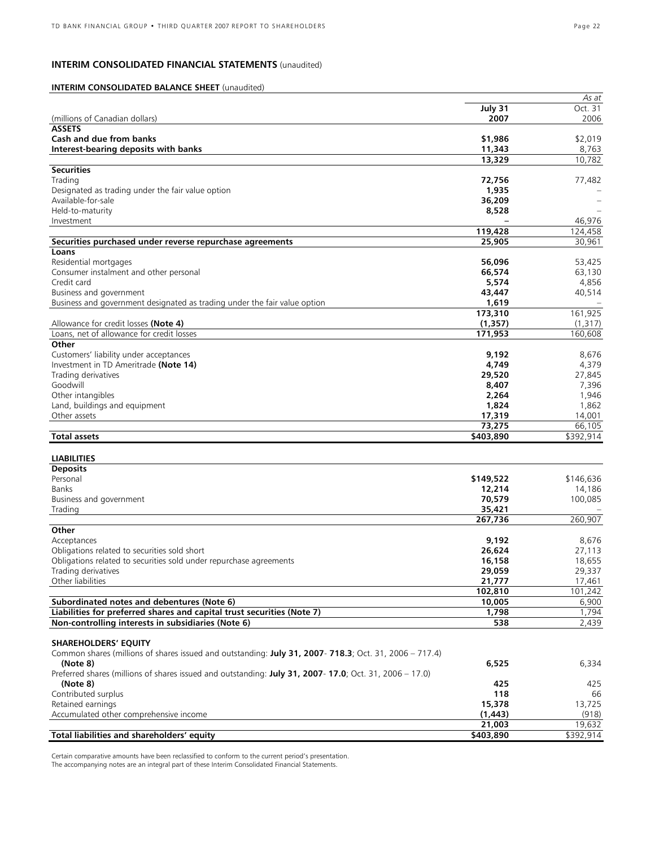### **INTERIM CONSOLIDATED FINANCIAL STATEMENTS** (unaudited)

### **INTERIM CONSOLIDATED BALANCE SHEET** (unaudited)

|                                                                                                         |           | As at     |
|---------------------------------------------------------------------------------------------------------|-----------|-----------|
|                                                                                                         | July 31   | Oct. 31   |
| (millions of Canadian dollars)                                                                          | 2007      | 2006      |
| <b>ASSETS</b>                                                                                           |           |           |
| Cash and due from banks                                                                                 | \$1,986   | \$2,019   |
| Interest-bearing deposits with banks                                                                    | 11,343    | 8,763     |
|                                                                                                         | 13,329    | 10,782    |
| <b>Securities</b>                                                                                       |           |           |
| Trading                                                                                                 | 72,756    | 77,482    |
| Designated as trading under the fair value option                                                       | 1,935     |           |
| Available-for-sale                                                                                      |           |           |
|                                                                                                         | 36,209    |           |
| Held-to-maturity                                                                                        | 8,528     |           |
| Investment                                                                                              |           | 46,976    |
|                                                                                                         | 119,428   | 124,458   |
| Securities purchased under reverse repurchase agreements                                                | 25,905    | 30,961    |
| Loans                                                                                                   |           |           |
| Residential mortgages                                                                                   | 56,096    | 53,425    |
| Consumer instalment and other personal                                                                  | 66,574    | 63,130    |
| Credit card                                                                                             | 5,574     | 4,856     |
| Business and government                                                                                 | 43,447    | 40,514    |
| Business and government designated as trading under the fair value option                               | 1,619     |           |
|                                                                                                         | 173,310   | 161,925   |
| Allowance for credit losses (Note 4)                                                                    | (1, 357)  | (1,317)   |
| Loans, net of allowance for credit losses                                                               | 171,953   | 160,608   |
|                                                                                                         |           |           |
| Other                                                                                                   |           |           |
| Customers' liability under acceptances                                                                  | 9,192     | 8,676     |
| Investment in TD Ameritrade (Note 14)                                                                   | 4,749     | 4,379     |
| Trading derivatives                                                                                     | 29,520    | 27,845    |
| Goodwill                                                                                                | 8,407     | 7,396     |
| Other intangibles                                                                                       | 2,264     | 1,946     |
| Land, buildings and equipment                                                                           | 1,824     | 1,862     |
| Other assets                                                                                            | 17,319    | 14,001    |
|                                                                                                         | 73,275    | 66,105    |
| <b>Total assets</b>                                                                                     | \$403,890 | \$392,914 |
|                                                                                                         |           |           |
| <b>LIABILITIES</b>                                                                                      |           |           |
|                                                                                                         |           |           |
| <b>Deposits</b>                                                                                         |           |           |
| Personal                                                                                                | \$149,522 | \$146,636 |
| <b>Banks</b>                                                                                            | 12,214    | 14,186    |
| Business and government                                                                                 | 70,579    | 100,085   |
| Trading                                                                                                 | 35,421    |           |
|                                                                                                         | 267,736   | 260,907   |
| Other                                                                                                   |           |           |
| Acceptances                                                                                             | 9,192     | 8,676     |
| Obligations related to securities sold short                                                            | 26,624    | 27,113    |
| Obligations related to securities sold under repurchase agreements                                      | 16,158    | 18,655    |
| Trading derivatives                                                                                     | 29,059    | 29,337    |
| Other liabilities                                                                                       | 21,777    | 17,461    |
|                                                                                                         | 102,810   | 101,242   |
|                                                                                                         |           |           |
| Subordinated notes and debentures (Note 6)                                                              | 10,005    | 6,900     |
| Liabilities for preferred shares and capital trust securities (Note 7)                                  | 1,798     | 1,794     |
| Non-controlling interests in subsidiaries (Note 6)                                                      | 538       | 2,439     |
|                                                                                                         |           |           |
| <b>SHAREHOLDERS' EQUITY</b>                                                                             |           |           |
| Common shares (millions of shares issued and outstanding: July 31, 2007- 718.3; Oct. 31, 2006 - 717.4)  |           |           |
| (Note 8)                                                                                                | 6,525     | 6,334     |
| Preferred shares (millions of shares issued and outstanding: July 31, 2007- 17.0; Oct. 31, 2006 - 17.0) |           |           |
| (Note 8)                                                                                                | 425       | 425       |
| Contributed surplus                                                                                     | 118       | 66        |
| Retained earnings                                                                                       | 15,378    | 13,725    |
| Accumulated other comprehensive income                                                                  | (1, 443)  | (918)     |
|                                                                                                         |           |           |
|                                                                                                         | 21,003    | 19,632    |
| Total liabilities and shareholders' equity                                                              | \$403,890 | \$392,914 |

Certain comparative amounts have been reclassified to conform to the current period's presentation. The accompanying notes are an integral part of these Interim Consolidated Financial Statements.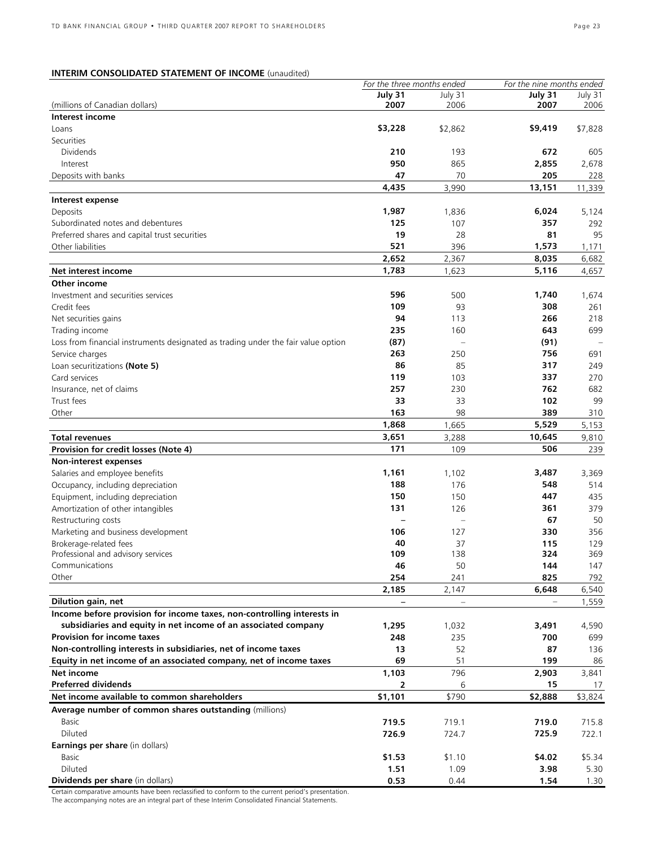### **INTERIM CONSOLIDATED STATEMENT OF INCOME** (unaudited)

|                                                                                   | For the three months ended |         | For the nine months ended |            |
|-----------------------------------------------------------------------------------|----------------------------|---------|---------------------------|------------|
|                                                                                   | July 31                    | July 31 | July 31                   | July 31    |
| (millions of Canadian dollars)                                                    | 2007                       | 2006    | 2007                      | 2006       |
| Interest income                                                                   |                            |         |                           |            |
| Loans                                                                             | \$3,228                    | \$2,862 | \$9,419                   | \$7,828    |
| Securities                                                                        |                            |         |                           |            |
| <b>Dividends</b>                                                                  | 210                        | 193     | 672                       | 605        |
| Interest                                                                          | 950                        | 865     | 2,855                     | 2,678      |
|                                                                                   |                            |         |                           |            |
| Deposits with banks                                                               | 47                         | 70      | 205                       | 228        |
|                                                                                   | 4,435                      | 3,990   | 13,151                    | 11,339     |
| Interest expense                                                                  |                            |         |                           |            |
| Deposits                                                                          | 1,987                      | 1,836   | 6,024                     | 5,124      |
| Subordinated notes and debentures                                                 | 125                        | 107     | 357                       | 292        |
| Preferred shares and capital trust securities                                     | 19                         | 28      | 81                        | 95         |
| Other liabilities                                                                 | 521                        | 396     | 1,573                     | 1,171      |
|                                                                                   | 2,652                      |         | 8,035                     |            |
|                                                                                   |                            | 2,367   |                           | 6,682      |
| Net interest income                                                               | 1,783                      | 1,623   | 5,116                     | 4,657      |
| Other income                                                                      |                            |         |                           |            |
| Investment and securities services                                                | 596                        | 500     | 1,740                     | 1,674      |
| Credit fees                                                                       | 109                        | 93      | 308                       | 261        |
| Net securities gains                                                              | 94                         | 113     | 266                       | 218        |
| Trading income                                                                    | 235                        | 160     | 643                       | 699        |
| Loss from financial instruments designated as trading under the fair value option | (87)                       |         | (91)                      |            |
|                                                                                   |                            |         |                           |            |
| Service charges                                                                   | 263                        | 250     | 756                       | 691        |
| Loan securitizations (Note 5)                                                     | 86                         | 85      | 317                       | 249        |
| Card services                                                                     | 119                        | 103     | 337                       | 270        |
| Insurance, net of claims                                                          | 257                        | 230     | 762                       | 682        |
| Trust fees                                                                        | 33                         | 33      | 102                       | 99         |
| Other                                                                             | 163                        | 98      | 389                       | 310        |
|                                                                                   | 1,868                      | 1,665   | 5,529                     | 5,153      |
| <b>Total revenues</b>                                                             | 3,651                      | 3,288   | 10,645                    | 9,810      |
|                                                                                   |                            |         |                           |            |
| Provision for credit losses (Note 4)                                              | 171                        | 109     | 506                       | 239        |
| Non-interest expenses                                                             |                            |         |                           |            |
| Salaries and employee benefits                                                    | 1,161                      | 1,102   | 3,487                     | 3,369      |
| Occupancy, including depreciation                                                 | 188                        | 176     | 548                       | 514        |
| Equipment, including depreciation                                                 | 150                        | 150     | 447                       | 435        |
| Amortization of other intangibles                                                 | 131                        | 126     | 361                       | 379        |
| Restructuring costs                                                               |                            |         | 67                        | 50         |
| Marketing and business development                                                | 106                        | 127     | 330                       | 356        |
|                                                                                   | 40                         | 37      |                           |            |
| Brokerage-related fees                                                            | 109                        | 138     | 115<br>324                | 129<br>369 |
| Professional and advisory services                                                |                            |         |                           |            |
| Communications                                                                    | 46                         | 50      | 144                       | 147        |
| Other                                                                             | 254                        | 241     | 825                       | 792        |
|                                                                                   | 2,185                      | 2,147   | 6,648                     | 6,540      |
| Dilution gain, net                                                                |                            |         |                           | 1,559      |
| Income before provision for income taxes, non-controlling interests in            |                            |         |                           |            |
| subsidiaries and equity in net income of an associated company                    | 1,295                      | 1,032   | 3,491                     | 4,590      |
| <b>Provision for income taxes</b>                                                 | 248                        | 235     | 700                       | 699        |
|                                                                                   |                            |         |                           |            |
| Non-controlling interests in subsidiaries, net of income taxes                    | 13                         | 52      | 87                        | 136        |
| Equity in net income of an associated company, net of income taxes                | 69                         | 51      | 199                       | 86         |
| Net income                                                                        | 1,103                      | 796     | 2,903                     | 3,841      |
| <b>Preferred dividends</b>                                                        |                            | 6       | 15                        | 17         |
| Net income available to common shareholders                                       | \$1,101                    | \$790   | \$2,888                   | \$3,824    |
| Average number of common shares outstanding (millions)                            |                            |         |                           |            |
| Basic                                                                             |                            |         |                           |            |
|                                                                                   | 719.5                      | 719.1   | 719.0                     | 715.8      |
| Diluted                                                                           | 726.9                      | 724.7   | 725.9                     | 722.1      |
| Earnings per share (in dollars)                                                   |                            |         |                           |            |
| <b>Basic</b>                                                                      | \$1.53                     | \$1.10  | \$4.02                    | \$5.34     |
| Diluted                                                                           | 1.51                       | 1.09    | 3.98                      | 5.30       |
| <b>Dividends per share</b> (in dollars)                                           | 0.53                       | 0.44    | 1.54                      | 1.30       |
|                                                                                   |                            |         |                           |            |

Certain comparative amounts have been reclassified to conform to the current period's presentation.

The accompanying notes are an integral part of these Interim Consolidated Financial Statements.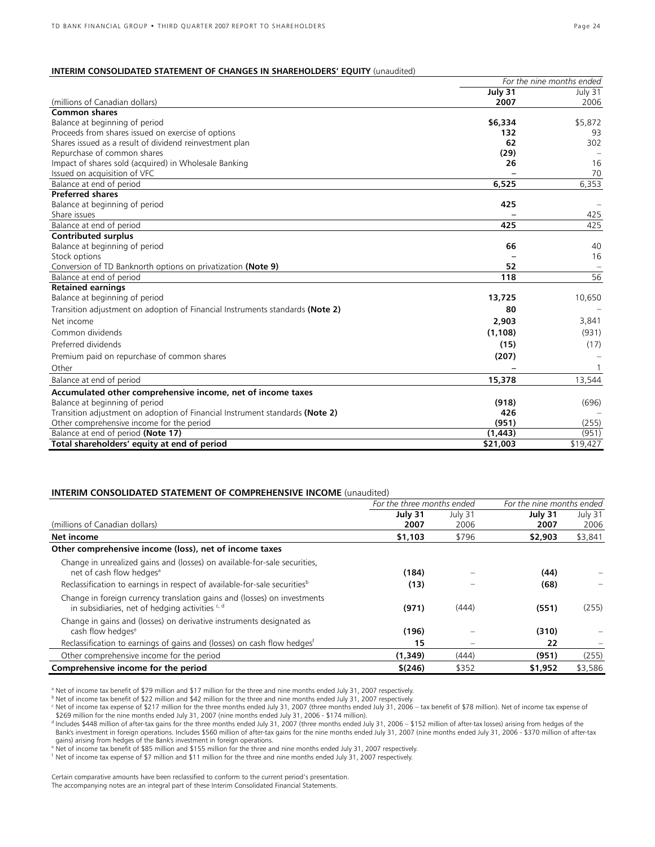### **INTERIM CONSOLIDATED STATEMENT OF CHANGES IN SHAREHOLDERS' EQUITY** (unaudited)

|                                                                               | For the nine months ended |              |  |  |
|-------------------------------------------------------------------------------|---------------------------|--------------|--|--|
|                                                                               | July 31                   | July 31      |  |  |
| (millions of Canadian dollars)                                                | 2007                      | 2006         |  |  |
| <b>Common shares</b>                                                          |                           |              |  |  |
| Balance at beginning of period                                                | \$6,334                   | \$5,872      |  |  |
| Proceeds from shares issued on exercise of options                            | 132                       | 93           |  |  |
| Shares issued as a result of dividend reinvestment plan                       | 62                        | 302          |  |  |
| Repurchase of common shares                                                   | (29)                      |              |  |  |
| Impact of shares sold (acquired) in Wholesale Banking                         | 26                        | 16           |  |  |
| Issued on acquisition of VFC                                                  |                           | 70           |  |  |
| Balance at end of period                                                      | 6,525                     | 6,353        |  |  |
| <b>Preferred shares</b>                                                       |                           |              |  |  |
| Balance at beginning of period                                                | 425                       |              |  |  |
| Share issues                                                                  |                           | 425          |  |  |
| Balance at end of period                                                      | 425                       | 425          |  |  |
| <b>Contributed surplus</b>                                                    |                           |              |  |  |
| Balance at beginning of period                                                | 66                        | 40           |  |  |
| Stock options                                                                 |                           | 16           |  |  |
| Conversion of TD Banknorth options on privatization (Note 9)                  | 52                        |              |  |  |
| Balance at end of period                                                      | 118                       | 56           |  |  |
| <b>Retained earnings</b>                                                      |                           |              |  |  |
| Balance at beginning of period                                                | 13,725                    | 10,650       |  |  |
| Transition adjustment on adoption of Financial Instruments standards (Note 2) | 80                        |              |  |  |
| Net income                                                                    | 2,903                     | 3,841        |  |  |
| Common dividends                                                              | (1, 108)                  | (931)        |  |  |
| Preferred dividends                                                           | (15)                      | (17)         |  |  |
| Premium paid on repurchase of common shares                                   | (207)                     |              |  |  |
| Other                                                                         |                           | $\mathbf{1}$ |  |  |
| Balance at end of period                                                      | 15,378                    | 13,544       |  |  |
| Accumulated other comprehensive income, net of income taxes                   |                           |              |  |  |
| Balance at beginning of period                                                | (918)                     | (696)        |  |  |
| Transition adjustment on adoption of Financial Instrument standards (Note 2)  | 426                       |              |  |  |
| Other comprehensive income for the period                                     | (951)                     | (255)        |  |  |
| Balance at end of period (Note 17)                                            | (1, 443)                  | (951)        |  |  |
| Total shareholders' equity at end of period                                   | \$21,003                  | \$19,427     |  |  |

#### **INTERIM CONSOLIDATED STATEMENT OF COMPREHENSIVE INCOME** (unaudited)

|                                                                                       | For the three months ended |         | For the nine months ended |         |  |
|---------------------------------------------------------------------------------------|----------------------------|---------|---------------------------|---------|--|
|                                                                                       | July 31                    | July 31 | July 31                   | July 31 |  |
| (millions of Canadian dollars)                                                        | 2007                       | 2006    | 2007                      | 2006    |  |
| Net income                                                                            | \$1,103                    | \$796   | \$2,903                   | \$3,841 |  |
| Other comprehensive income (loss), net of income taxes                                |                            |         |                           |         |  |
| Change in unrealized gains and (losses) on available-for-sale securities,             |                            |         |                           |         |  |
| net of cash flow hedges <sup>a</sup>                                                  | (184)                      |         | (44)                      |         |  |
| Reclassification to earnings in respect of available-for-sale securities <sup>b</sup> | (13)                       |         | (68)                      |         |  |
| Change in foreign currency translation gains and (losses) on investments              |                            |         |                           |         |  |
| in subsidiaries, net of hedging activities <sup>c, d</sup>                            | (971)                      | (444)   | (551)                     | (255)   |  |
| Change in gains and (losses) on derivative instruments designated as                  |                            |         |                           |         |  |
| cash flow hedges <sup>e</sup>                                                         | (196)                      |         | (310)                     |         |  |
| Reclassification to earnings of gains and (losses) on cash flow hedges <sup>t</sup>   | 15                         |         | 22                        |         |  |
| Other comprehensive income for the period                                             | (1.349)                    | (444)   | (951)                     | (255)   |  |
| Comprehensive income for the period                                                   | \$(246)                    | \$352   | \$1,952                   | \$3,586 |  |

a Net of income tax benefit of \$79 million and \$17 million for the three and nine months ended July 31, 2007 respectively.

b Net of income tax benefit of \$22 million and \$42 million for the three and nine months ended July 31, 2007 respectively.

Met of income tax expense of \$217 million for the three months ended July 31, 2007 (three months ended July 31, 2006 – tax benefit of \$78 million). Net of income tax expense of \$28 million tor the nine months ended July 31

d Includes \$448 million of after-tax gains for the three months ended July 31, 2007 (three months ended July 31, 2006 – \$152 million of after-tax losses) arising from hedges of the<br>Bank's investment in foreign operations. gains) arising from hedges of the Bank's investment in foreign operations.

e Net of income tax benefit of \$85 million and \$155 million for the three and nine months ended July 31, 2007 respectively.

f Net of income tax expense of \$7 million and \$11 million for the three and nine months ended July 31, 2007 respectively.

Certain comparative amounts have been reclassified to conform to the current period's presentation. The accompanying notes are an integral part of these Interim Consolidated Financial Statements.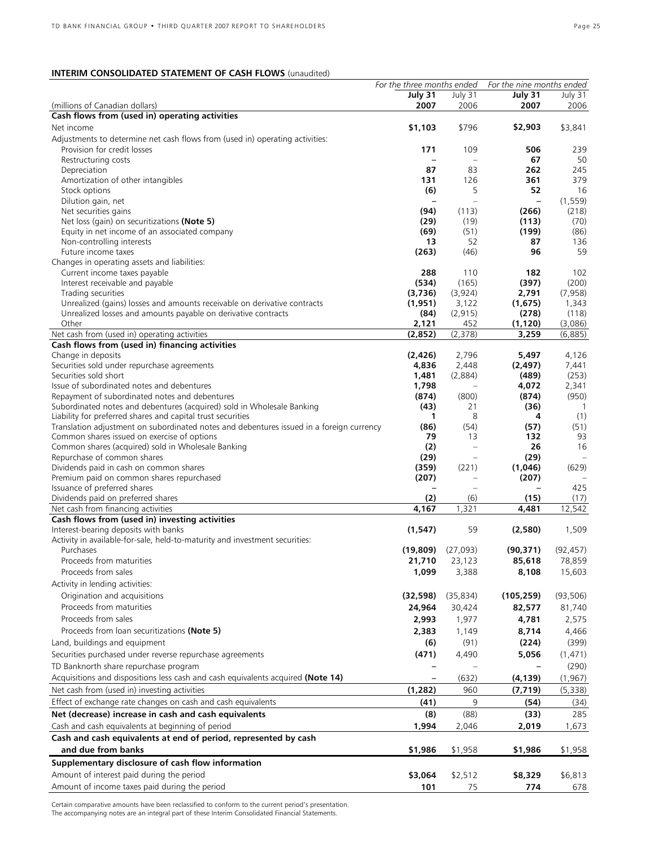### **INTERIM CONSOLIDATED STATEMENT OF CASH FLOWS** (unaudited)

|                                                                                                                                       | For the three months ended |                          | For the nine months ended |              |
|---------------------------------------------------------------------------------------------------------------------------------------|----------------------------|--------------------------|---------------------------|--------------|
|                                                                                                                                       | July 31                    | July 31                  | July 31                   | July 31      |
| (millions of Canadian dollars)<br>Cash flows from (used in) operating activities                                                      | 2007                       | 2006                     | 2007                      | 2006         |
| Net income                                                                                                                            | \$1,103                    | \$796                    | \$2,903                   | \$3,841      |
|                                                                                                                                       |                            |                          |                           |              |
| Adjustments to determine net cash flows from (used in) operating activities:<br>Provision for credit losses                           | 171                        | 109                      | 506                       | 239          |
| Restructuring costs                                                                                                                   | $\qquad \qquad -$          | $\qquad \qquad -$        | 67                        | 50           |
| Depreciation                                                                                                                          | 87                         | 83                       | 262                       | 245          |
| Amortization of other intangibles                                                                                                     | 131                        | 126                      | 361                       | 379          |
| Stock options                                                                                                                         | (6)                        | 5                        | 52                        | 16           |
| Dilution gain, net                                                                                                                    |                            | $\overline{\phantom{0}}$ | $\overline{\phantom{0}}$  | (1, 559)     |
| Net securities gains                                                                                                                  | (94)                       | (113)                    | (266)                     | (218)        |
| Net loss (gain) on securitizations (Note 5)                                                                                           | (29)                       | (19)                     | (113)                     | (70)         |
| Equity in net income of an associated company                                                                                         | (69)                       | (51)                     | (199)                     | (86)         |
| Non-controlling interests                                                                                                             | 13                         | 52                       | 87                        | 136          |
| Future income taxes                                                                                                                   | (263)                      | (46)                     | 96                        | 59           |
| Changes in operating assets and liabilities:                                                                                          |                            |                          |                           |              |
| Current income taxes payable<br>Interest receivable and payable                                                                       | 288<br>(534)               | 110<br>(165)             | 182<br>(397)              | 102<br>(200) |
| Trading securities                                                                                                                    | (3,736)                    | (3,924)                  | 2,791                     | (7, 958)     |
| Unrealized (gains) losses and amounts receivable on derivative contracts                                                              | (1,951)                    | 3,122                    | (1,675)                   | 1,343        |
| Unrealized losses and amounts payable on derivative contracts                                                                         | (84)                       | (2, 915)                 | (278)                     | (118)        |
| Other                                                                                                                                 | 2,121                      | 452                      | (1, 120)                  | (3,086)      |
| Net cash from (used in) operating activities                                                                                          | (2,852)                    | (2,378)                  | 3,259                     | (6,885)      |
| Cash flows from (used in) financing activities                                                                                        |                            |                          |                           |              |
| Change in deposits                                                                                                                    | (2, 426)                   | 2,796                    | 5,497                     | 4,126        |
| Securities sold under repurchase agreements                                                                                           | 4,836                      | 2,448                    | (2, 497)                  | 7,441        |
| Securities sold short                                                                                                                 | 1,481                      | (2,884)                  | (489)                     | (253)        |
| Issue of subordinated notes and debentures                                                                                            | 1,798                      |                          | 4,072                     | 2,341        |
| Repayment of subordinated notes and debentures                                                                                        | (874)                      | (800)                    | (874)                     | (950)        |
| Subordinated notes and debentures (acquired) sold in Wholesale Banking<br>Liability for preferred shares and capital trust securities | (43)<br>1                  | 21<br>8                  | (36)<br>4                 | 1<br>(1)     |
| Translation adjustment on subordinated notes and debentures issued in a foreign currency                                              | (86)                       | (54)                     | (57)                      | (51)         |
| Common shares issued on exercise of options                                                                                           | 79                         | 13                       | 132                       | 93           |
| Common shares (acquired) sold in Wholesale Banking                                                                                    | (2)                        | $\overline{\phantom{0}}$ | 26                        | 16           |
| Repurchase of common shares                                                                                                           | (29)                       | $\equiv$                 | (29)                      |              |
| Dividends paid in cash on common shares                                                                                               | (359)                      | (221)                    | (1,046)                   | (629)        |
| Premium paid on common shares repurchased                                                                                             | (207)                      |                          | (207)                     |              |
| Issuance of preferred shares                                                                                                          |                            | $\equiv$                 |                           | 425          |
| Dividends paid on preferred shares                                                                                                    | (2)                        | (6)                      | (15)                      | (17)         |
| Net cash from financing activities                                                                                                    | 4,167                      | 1,321                    | 4,481                     | 12,542       |
| Cash flows from (used in) investing activities<br>Interest-bearing deposits with banks                                                | (1, 547)                   | 59                       | (2,580)                   | 1,509        |
| Activity in available-for-sale, held-to-maturity and investment securities:                                                           |                            |                          |                           |              |
| Purchases                                                                                                                             | (19, 809)                  | (27,093)                 | (90, 371)                 | (92, 457)    |
| Proceeds from maturities                                                                                                              | 21,710                     | 23,123                   | 85,618                    | 78,859       |
| Proceeds from sales                                                                                                                   | 1,099                      | 3,388                    | 8,108                     | 15,603       |
| Activity in lending activities:                                                                                                       |                            |                          |                           |              |
| Origination and acquisitions                                                                                                          | (32, 598)                  | (35, 834)                | (105, 259)                | (93, 506)    |
| Proceeds from maturities                                                                                                              | 24,964                     | 30,424                   | 82,577                    | 81,740       |
| Proceeds from sales                                                                                                                   | 2,993                      |                          |                           |              |
| Proceeds from loan securitizations (Note 5)                                                                                           |                            | 1,977                    | 4,781                     | 2,575        |
|                                                                                                                                       | 2,383                      | 1,149                    | 8,714                     | 4,466        |
| Land, buildings and equipment                                                                                                         | (6)                        | (91)                     | (224)                     | (399)        |
| Securities purchased under reverse repurchase agreements                                                                              | (471)                      | 4,490                    | 5,056                     | (1, 471)     |
| TD Banknorth share repurchase program                                                                                                 |                            |                          |                           | (290)        |
| Acquisitions and dispositions less cash and cash equivalents acquired (Note 14)                                                       |                            | (632)                    | (4, 139)                  | (1, 967)     |
| Net cash from (used in) investing activities                                                                                          | (1, 282)                   | 960                      | (7, 719)                  | (5,338)      |
| Effect of exchange rate changes on cash and cash equivalents                                                                          | (41)                       | 9                        | (54)                      | (34)         |
| Net (decrease) increase in cash and cash equivalents                                                                                  | (8)                        | (88)                     | (33)                      | 285          |
| Cash and cash equivalents at beginning of period                                                                                      | 1,994                      | 2,046                    | 2,019                     | 1,673        |
| Cash and cash equivalents at end of period, represented by cash                                                                       |                            |                          |                           |              |
| and due from banks                                                                                                                    | \$1,986                    | \$1,958                  | \$1,986                   | \$1,958      |
| Supplementary disclosure of cash flow information                                                                                     |                            |                          |                           |              |
| Amount of interest paid during the period                                                                                             | \$3,064                    | \$2,512                  | \$8,329                   | \$6,813      |
| Amount of income taxes paid during the period                                                                                         | 101                        | 75                       | 774                       | 678          |
|                                                                                                                                       |                            |                          |                           |              |

Certain comparative amounts have been reclassified to conform to the current period's presentation. The accompanying notes are an integral part of these Interim Consolidated Financial Statements.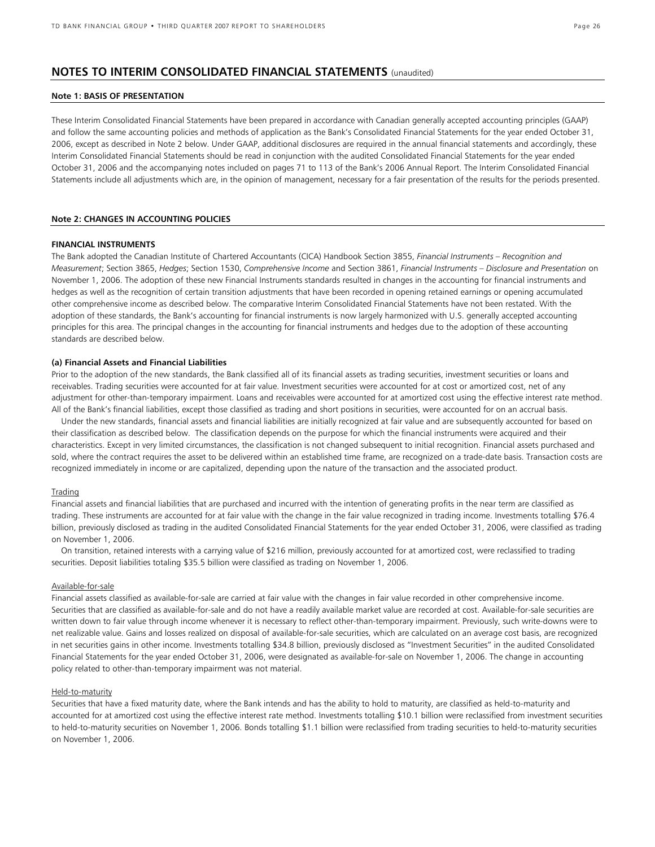### **NOTES TO INTERIM CONSOLIDATED FINANCIAL STATEMENTS** (unaudited)

#### **Note 1: BASIS OF PRESENTATION**

These Interim Consolidated Financial Statements have been prepared in accordance with Canadian generally accepted accounting principles (GAAP) and follow the same accounting policies and methods of application as the Bank's Consolidated Financial Statements for the year ended October 31, 2006, except as described in Note 2 below. Under GAAP, additional disclosures are required in the annual financial statements and accordingly, these Interim Consolidated Financial Statements should be read in conjunction with the audited Consolidated Financial Statements for the year ended October 31, 2006 and the accompanying notes included on pages 71 to 113 of the Bank's 2006 Annual Report. The Interim Consolidated Financial Statements include all adjustments which are, in the opinion of management, necessary for a fair presentation of the results for the periods presented.

#### **Note 2: CHANGES IN ACCOUNTING POLICIES**

#### **FINANCIAL INSTRUMENTS**

The Bank adopted the Canadian Institute of Chartered Accountants (CICA) Handbook Section 3855, *Financial Instruments – Recognition and Measurement*; Section 3865, *Hedges*; Section 1530, *Comprehensive Income* and Section 3861, *Financial Instruments – Disclosure and Presentation* on November 1, 2006. The adoption of these new Financial Instruments standards resulted in changes in the accounting for financial instruments and hedges as well as the recognition of certain transition adjustments that have been recorded in opening retained earnings or opening accumulated other comprehensive income as described below. The comparative Interim Consolidated Financial Statements have not been restated. With the adoption of these standards, the Bank's accounting for financial instruments is now largely harmonized with U.S. generally accepted accounting principles for this area. The principal changes in the accounting for financial instruments and hedges due to the adoption of these accounting standards are described below.

#### **(a) Financial Assets and Financial Liabilities**

Prior to the adoption of the new standards, the Bank classified all of its financial assets as trading securities, investment securities or loans and receivables. Trading securities were accounted for at fair value. Investment securities were accounted for at cost or amortized cost, net of any adjustment for other-than-temporary impairment. Loans and receivables were accounted for at amortized cost using the effective interest rate method. All of the Bank's financial liabilities, except those classified as trading and short positions in securities, were accounted for on an accrual basis.

Under the new standards, financial assets and financial liabilities are initially recognized at fair value and are subsequently accounted for based on their classification as described below. The classification depends on the purpose for which the financial instruments were acquired and their characteristics. Except in very limited circumstances, the classification is not changed subsequent to initial recognition. Financial assets purchased and sold, where the contract requires the asset to be delivered within an established time frame, are recognized on a trade-date basis. Transaction costs are recognized immediately in income or are capitalized, depending upon the nature of the transaction and the associated product.

#### Trading

Financial assets and financial liabilities that are purchased and incurred with the intention of generating profits in the near term are classified as trading. These instruments are accounted for at fair value with the change in the fair value recognized in trading income. Investments totalling \$76.4 billion, previously disclosed as trading in the audited Consolidated Financial Statements for the year ended October 31, 2006, were classified as trading on November 1, 2006.

On transition, retained interests with a carrying value of \$216 million, previously accounted for at amortized cost, were reclassified to trading securities. Deposit liabilities totaling \$35.5 billion were classified as trading on November 1, 2006.

#### Available-for-sale

Financial assets classified as available-for-sale are carried at fair value with the changes in fair value recorded in other comprehensive income. Securities that are classified as available-for-sale and do not have a readily available market value are recorded at cost. Available-for-sale securities are written down to fair value through income whenever it is necessary to reflect other-than-temporary impairment. Previously, such write-downs were to net realizable value. Gains and losses realized on disposal of available-for-sale securities, which are calculated on an average cost basis, are recognized in net securities gains in other income. Investments totalling \$34.8 billion, previously disclosed as "Investment Securities" in the audited Consolidated Financial Statements for the year ended October 31, 2006, were designated as available-for-sale on November 1, 2006. The change in accounting policy related to other-than-temporary impairment was not material.

#### Held-to-maturity

Securities that have a fixed maturity date, where the Bank intends and has the ability to hold to maturity, are classified as held-to-maturity and accounted for at amortized cost using the effective interest rate method. Investments totalling \$10.1 billion were reclassified from investment securities to held-to-maturity securities on November 1, 2006. Bonds totalling \$1.1 billion were reclassified from trading securities to held-to-maturity securities on November 1, 2006.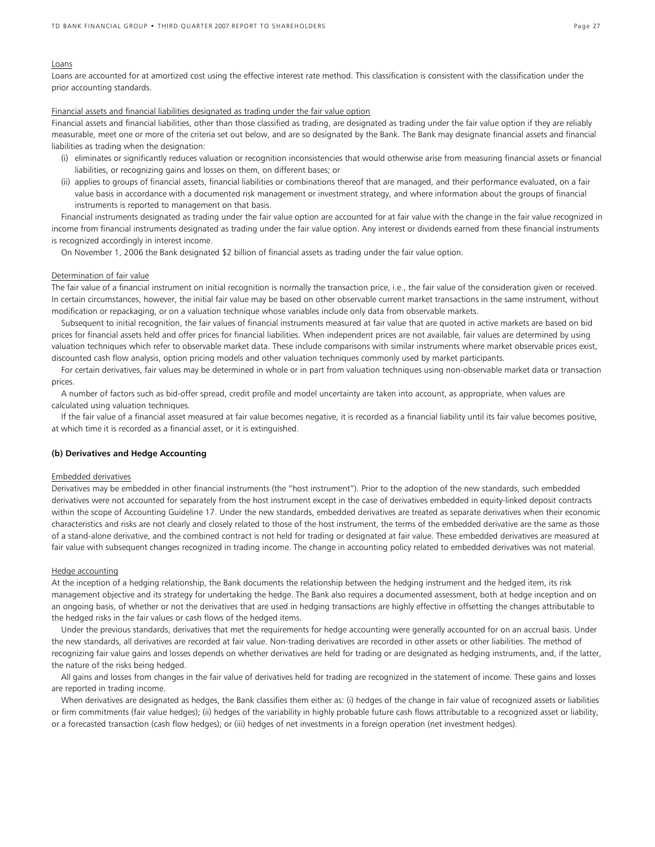#### Loans

Loans are accounted for at amortized cost using the effective interest rate method. This classification is consistent with the classification under the prior accounting standards.

#### Financial assets and financial liabilities designated as trading under the fair value option

Financial assets and financial liabilities, other than those classified as trading, are designated as trading under the fair value option if they are reliably measurable, meet one or more of the criteria set out below, and are so designated by the Bank. The Bank may designate financial assets and financial liabilities as trading when the designation:

- (i) eliminates or significantly reduces valuation or recognition inconsistencies that would otherwise arise from measuring financial assets or financial liabilities, or recognizing gains and losses on them, on different bases; or
- (ii) applies to groups of financial assets, financial liabilities or combinations thereof that are managed, and their performance evaluated, on a fair value basis in accordance with a documented risk management or investment strategy, and where information about the groups of financial instruments is reported to management on that basis.

Financial instruments designated as trading under the fair value option are accounted for at fair value with the change in the fair value recognized in income from financial instruments designated as trading under the fair value option. Any interest or dividends earned from these financial instruments is recognized accordingly in interest income.

On November 1, 2006 the Bank designated \$2 billion of financial assets as trading under the fair value option.

#### Determination of fair value

The fair value of a financial instrument on initial recognition is normally the transaction price, i.e., the fair value of the consideration given or received. In certain circumstances, however, the initial fair value may be based on other observable current market transactions in the same instrument, without modification or repackaging, or on a valuation technique whose variables include only data from observable markets.

Subsequent to initial recognition, the fair values of financial instruments measured at fair value that are quoted in active markets are based on bid prices for financial assets held and offer prices for financial liabilities. When independent prices are not available, fair values are determined by using valuation techniques which refer to observable market data. These include comparisons with similar instruments where market observable prices exist, discounted cash flow analysis, option pricing models and other valuation techniques commonly used by market participants.

For certain derivatives, fair values may be determined in whole or in part from valuation techniques using non-observable market data or transaction prices.

A number of factors such as bid-offer spread, credit profile and model uncertainty are taken into account, as appropriate, when values are calculated using valuation techniques.

If the fair value of a financial asset measured at fair value becomes negative, it is recorded as a financial liability until its fair value becomes positive, at which time it is recorded as a financial asset, or it is extinguished.

#### **(b) Derivatives and Hedge Accounting**

#### Embedded derivatives

Derivatives may be embedded in other financial instruments (the "host instrument"). Prior to the adoption of the new standards, such embedded derivatives were not accounted for separately from the host instrument except in the case of derivatives embedded in equity-linked deposit contracts within the scope of Accounting Guideline 17. Under the new standards, embedded derivatives are treated as separate derivatives when their economic characteristics and risks are not clearly and closely related to those of the host instrument, the terms of the embedded derivative are the same as those of a stand-alone derivative, and the combined contract is not held for trading or designated at fair value. These embedded derivatives are measured at fair value with subsequent changes recognized in trading income. The change in accounting policy related to embedded derivatives was not material.

#### Hedge accounting

At the inception of a hedging relationship, the Bank documents the relationship between the hedging instrument and the hedged item, its risk management objective and its strategy for undertaking the hedge. The Bank also requires a documented assessment, both at hedge inception and on an ongoing basis, of whether or not the derivatives that are used in hedging transactions are highly effective in offsetting the changes attributable to the hedged risks in the fair values or cash flows of the hedged items.

Under the previous standards, derivatives that met the requirements for hedge accounting were generally accounted for on an accrual basis. Under the new standards, all derivatives are recorded at fair value. Non-trading derivatives are recorded in other assets or other liabilities. The method of recognizing fair value gains and losses depends on whether derivatives are held for trading or are designated as hedging instruments, and, if the latter, the nature of the risks being hedged.

All gains and losses from changes in the fair value of derivatives held for trading are recognized in the statement of income. These gains and losses are reported in trading income.

When derivatives are designated as hedges, the Bank classifies them either as: (i) hedges of the change in fair value of recognized assets or liabilities or firm commitments (fair value hedges); (ii) hedges of the variability in highly probable future cash flows attributable to a recognized asset or liability, or a forecasted transaction (cash flow hedges); or (iii) hedges of net investments in a foreign operation (net investment hedges).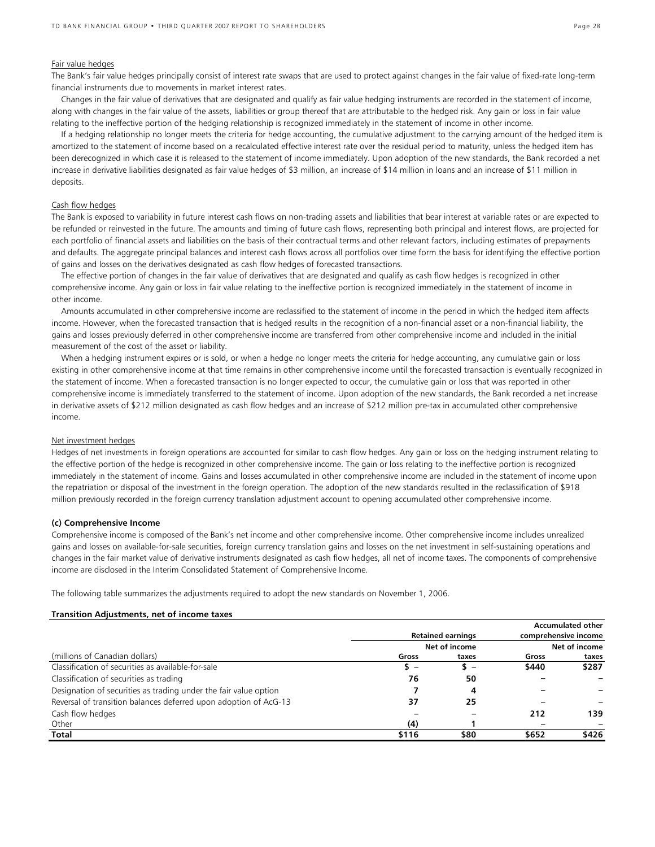#### Fair value hedges

The Bank's fair value hedges principally consist of interest rate swaps that are used to protect against changes in the fair value of fixed-rate long-term financial instruments due to movements in market interest rates.

Changes in the fair value of derivatives that are designated and qualify as fair value hedging instruments are recorded in the statement of income, along with changes in the fair value of the assets, liabilities or group thereof that are attributable to the hedged risk. Any gain or loss in fair value relating to the ineffective portion of the hedging relationship is recognized immediately in the statement of income in other income.

If a hedging relationship no longer meets the criteria for hedge accounting, the cumulative adjustment to the carrying amount of the hedged item is amortized to the statement of income based on a recalculated effective interest rate over the residual period to maturity, unless the hedged item has been derecognized in which case it is released to the statement of income immediately. Upon adoption of the new standards, the Bank recorded a net increase in derivative liabilities designated as fair value hedges of \$3 million, an increase of \$14 million in loans and an increase of \$11 million in deposits.

#### Cash flow hedges

The Bank is exposed to variability in future interest cash flows on non-trading assets and liabilities that bear interest at variable rates or are expected to be refunded or reinvested in the future. The amounts and timing of future cash flows, representing both principal and interest flows, are projected for each portfolio of financial assets and liabilities on the basis of their contractual terms and other relevant factors, including estimates of prepayments and defaults. The aggregate principal balances and interest cash flows across all portfolios over time form the basis for identifying the effective portion of gains and losses on the derivatives designated as cash flow hedges of forecasted transactions.

The effective portion of changes in the fair value of derivatives that are designated and qualify as cash flow hedges is recognized in other comprehensive income. Any gain or loss in fair value relating to the ineffective portion is recognized immediately in the statement of income in other income.

Amounts accumulated in other comprehensive income are reclassified to the statement of income in the period in which the hedged item affects income. However, when the forecasted transaction that is hedged results in the recognition of a non-financial asset or a non-financial liability, the gains and losses previously deferred in other comprehensive income are transferred from other comprehensive income and included in the initial measurement of the cost of the asset or liability.

When a hedging instrument expires or is sold, or when a hedge no longer meets the criteria for hedge accounting, any cumulative gain or loss existing in other comprehensive income at that time remains in other comprehensive income until the forecasted transaction is eventually recognized in the statement of income. When a forecasted transaction is no longer expected to occur, the cumulative gain or loss that was reported in other comprehensive income is immediately transferred to the statement of income. Upon adoption of the new standards, the Bank recorded a net increase in derivative assets of \$212 million designated as cash flow hedges and an increase of \$212 million pre-tax in accumulated other comprehensive income.

#### Net investment hedges

Hedges of net investments in foreign operations are accounted for similar to cash flow hedges. Any gain or loss on the hedging instrument relating to the effective portion of the hedge is recognized in other comprehensive income. The gain or loss relating to the ineffective portion is recognized immediately in the statement of income. Gains and losses accumulated in other comprehensive income are included in the statement of income upon the repatriation or disposal of the investment in the foreign operation. The adoption of the new standards resulted in the reclassification of \$918 million previously recorded in the foreign currency translation adjustment account to opening accumulated other comprehensive income.

#### **(c) Comprehensive Income**

Comprehensive income is composed of the Bank's net income and other comprehensive income. Other comprehensive income includes unrealized gains and losses on available-for-sale securities, foreign currency translation gains and losses on the net investment in self-sustaining operations and changes in the fair market value of derivative instruments designated as cash flow hedges, all net of income taxes. The components of comprehensive income are disclosed in the Interim Consolidated Statement of Comprehensive Income.

The following table summarizes the adjustments required to adopt the new standards on November 1, 2006.

#### **Transition Adjustments, net of income taxes**

|                                                                  |       |                          |                      | <b>Accumulated other</b> |  |  |
|------------------------------------------------------------------|-------|--------------------------|----------------------|--------------------------|--|--|
|                                                                  |       | <b>Retained earnings</b> | comprehensive income |                          |  |  |
|                                                                  |       | Net of income            |                      | Net of income            |  |  |
| (millions of Canadian dollars)                                   | Gross | taxes                    | Gross                | taxes                    |  |  |
| Classification of securities as available-for-sale               | s –   | s –                      | \$440                | \$287                    |  |  |
| Classification of securities as trading                          | 76    | 50                       |                      |                          |  |  |
| Designation of securities as trading under the fair value option |       | 4                        |                      |                          |  |  |
| Reversal of transition balances deferred upon adoption of AcG-13 | 37    | 25                       |                      |                          |  |  |
| Cash flow hedges                                                 |       |                          | 212                  | 139                      |  |  |
| Other                                                            | (4)   |                          |                      |                          |  |  |
| Total                                                            | \$116 | \$80                     | \$652                | \$426                    |  |  |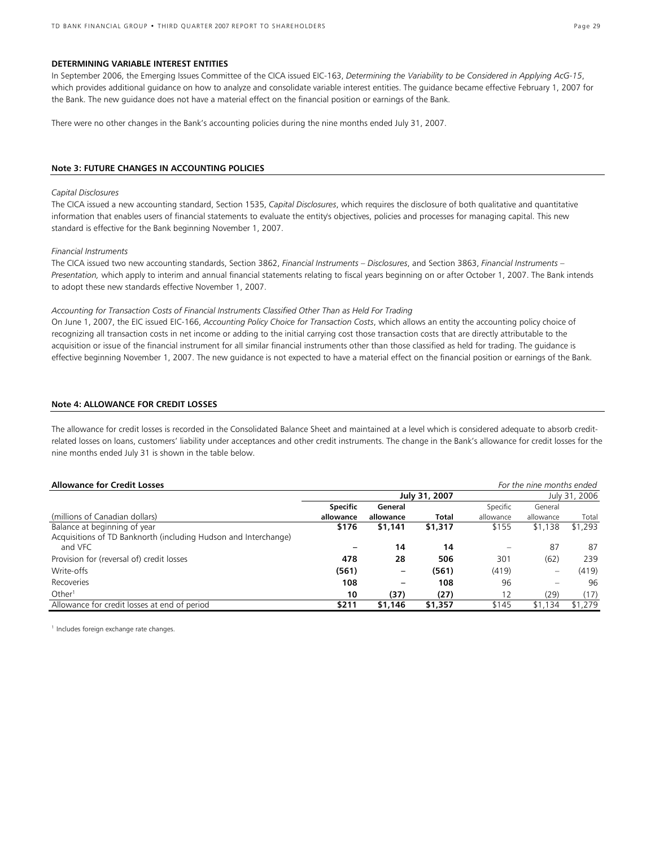#### **DETERMINING VARIABLE INTEREST ENTITIES**

In September 2006, the Emerging Issues Committee of the CICA issued EIC-163, *Determining the Variability to be Considered in Applying AcG-15*, which provides additional guidance on how to analyze and consolidate variable interest entities. The guidance became effective February 1, 2007 for the Bank. The new guidance does not have a material effect on the financial position or earnings of the Bank.

There were no other changes in the Bank's accounting policies during the nine months ended July 31, 2007.

#### **Note 3: FUTURE CHANGES IN ACCOUNTING POLICIES**

#### *Capital Disclosures*

The CICA issued a new accounting standard, Section 1535, *Capital Disclosures*, which requires the disclosure of both qualitative and quantitative information that enables users of financial statements to evaluate the entity's objectives, policies and processes for managing capital. This new standard is effective for the Bank beginning November 1, 2007.

#### *Financial Instruments*

The CICA issued two new accounting standards, Section 3862, *Financial Instruments – Disclosures*, and Section 3863, *Financial Instruments – Presentation,* which apply to interim and annual financial statements relating to fiscal years beginning on or after October 1, 2007. The Bank intends to adopt these new standards effective November 1, 2007.

#### *Accounting for Transaction Costs of Financial Instruments Classified Other Than as Held For Trading*

On June 1, 2007, the EIC issued EIC-166, *Accounting Policy Choice for Transaction Costs*, which allows an entity the accounting policy choice of recognizing all transaction costs in net income or adding to the initial carrying cost those transaction costs that are directly attributable to the acquisition or issue of the financial instrument for all similar financial instruments other than those classified as held for trading. The guidance is effective beginning November 1, 2007. The new guidance is not expected to have a material effect on the financial position or earnings of the Bank.

### **Note 4: ALLOWANCE FOR CREDIT LOSSES**

The allowance for credit losses is recorded in the Consolidated Balance Sheet and maintained at a level which is considered adequate to absorb creditrelated losses on loans, customers' liability under acceptances and other credit instruments. The change in the Bank's allowance for credit losses for the nine months ended July 31 is shown in the table below.

| <b>Allowance for Credit Losses</b>                              |                 |           |               |           | For the nine months ended |               |
|-----------------------------------------------------------------|-----------------|-----------|---------------|-----------|---------------------------|---------------|
|                                                                 |                 |           | July 31, 2007 |           |                           | July 31, 2006 |
|                                                                 | <b>Specific</b> | General   |               | Specific  | General                   |               |
| (millions of Canadian dollars)                                  | allowance       | allowance | Total         | allowance | allowance                 | Total         |
| Balance at beginning of year                                    | \$176           | \$1,141   | \$1,317       | \$155     | \$1,138                   | \$1,293       |
| Acquisitions of TD Banknorth (including Hudson and Interchange) |                 |           |               |           |                           |               |
| and VFC                                                         |                 | 14        | 14            |           | 87                        | 87            |
| Provision for (reversal of) credit losses                       | 478             | 28        | 506           | 301       | (62)                      | 239           |
| Write-offs                                                      | (561)           | -         | (561)         | (419)     | -                         | (419)         |
| Recoveries                                                      | 108             |           | 108           | 96        |                           | 96            |
| Other <sup>1</sup>                                              | 10              | (37)      | (27)          | 12        | (29)                      | (17)          |
| Allowance for credit losses at end of period                    | \$211           | \$1,146   | \$1,357       | \$145     | \$1,134                   | \$1,279       |

<sup>1</sup> Includes foreign exchange rate changes.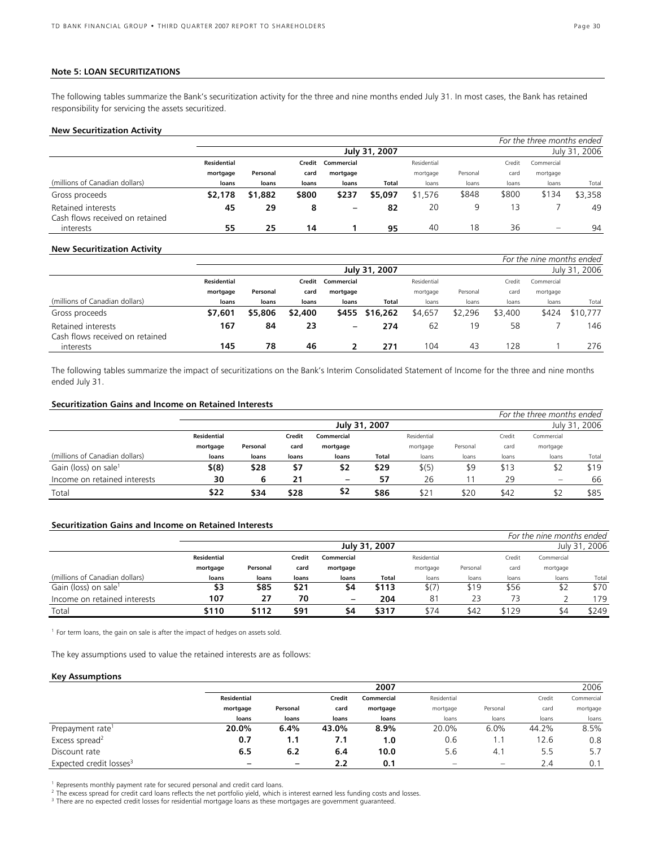#### **Note 5: LOAN SECURITIZATIONS**

The following tables summarize the Bank's securitization activity for the three and nine months ended July 31. In most cases, the Bank has retained responsibility for servicing the assets securitized.

#### **New Securitization Activity**

|                                              |                    |          |        |                          |               |             |          |        | For the three months ended |               |
|----------------------------------------------|--------------------|----------|--------|--------------------------|---------------|-------------|----------|--------|----------------------------|---------------|
|                                              |                    |          |        |                          | July 31, 2007 |             |          |        |                            | July 31, 2006 |
|                                              | <b>Residential</b> |          | Credit | Commercial               |               | Residential |          | Credit | Commercial                 |               |
|                                              | mortgage           | Personal | card   | mortgage                 |               | mortgage    | Personal | card   | mortgage                   |               |
| (millions of Canadian dollars)               | loans              | loans    | loans  | loans                    | Total         | loans       | loans    | loans  | loans                      | Total         |
| Gross proceeds                               | \$2,178            | \$1,882  | \$800  | \$237                    | \$5,097       | \$1,576     | \$848    | \$800  | \$134                      | \$3,358       |
| Retained interests                           | 45                 | 29       | 8      | $\overline{\phantom{0}}$ | 82            | 20          | 9        | 3      |                            | 49            |
| Cash flows received on retained<br>interests | 55                 | 25       | 14     |                          | 95            | 40          | 18       | 36     | $\equiv$                   | 94            |

#### **New Securitization Activity**

|                                                       |                    |          |         |                 |                |             |          |         | For the nine months ended |               |
|-------------------------------------------------------|--------------------|----------|---------|-----------------|----------------|-------------|----------|---------|---------------------------|---------------|
|                                                       |                    |          |         |                 | July 31, 2007  |             |          |         |                           | July 31, 2006 |
|                                                       | <b>Residential</b> |          | Credit  | Commercial      |                | Residential |          | Credit  | Commercial                |               |
|                                                       | mortgage           | Personal | card    | mortgage        |                | mortgage    | Personal | card    | mortgage                  |               |
| (millions of Canadian dollars)                        | loans              | loans    | loans   | loans           | Total          | loans       | loans    | loans   | loans                     | Total         |
| Gross proceeds                                        | \$7,601            | \$5,806  | \$2,400 |                 | \$455 \$16,262 | \$4,657     | \$2,296  | \$3,400 | \$424                     | \$10,777      |
| Retained interests<br>Cash flows received on retained | 167                | 84       | 23      | $\qquad \qquad$ | 274            | 62          | 19       | 58      |                           | 146           |
| interests                                             | 145                | 78       | 46      |                 | 271            | 104         | 43       | 128     |                           | 276           |

The following tables summarize the impact of securitizations on the Bank's Interim Consolidated Statement of Income for the three and nine months ended July 31.

#### **Securitization Gains and Income on Retained Interests**

|                                  |                    |          |        |            |               |             |          |        | For the three months ended |               |
|----------------------------------|--------------------|----------|--------|------------|---------------|-------------|----------|--------|----------------------------|---------------|
|                                  |                    |          |        |            | July 31, 2007 |             |          |        |                            | July 31, 2006 |
|                                  | <b>Residential</b> |          | Credit | Commercial |               | Residential |          | Credit | Commercial                 |               |
|                                  | mortgage           | Personal | card   | mortgage   |               | mortgage    | Personal | card   | mortgage                   |               |
| (millions of Canadian dollars)   | loans              | loans    | loans  | loans      | Total         | loans       | loans    | loans  | loans                      | Total         |
| Gain (loss) on sale <sup>1</sup> | \$(8)              | \$28     | \$7    | \$2        | \$29          | \$(5)       | \$9      | \$13   | \$2                        | \$19          |
| Income on retained interests     | 30                 |          | 21     | -          | 57            | 26          |          | 29     | $\qquad \qquad =$          | 66            |
| Total                            | \$22               | \$34     | \$28   | \$2        | \$86          | \$2         | \$20     | \$42   | \$2                        | \$85          |

### **Securitization Gains and Income on Retained Interests**

|                                  |                    |          |        |                          |               |             |          |        | For the nine months ended |               |
|----------------------------------|--------------------|----------|--------|--------------------------|---------------|-------------|----------|--------|---------------------------|---------------|
|                                  |                    |          |        |                          | July 31, 2007 |             |          |        |                           | July 31, 2006 |
|                                  | <b>Residential</b> |          | Credit | Commercial               |               | Residential |          | Credit | Commercial                |               |
|                                  | mortgage           | Personal | card   | mortgage                 |               | mortgage    | Personal | card   | mortgage                  |               |
| (millions of Canadian dollars)   | loans              | loans    | loans  | loans                    | Total         | loans       | loans    | loans  | loans                     | Total         |
| Gain (loss) on sale <sup>1</sup> | \$3                | \$85     | \$21   | \$4                      | \$113         | \$(7)       | \$19     | \$56   |                           | \$70          |
| Income on retained interests     | 107                | 27       | 70     | $\overline{\phantom{m}}$ | 204           | 81          | 23       | 73     |                           | 179           |
| Total                            | \$110              | \$112    | \$91   | \$4                      | \$317         | \$74        | \$42     | \$129  | \$4                       | \$249         |

<sup>1</sup> For term loans, the gain on sale is after the impact of hedges on assets sold.

The key assumptions used to value the retained interests are as follows:

### **Key Assumptions**

|                                     |             |                          |        | 2007       |                          |                          |        | 2006       |
|-------------------------------------|-------------|--------------------------|--------|------------|--------------------------|--------------------------|--------|------------|
|                                     | Residential |                          | Credit | Commercial | Residential              |                          | Credit | Commercial |
|                                     | mortgage    | Personal                 | card   | mortgage   | mortgage                 | Personal                 | card   | mortgage   |
|                                     | loans       | loans                    | loans  | loans      | loans                    | loans                    | loans  | loans      |
| Prepayment rate <sup>1</sup>        | 20.0%       | 6.4%                     | 43.0%  | 8.9%       | 20.0%                    | 6.0%                     | 44.2%  | 8.5%       |
| Excess spread <sup>2</sup>          | 0.7         | 1.1                      | 7.1    | 1.0        | 0.6                      |                          | 12.6   | 0.8        |
| Discount rate                       | 6.5         | 6.2                      | 6.4    | 10.0       | 5.6                      | 4.1                      | 5.5    | 5.7        |
| Expected credit losses <sup>3</sup> |             | $\overline{\phantom{0}}$ | 2.2    | 0.1        | $\overline{\phantom{0}}$ | $\overline{\phantom{0}}$ | 2.4    | 0.1        |

<sup>1</sup> Represents monthly payment rate for secured personal and credit card loans.

<sup>2</sup> The excess spread for credit card loans reflects the net portfolio yield, which is interest earned less funding costs and losses.<br><sup>3</sup> There are no expected credit losses for residential mertaage loans as these mertaage

<sup>3</sup> There are no expected credit losses for residential mortgage loans as these mortgages are government guaranteed.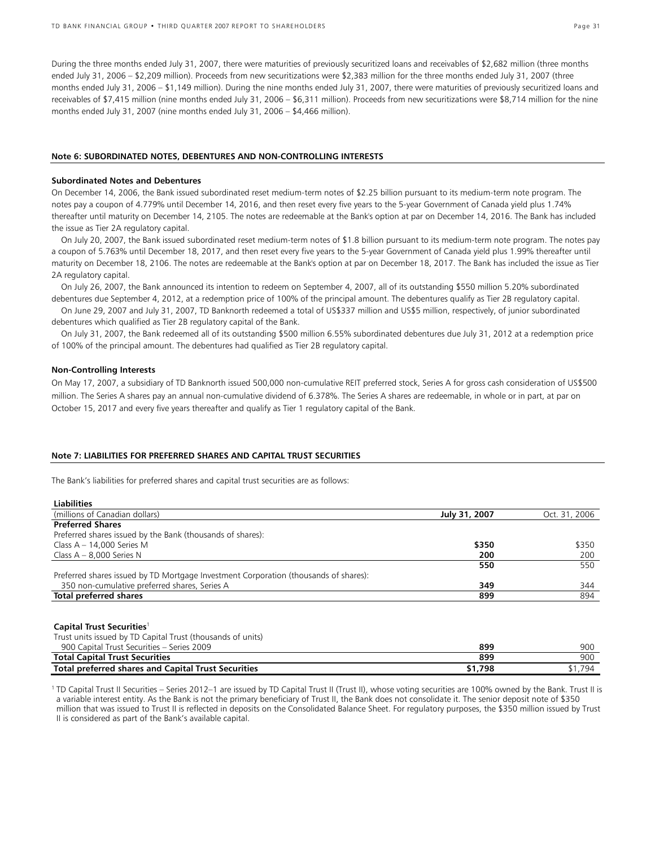During the three months ended July 31, 2007, there were maturities of previously securitized loans and receivables of \$2,682 million (three months ended July 31, 2006 – \$2,209 million). Proceeds from new securitizations were \$2,383 million for the three months ended July 31, 2007 (three months ended July 31, 2006 – \$1,149 million). During the nine months ended July 31, 2007, there were maturities of previously securitized loans and receivables of \$7,415 million (nine months ended July 31, 2006 – \$6,311 million). Proceeds from new securitizations were \$8,714 million for the nine months ended July 31, 2007 (nine months ended July 31, 2006 – \$4,466 million).

#### **Note 6: SUBORDINATED NOTES, DEBENTURES AND NON-CONTROLLING INTERESTS**

#### **Subordinated Notes and Debentures**

On December 14, 2006, the Bank issued subordinated reset medium-term notes of \$2.25 billion pursuant to its medium-term note program. The notes pay a coupon of 4.779% until December 14, 2016, and then reset every five years to the 5-year Government of Canada yield plus 1.74% thereafter until maturity on December 14, 2105. The notes are redeemable at the Bank's option at par on December 14, 2016. The Bank has included the issue as Tier 2A regulatory capital.

On July 20, 2007, the Bank issued subordinated reset medium-term notes of \$1.8 billion pursuant to its medium-term note program. The notes pay a coupon of 5.763% until December 18, 2017, and then reset every five years to the 5-year Government of Canada yield plus 1.99% thereafter until maturity on December 18, 2106. The notes are redeemable at the Bank's option at par on December 18, 2017. The Bank has included the issue as Tier 2A regulatory capital.

On July 26, 2007, the Bank announced its intention to redeem on September 4, 2007, all of its outstanding \$550 million 5.20% subordinated debentures due September 4, 2012, at a redemption price of 100% of the principal amount. The debentures qualify as Tier 2B regulatory capital.

On June 29, 2007 and July 31, 2007, TD Banknorth redeemed a total of US\$337 million and US\$5 million, respectively, of junior subordinated debentures which qualified as Tier 2B regulatory capital of the Bank.

On July 31, 2007, the Bank redeemed all of its outstanding \$500 million 6.55% subordinated debentures due July 31, 2012 at a redemption price of 100% of the principal amount. The debentures had qualified as Tier 2B regulatory capital.

#### **Non-Controlling Interests**

On May 17, 2007, a subsidiary of TD Banknorth issued 500,000 non-cumulative REIT preferred stock, Series A for gross cash consideration of US\$500 million. The Series A shares pay an annual non-cumulative dividend of 6.378%. The Series A shares are redeemable, in whole or in part, at par on October 15, 2017 and every five years thereafter and qualify as Tier 1 regulatory capital of the Bank.

#### **Note 7: LIABILITIES FOR PREFERRED SHARES AND CAPITAL TRUST SECURITIES**

The Bank's liabilities for preferred shares and capital trust securities are as follows:

| <b>Liabilities</b>                                                                   |               |               |
|--------------------------------------------------------------------------------------|---------------|---------------|
| (millions of Canadian dollars)                                                       | July 31, 2007 | Oct. 31, 2006 |
| <b>Preferred Shares</b>                                                              |               |               |
| Preferred shares issued by the Bank (thousands of shares):                           |               |               |
| Class $A - 14,000$ Series M                                                          | \$350         | \$350         |
| Class $A - 8,000$ Series N                                                           | 200           | 200           |
|                                                                                      | 550           | 550           |
| Preferred shares issued by TD Mortgage Investment Corporation (thousands of shares): |               |               |
| 350 non-cumulative preferred shares, Series A                                        | 349           | 344           |
| Total preferred shares                                                               | 899           | 894           |

#### **Capital Trust Securities**<sup>1</sup>

| Trust units issued by TD Capital Trust (thousands of units) |         |         |
|-------------------------------------------------------------|---------|---------|
| 900 Capital Trust Securities - Series 2009                  | 899     | 900     |
| <b>Total Capital Trust Securities</b>                       | 899     | 900     |
| Total preferred shares and Capital Trust Securities         | \$1.798 | \$1,794 |

<sup>1</sup> TD Capital Trust II Securities – Series 2012–1 are issued by TD Capital Trust II (Trust II), whose voting securities are 100% owned by the Bank. Trust II is a variable interest entity. As the Bank is not the primary beneficiary of Trust II, the Bank does not consolidate it. The senior deposit note of \$350 million that was issued to Trust II is reflected in deposits on the Consolidated Balance Sheet. For regulatory purposes, the \$350 million issued by Trust II is considered as part of the Bank's available capital.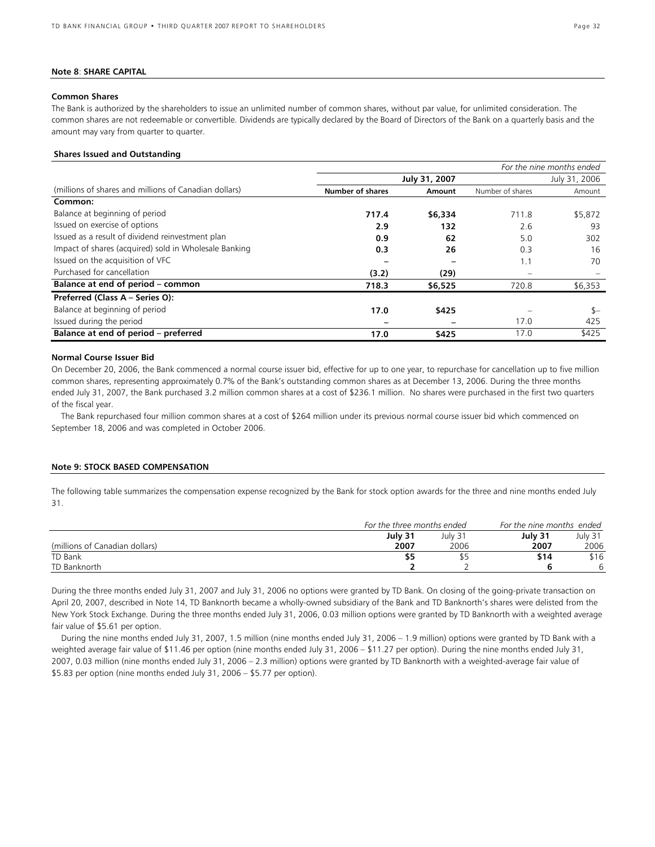#### **Note 8**: **SHARE CAPITAL**

#### **Common Shares**

The Bank is authorized by the shareholders to issue an unlimited number of common shares, without par value, for unlimited consideration. The common shares are not redeemable or convertible. Dividends are typically declared by the Board of Directors of the Bank on a quarterly basis and the amount may vary from quarter to quarter.

#### **Shares Issued and Outstanding**

|                                                       |                         |               |                  | For the nine months ended |
|-------------------------------------------------------|-------------------------|---------------|------------------|---------------------------|
|                                                       | July 31, 2007           | July 31, 2006 |                  |                           |
| (millions of shares and millions of Canadian dollars) | <b>Number of shares</b> | Amount        | Number of shares | Amount                    |
| Common:                                               |                         |               |                  |                           |
| Balance at beginning of period                        | 717.4                   | \$6,334       | 711.8            | \$5,872                   |
| Issued on exercise of options                         | 2.9                     | 132           | 2.6              | 93                        |
| Issued as a result of dividend reinvestment plan      | 0.9                     | 62            | 5.0              | 302                       |
| Impact of shares (acquired) sold in Wholesale Banking | 0.3                     | 26            | 0.3              | 16                        |
| Issued on the acquisition of VFC                      |                         |               | 1.1              | 70                        |
| Purchased for cancellation                            | (3.2)                   | (29)          |                  |                           |
| Balance at end of period – common                     | 718.3                   | \$6,525       | 720.8            | \$6,353                   |
| Preferred (Class A - Series O):                       |                         |               |                  |                           |
| Balance at beginning of period                        | 17.0                    | \$425         |                  | $S-$                      |
| Issued during the period                              |                         |               | 17.0             | 425                       |
| Balance at end of period - preferred                  | 17.0                    | \$425         | 17.0             | \$425                     |

#### **Normal Course Issuer Bid**

On December 20, 2006, the Bank commenced a normal course issuer bid, effective for up to one year, to repurchase for cancellation up to five million common shares, representing approximately 0.7% of the Bank's outstanding common shares as at December 13, 2006. During the three months ended July 31, 2007, the Bank purchased 3.2 million common shares at a cost of \$236.1 million. No shares were purchased in the first two quarters of the fiscal year.

The Bank repurchased four million common shares at a cost of \$264 million under its previous normal course issuer bid which commenced on September 18, 2006 and was completed in October 2006.

#### **Note 9: STOCK BASED COMPENSATION**

The following table summarizes the compensation expense recognized by the Bank for stock option awards for the three and nine months ended July 31.

|                                |         | For the three months ended |         | For the nine months ended |
|--------------------------------|---------|----------------------------|---------|---------------------------|
|                                | July 31 | July 31                    | July 31 | July 31                   |
| (millions of Canadian dollars) | 2007    | 2006                       | 2007    | 2006                      |
| TD Bank                        | \$5     |                            | \$14    | \$16                      |
| TD Banknorth                   |         |                            |         |                           |

During the three months ended July 31, 2007 and July 31, 2006 no options were granted by TD Bank. On closing of the going-private transaction on April 20, 2007, described in Note 14, TD Banknorth became a wholly-owned subsidiary of the Bank and TD Banknorth's shares were delisted from the New York Stock Exchange. During the three months ended July 31, 2006, 0.03 million options were granted by TD Banknorth with a weighted average fair value of \$5.61 per option.

During the nine months ended July 31, 2007, 1.5 million (nine months ended July 31, 2006 – 1.9 million) options were granted by TD Bank with a weighted average fair value of \$11.46 per option (nine months ended July 31, 2006 – \$11.27 per option). During the nine months ended July 31, 2007, 0.03 million (nine months ended July 31, 2006 – 2.3 million) options were granted by TD Banknorth with a weighted-average fair value of \$5.83 per option (nine months ended July 31, 2006 – \$5.77 per option).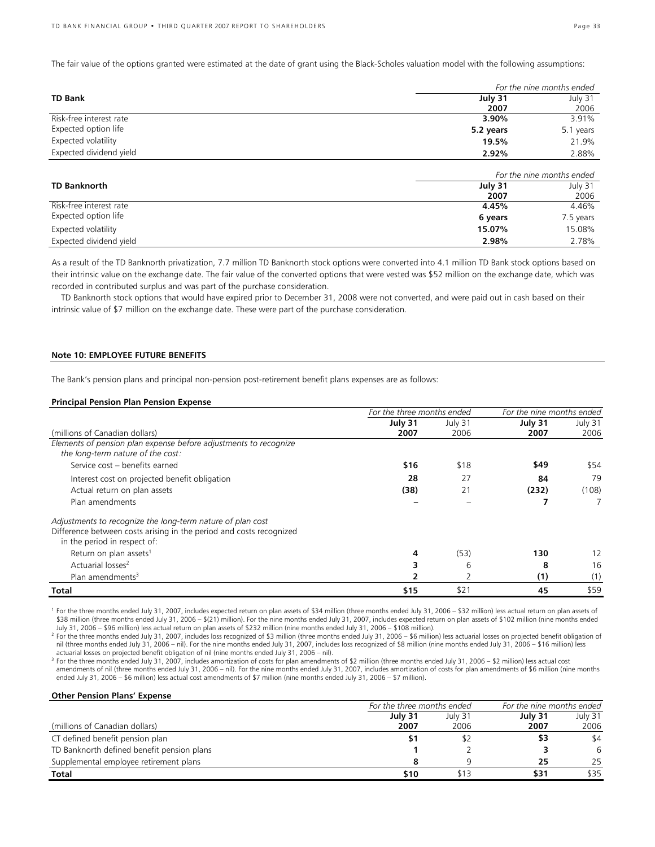The fair value of the options granted were estimated at the date of grant using the Black-Scholes valuation model with the following assumptions:

|                         | For the nine months ended |                           |  |  |
|-------------------------|---------------------------|---------------------------|--|--|
| <b>TD Bank</b>          | July 31                   | July 31                   |  |  |
|                         | 2007                      | 2006                      |  |  |
| Risk-free interest rate | 3.90%                     | 3.91%                     |  |  |
| Expected option life    | 5.2 years                 | 5.1 years                 |  |  |
| Expected volatility     | 19.5%                     | 21.9%                     |  |  |
| Expected dividend yield | 2.92%                     | 2.88%                     |  |  |
|                         |                           | For the nine months ended |  |  |

|                         |         | <u>For the nine months ended </u> |
|-------------------------|---------|-----------------------------------|
| <b>TD Banknorth</b>     | July 31 | July 31                           |
|                         | 2007    | 2006                              |
| Risk-free interest rate | 4.45%   | 4.46%                             |
| Expected option life    | 6 years | 7.5 years                         |
| Expected volatility     | 15.07%  | 15.08%                            |
| Expected dividend yield | 2.98%   | 2.78%                             |

As a result of the TD Banknorth privatization, 7.7 million TD Banknorth stock options were converted into 4.1 million TD Bank stock options based on their intrinsic value on the exchange date. The fair value of the converted options that were vested was \$52 million on the exchange date, which was recorded in contributed surplus and was part of the purchase consideration.

TD Banknorth stock options that would have expired prior to December 31, 2008 were not converted, and were paid out in cash based on their intrinsic value of \$7 million on the exchange date. These were part of the purchase consideration.

#### **Note 10: EMPLOYEE FUTURE BENEFITS**

The Bank's pension plans and principal non-pension post-retirement benefit plans expenses are as follows:

#### **Principal Pension Plan Pension Expense**

|                                                                     | For the three months ended |         | For the nine months ended |         |
|---------------------------------------------------------------------|----------------------------|---------|---------------------------|---------|
|                                                                     | July 31                    | July 31 | July 31                   | July 31 |
| (millions of Canadian dollars)                                      | 2007                       | 2006    | 2007                      | 2006    |
| Elements of pension plan expense before adjustments to recognize    |                            |         |                           |         |
| the long-term nature of the cost:                                   |                            |         |                           |         |
| Service cost - benefits earned                                      | \$16                       | \$18    | \$49                      | \$54    |
| Interest cost on projected benefit obligation                       | 28                         | 27      | 84                        | 79      |
| Actual return on plan assets                                        | (38)                       | 21      | (232)                     | (108)   |
| Plan amendments                                                     |                            |         |                           |         |
| Adjustments to recognize the long-term nature of plan cost          |                            |         |                           |         |
| Difference between costs arising in the period and costs recognized |                            |         |                           |         |
| in the period in respect of:                                        |                            |         |                           |         |
| Return on plan assets <sup>1</sup>                                  | 4                          | (53)    | 130                       | 12      |
| Actuarial losses <sup>2</sup>                                       |                            | 6       | 8                         | 16      |
| Plan amendments <sup>3</sup>                                        |                            |         | (1)                       | (1)     |
| Total                                                               | \$15                       | \$21    | 45                        | \$59    |

<sup>1</sup> For the three months ended July 31, 2007, includes expected return on plan assets of \$34 million (three months ended July 31, 2006 – \$32 million) less actual return on plan assets of \$38 million (three months ended July 31, 2006 – \$(21) million). For the nine months ended July 31, 2007, includes expected return on plan assets of \$102 million (nine months ended July 31, 2006 – \$96 million) less actual return on plan assets of \$232 million (nine months ended July 31, 2006 – \$108 million). 2

<sup>2</sup> For the three months ended July 31, 2007, includes loss recognized of \$3 million (three months ended July 31, 2006 – \$6 million) less actuarial losses on projected benefit obligation of nil (three months ended July 31, 2006 – nil). For the nine months ended July 31, 2007, includes loss recognized of \$8 million (nine months ended July 31, 2006 – \$16 million) less actuarial losses on projected benefit obligation of nil (nine months ended July 31, 2006 – nil).

<sup>3</sup> For the three months ended July 31, 2007, includes amortization of costs for plan amendments of \$2 million (three months ended July 31, 2006 – \$2 million) less actual cost amendments of nil (three months ended July 31, 2006 – nil). For the nine months ended July 31, 2007, includes amortization of costs for plan amendments of \$6 million (nine months ended July 31, 2006 – \$6 million) less actual cost amendments of \$7 million (nine months ended July 31, 2006 – \$7 million).

#### **Other Pension Plans' Expense**

|                                            | For the three months ended |         | For the nine months ended |         |
|--------------------------------------------|----------------------------|---------|---------------------------|---------|
|                                            | July 31                    | July 31 | July 31                   | July 31 |
| (millions of Canadian dollars)             | 2007                       | 2006    | 2007                      | 2006    |
| CT defined benefit pension plan            |                            |         | \$3                       | \$4     |
| TD Banknorth defined benefit pension plans |                            |         |                           | 6       |
| Supplemental employee retirement plans     |                            |         | 25                        | 25      |
| Total                                      | \$10                       | \$13    | \$31                      | \$35    |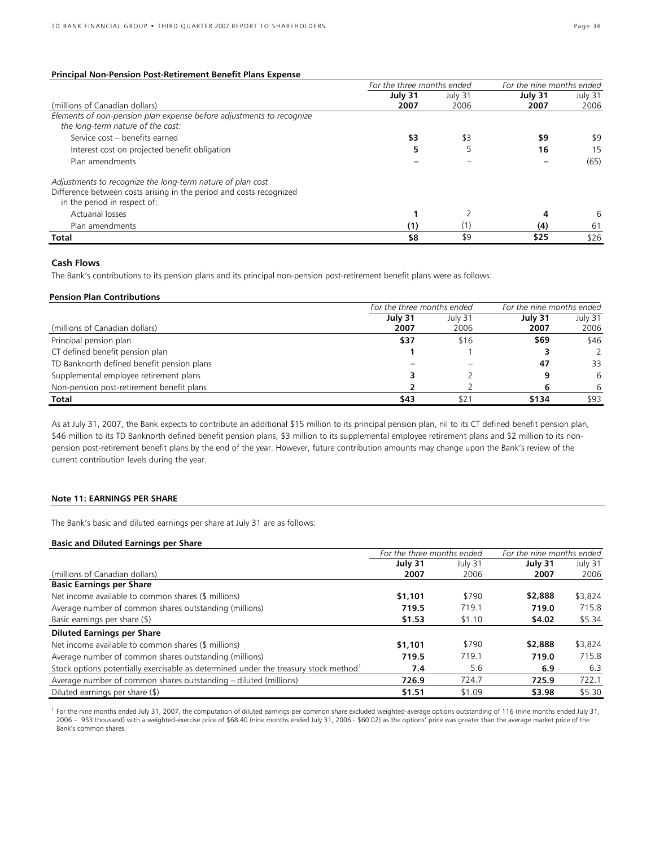### **Principal Non-Pension Post-Retirement Benefit Plans Expense**

|                                                                                                           | For the three months ended |         | For the nine months ended |         |  |
|-----------------------------------------------------------------------------------------------------------|----------------------------|---------|---------------------------|---------|--|
|                                                                                                           | July 31                    | July 31 | July 31                   | July 31 |  |
| (millions of Canadian dollars)                                                                            | 2007                       | 2006    | 2007                      | 2006    |  |
| Elements of non-pension plan expense before adjustments to recognize<br>the long-term nature of the cost: |                            |         |                           |         |  |
| Service cost - benefits earned                                                                            | \$3                        | \$3     | \$9                       | \$9     |  |
| Interest cost on projected benefit obligation                                                             |                            |         | 16                        | 15      |  |
| Plan amendments                                                                                           |                            |         |                           | (65)    |  |
| Adjustments to recognize the long-term nature of plan cost                                                |                            |         |                           |         |  |
| Difference between costs arising in the period and costs recognized                                       |                            |         |                           |         |  |
| in the period in respect of:                                                                              |                            |         |                           |         |  |
| <b>Actuarial losses</b>                                                                                   |                            |         |                           | 6       |  |
| Plan amendments                                                                                           | (1)                        | (11     | (4)                       | 61      |  |
| <b>Total</b>                                                                                              | \$8                        | \$9     | \$25                      | \$26    |  |

### **Cash Flows**

The Bank's contributions to its pension plans and its principal non-pension post-retirement benefit plans were as follows:

#### **Pension Plan Contributions**

|                                            | For the three months ended | For the nine months ended |         |               |
|--------------------------------------------|----------------------------|---------------------------|---------|---------------|
|                                            | July 31                    | July 31                   | July 31 | July 31       |
| (millions of Canadian dollars)             | 2007                       | 2006                      | 2007    | 2006          |
| Principal pension plan                     | \$37                       | \$16                      | \$69    | \$46          |
| CT defined benefit pension plan            |                            |                           |         | $\mathcal{L}$ |
| TD Banknorth defined benefit pension plans |                            |                           | 47      | 33            |
| Supplemental employee retirement plans     |                            |                           |         | 6             |
| Non-pension post-retirement benefit plans  |                            |                           |         | 6             |
| Total                                      | \$43                       | \$21                      | \$134   | \$93          |

As at July 31, 2007, the Bank expects to contribute an additional \$15 million to its principal pension plan, nil to its CT defined benefit pension plan, \$46 million to its TD Banknorth defined benefit pension plans, \$3 million to its supplemental employee retirement plans and \$2 million to its nonpension post-retirement benefit plans by the end of the year. However, future contribution amounts may change upon the Bank's review of the current contribution levels during the year.

### **Note 11: EARNINGS PER SHARE**

The Bank's basic and diluted earnings per share at July 31 are as follows:

#### **Basic and Diluted Earnings per Share**

|                                                                                                  | For the three months ended |         | For the nine months ended |         |  |  |
|--------------------------------------------------------------------------------------------------|----------------------------|---------|---------------------------|---------|--|--|
|                                                                                                  | July 31                    | July 31 | July 31                   | July 31 |  |  |
| (millions of Canadian dollars)                                                                   | 2007                       | 2006    | 2007                      | 2006    |  |  |
| <b>Basic Earnings per Share</b>                                                                  |                            |         |                           |         |  |  |
| Net income available to common shares (\$ millions)                                              | \$1,101                    | \$790   | \$2,888                   | \$3,824 |  |  |
| Average number of common shares outstanding (millions)                                           | 719.5                      | 719.1   | 719.0                     | 715.8   |  |  |
| Basic earnings per share $(\$)$                                                                  | \$1.53                     | \$1.10  | \$4.02                    | \$5.34  |  |  |
| <b>Diluted Earnings per Share</b>                                                                |                            |         |                           |         |  |  |
| Net income available to common shares (\$ millions)                                              | \$1,101                    | \$790   | \$2,888                   | \$3,824 |  |  |
| Average number of common shares outstanding (millions)                                           | 719.5                      | 719.1   | 719.0                     | 715.8   |  |  |
| Stock options potentially exercisable as determined under the treasury stock method <sup>1</sup> | 7.4                        | 5.6     | 6.9                       | 6.3     |  |  |
| Average number of common shares outstanding – diluted (millions)                                 | 726.9                      | 724.7   | 725.9                     | 722.1   |  |  |
| Diluted earnings per share (\$)                                                                  | \$1.51                     | \$1.09  | \$3.98                    | \$5.30  |  |  |

<sup>1</sup> For the nine months ended July 31, 2007, the computation of diluted earnings per common share excluded weighted-average options outstanding of 116 (nine months ended July 31, 2006 – 953 thousand) with a weighted-exercise price of \$68.40 (nine months ended July 31, 2006 - \$60.02) as the options' price was greater than the average market price of the Bank's common shares.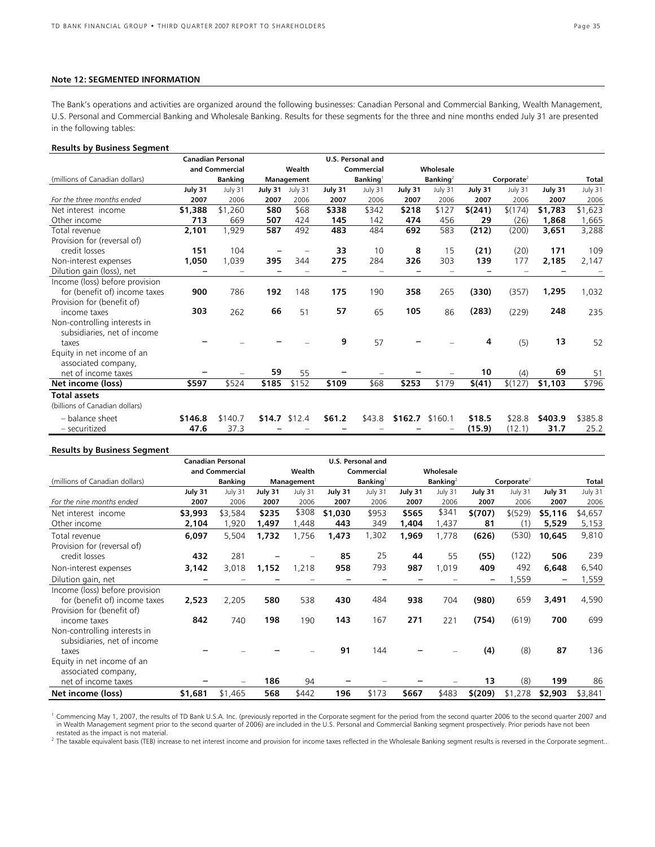### **Note 12: SEGMENTED INFORMATION**

The Bank's operations and activities are organized around the following businesses: Canadian Personal and Commercial Banking, Wealth Management, U.S. Personal and Commercial Banking and Wholesale Banking. Results for these segments for the three and nine months ended July 31 are presented in the following tables:

#### **Results by Business Segment**

|                                |         | <b>Canadian Personal</b> |         |            |         | U.S. Personal and    |         |             |         |                        |         |         |
|--------------------------------|---------|--------------------------|---------|------------|---------|----------------------|---------|-------------|---------|------------------------|---------|---------|
|                                |         | and Commercial           |         | Wealth     |         | Commercial           |         | Wholesale   |         |                        |         |         |
| (millions of Canadian dollars) |         | <b>Banking</b>           |         | Management |         | $\mathsf{Banking}^1$ |         | Banking $2$ |         | Corporate <sup>2</sup> |         | Total   |
|                                | July 31 | July 31                  | July 31 | July 31    | July 31 | July 31              | July 31 | July 31     | July 31 | July 31                | July 31 | July 31 |
| For the three months ended     | 2007    | 2006                     | 2007    | 2006       | 2007    | 2006                 | 2007    | 2006        | 2007    | 2006                   | 2007    | 2006    |
| Net interest income            | \$1,388 | \$1,260                  | \$80    | \$68       | \$338   | \$342                | \$218   | \$127       | \$(241) | \$(174)                | \$1,783 | \$1,623 |
| Other income                   | 713     | 669                      | 507     | 424        | 145     | 142                  | 474     | 456         | 29      | (26)                   | 1,868   | 1,665   |
| Total revenue                  | 2,101   | 1,929                    | 587     | 492        | 483     | 484                  | 692     | 583         | (212)   | (200)                  | 3,651   | 3,288   |
| Provision for (reversal of)    |         |                          |         |            |         |                      |         |             |         |                        |         |         |
| credit losses                  | 151     | 104                      |         |            | 33      | 10                   | 8       | 15          | (21)    | (20)                   | 171     | 109     |
| Non-interest expenses          | 1,050   | 1,039                    | 395     | 344        | 275     | 284                  | 326     | 303         | 139     | 177                    | 2,185   | 2,147   |
| Dilution gain (loss), net      |         |                          |         |            |         |                      |         |             |         |                        |         |         |
| Income (loss) before provision |         |                          |         |            |         |                      |         |             |         |                        |         |         |
| for (benefit of) income taxes  | 900     | 786                      | 192     | 148        | 175     | 190                  | 358     | 265         | (330)   | (357)                  | 1,295   | 1,032   |
| Provision for (benefit of)     |         |                          |         |            |         |                      |         |             |         |                        |         |         |
| income taxes                   | 303     | 262                      | 66      | 51         | 57      | 65                   | 105     | 86          | (283)   | (229)                  | 248     | 235     |
| Non-controlling interests in   |         |                          |         |            |         |                      |         |             |         |                        |         |         |
| subsidiaries, net of income    |         |                          |         |            |         |                      |         |             |         |                        |         |         |
| taxes                          |         |                          |         |            | 9       | 57                   |         |             | 4       | (5)                    | 13      | 52      |
| Equity in net income of an     |         |                          |         |            |         |                      |         |             |         |                        |         |         |
| associated company,            |         |                          |         |            |         |                      |         |             |         |                        |         |         |
| net of income taxes            |         |                          | 59      | 55         |         |                      |         |             | 10      | (4)                    | 69      | 51      |
| Net income (loss)              | \$597   | \$524                    | \$185   | \$152      | \$109   | \$68                 | \$253   | \$179       | \$(41)  | \$(127)                | \$1,103 | \$796   |
| <b>Total assets</b>            |         |                          |         |            |         |                      |         |             |         |                        |         |         |
| (billions of Canadian dollars) |         |                          |         |            |         |                      |         |             |         |                        |         |         |
| - balance sheet                | \$146.8 | \$140.7                  | \$14.7  | \$12.4     | \$61.2  | \$43.8               | \$162.7 | \$160.1     | \$18.5  | \$28.8                 | \$403.9 | \$385.8 |
| - securitized                  | 47.6    | 37.3                     |         |            |         |                      |         |             | (15.9)  | (12.1)                 | 31.7    | 25.2    |

#### **Results by Business Segment**

|                                                                 |         | <b>Canadian Personal</b> |         |            |         | U.S. Personal and    |         |             |         |               |         |         |
|-----------------------------------------------------------------|---------|--------------------------|---------|------------|---------|----------------------|---------|-------------|---------|---------------|---------|---------|
|                                                                 |         | and Commercial           |         | Wealth     |         | Commercial           |         | Wholesale   |         |               |         |         |
| (millions of Canadian dollars)                                  |         | <b>Banking</b>           |         | Management |         | Banking <sup>1</sup> |         | Banking $2$ |         | Corporate $2$ |         | Total   |
|                                                                 | July 31 | July 31                  | July 31 | July 31    | July 31 | July 31              | July 31 | July 31     | July 31 | July 31       | July 31 | July 31 |
| For the nine months ended                                       | 2007    | 2006                     | 2007    | 2006       | 2007    | 2006                 | 2007    | 2006        | 2007    | 2006          | 2007    | 2006    |
| Net interest income                                             | \$3,993 | \$3,584                  | \$235   | \$308      | \$1,030 | \$953                | \$565   | \$341       | \$(707) | \$ (529)      | \$5,116 | \$4,657 |
| Other income                                                    | 2,104   | 1,920                    | 1,497   | 1,448      | 443     | 349                  | 1,404   | 1,437       | 81      | (1)           | 5,529   | 5,153   |
| Total revenue<br>Provision for (reversal of)                    | 6,097   | 5,504                    | 1,732   | 1,756      | 1,473   | 1,302                | 1,969   | 1,778       | (626)   | (530)         | 10,645  | 9,810   |
| credit losses                                                   | 432     | 281                      |         |            | 85      | 25                   | 44      | 55          | (55)    | (122)         | 506     | 239     |
| Non-interest expenses                                           | 3,142   | 3,018                    | 1,152   | 1,218      | 958     | 793                  | 987     | 1,019       | 409     | 492           | 6,648   | 6,540   |
| Dilution gain, net                                              |         |                          |         |            |         |                      |         |             | -       | 1,559         |         | 1,559   |
| Income (loss) before provision<br>for (benefit of) income taxes | 2,523   | 2,205                    | 580     | 538        | 430     | 484                  | 938     | 704         | (980)   | 659           | 3,491   | 4,590   |
| Provision for (benefit of)<br>income taxes                      | 842     | 740                      | 198     | 190        | 143     | 167                  | 271     | 221         | (754)   | (619)         | 700     | 699     |
| Non-controlling interests in<br>subsidiaries, net of income     |         |                          |         |            |         |                      |         |             |         |               |         |         |
| taxes                                                           |         |                          |         |            | 91      | 144                  |         |             | (4)     | (8)           | 87      | 136     |
| Equity in net income of an<br>associated company,               |         |                          |         |            |         |                      |         |             |         |               |         |         |
| net of income taxes                                             |         |                          | 186     | 94         |         |                      |         |             | 13      | (8)           | 199     | 86      |
| Net income (loss)                                               | \$1,681 | \$1,465                  | 568     | \$442      | 196     | \$173                | \$667   | \$483       | \$(209) | \$1,278       | \$2,903 | \$3,841 |

1 Commencing May 1, 2007, the results of TD Bank U.S.A. Inc. (previously reported in the Corporate segment for the period from the second quarter 2006 to the second quarter 2007 and in Wealth Management segment prior to the second quarter of 2006) are included in the U.S. Personal and Commercial Banking segment prospectively. Prior periods have not been restated as the impact is not material.

2 The taxable equivalent basis (TEB) increase to net interest income and provision for income taxes reflected in the Wholesale Banking segment results is reversed in the Corporate segment..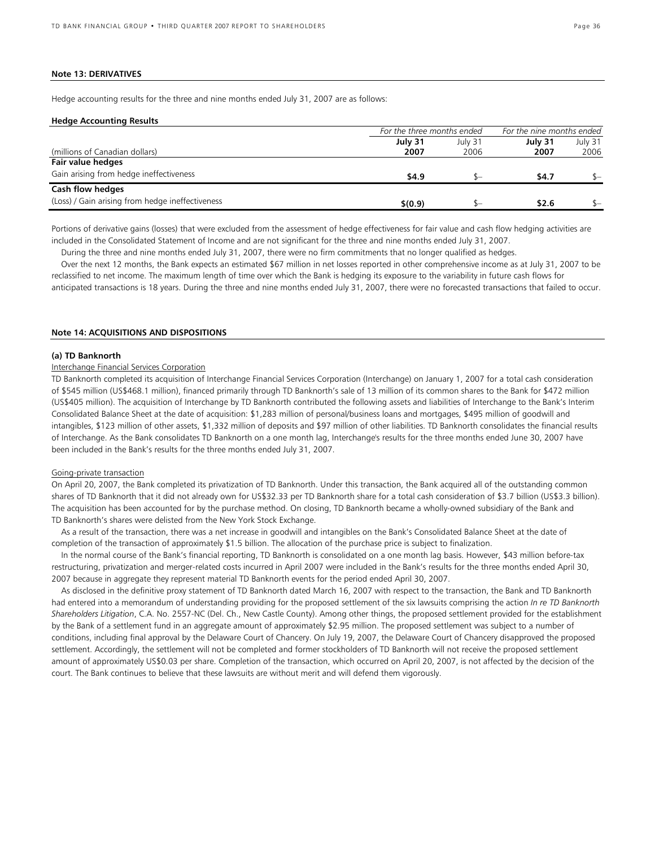#### **Note 13: DERIVATIVES**

Hedge accounting results for the three and nine months ended July 31, 2007 are as follows:

#### **Hedge Accounting Results**

|                                                  | For the three months ended | For the nine months ended |                 |                 |  |
|--------------------------------------------------|----------------------------|---------------------------|-----------------|-----------------|--|
| (millions of Canadian dollars)                   | July 31<br>2007            | July 31<br>2006           | July 31<br>2007 | July 31<br>2006 |  |
| Fair value hedges                                |                            |                           |                 |                 |  |
| Gain arising from hedge ineffectiveness          | \$4.9                      |                           | \$4.7           | \$—             |  |
| Cash flow hedges                                 |                            |                           |                 |                 |  |
| (Loss) / Gain arising from hedge ineffectiveness | \$(0.9)                    |                           | \$2.6           | $S-$            |  |

Portions of derivative gains (losses) that were excluded from the assessment of hedge effectiveness for fair value and cash flow hedging activities are included in the Consolidated Statement of Income and are not significant for the three and nine months ended July 31, 2007.

During the three and nine months ended July 31, 2007, there were no firm commitments that no longer qualified as hedges.

Over the next 12 months, the Bank expects an estimated \$67 million in net losses reported in other comprehensive income as at July 31, 2007 to be reclassified to net income. The maximum length of time over which the Bank is hedging its exposure to the variability in future cash flows for anticipated transactions is 18 years. During the three and nine months ended July 31, 2007, there were no forecasted transactions that failed to occur.

#### **Note 14: ACQUISITIONS AND DISPOSITIONS**

#### **(a) TD Banknorth**

#### Interchange Financial Services Corporation

TD Banknorth completed its acquisition of Interchange Financial Services Corporation (Interchange) on January 1, 2007 for a total cash consideration of \$545 million (US\$468.1 million), financed primarily through TD Banknorth's sale of 13 million of its common shares to the Bank for \$472 million (US\$405 million). The acquisition of Interchange by TD Banknorth contributed the following assets and liabilities of Interchange to the Bank's Interim Consolidated Balance Sheet at the date of acquisition: \$1,283 million of personal/business loans and mortgages, \$495 million of goodwill and intangibles, \$123 million of other assets, \$1,332 million of deposits and \$97 million of other liabilities. TD Banknorth consolidates the financial results of Interchange. As the Bank consolidates TD Banknorth on a one month lag, Interchange's results for the three months ended June 30, 2007 have been included in the Bank's results for the three months ended July 31, 2007.

#### Going-private transaction

On April 20, 2007, the Bank completed its privatization of TD Banknorth. Under this transaction, the Bank acquired all of the outstanding common shares of TD Banknorth that it did not already own for US\$32.33 per TD Banknorth share for a total cash consideration of \$3.7 billion (US\$3.3 billion). The acquisition has been accounted for by the purchase method. On closing, TD Banknorth became a wholly-owned subsidiary of the Bank and TD Banknorth's shares were delisted from the New York Stock Exchange.

As a result of the transaction, there was a net increase in goodwill and intangibles on the Bank's Consolidated Balance Sheet at the date of completion of the transaction of approximately \$1.5 billion. The allocation of the purchase price is subject to finalization.

In the normal course of the Bank's financial reporting, TD Banknorth is consolidated on a one month lag basis. However, \$43 million before-tax restructuring, privatization and merger-related costs incurred in April 2007 were included in the Bank's results for the three months ended April 30, 2007 because in aggregate they represent material TD Banknorth events for the period ended April 30, 2007.

As disclosed in the definitive proxy statement of TD Banknorth dated March 16, 2007 with respect to the transaction, the Bank and TD Banknorth had entered into a memorandum of understanding providing for the proposed settlement of the six lawsuits comprising the action *In re TD Banknorth Shareholders Litigation*, C.A. No. 2557-NC (Del. Ch., New Castle County). Among other things, the proposed settlement provided for the establishment by the Bank of a settlement fund in an aggregate amount of approximately \$2.95 million. The proposed settlement was subject to a number of conditions, including final approval by the Delaware Court of Chancery. On July 19, 2007, the Delaware Court of Chancery disapproved the proposed settlement. Accordingly, the settlement will not be completed and former stockholders of TD Banknorth will not receive the proposed settlement amount of approximately US\$0.03 per share. Completion of the transaction, which occurred on April 20, 2007, is not affected by the decision of the court. The Bank continues to believe that these lawsuits are without merit and will defend them vigorously.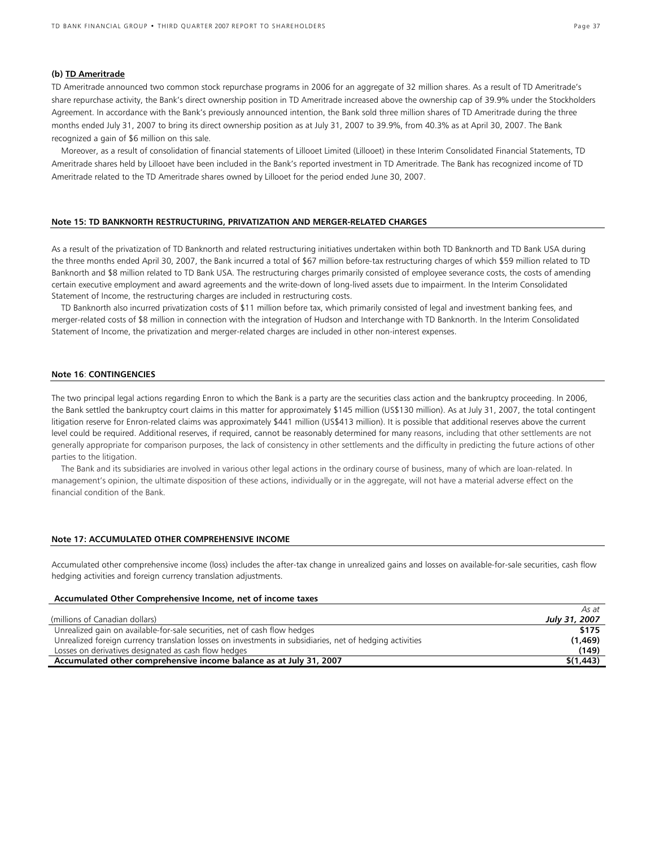### **(b) TD Ameritrade**

TD Ameritrade announced two common stock repurchase programs in 2006 for an aggregate of 32 million shares. As a result of TD Ameritrade's share repurchase activity, the Bank's direct ownership position in TD Ameritrade increased above the ownership cap of 39.9% under the Stockholders Agreement. In accordance with the Bank's previously announced intention, the Bank sold three million shares of TD Ameritrade during the three months ended July 31, 2007 to bring its direct ownership position as at July 31, 2007 to 39.9%, from 40.3% as at April 30, 2007. The Bank recognized a gain of \$6 million on this sale.

Moreover, as a result of consolidation of financial statements of Lillooet Limited (Lillooet) in these Interim Consolidated Financial Statements, TD Ameritrade shares held by Lillooet have been included in the Bank's reported investment in TD Ameritrade. The Bank has recognized income of TD Ameritrade related to the TD Ameritrade shares owned by Lillooet for the period ended June 30, 2007.

#### **Note 15: TD BANKNORTH RESTRUCTURING, PRIVATIZATION AND MERGER-RELATED CHARGES**

As a result of the privatization of TD Banknorth and related restructuring initiatives undertaken within both TD Banknorth and TD Bank USA during the three months ended April 30, 2007, the Bank incurred a total of \$67 million before-tax restructuring charges of which \$59 million related to TD Banknorth and \$8 million related to TD Bank USA. The restructuring charges primarily consisted of employee severance costs, the costs of amending certain executive employment and award agreements and the write-down of long-lived assets due to impairment. In the Interim Consolidated Statement of Income, the restructuring charges are included in restructuring costs.

TD Banknorth also incurred privatization costs of \$11 million before tax, which primarily consisted of legal and investment banking fees, and merger-related costs of \$8 million in connection with the integration of Hudson and Interchange with TD Banknorth. In the Interim Consolidated Statement of Income, the privatization and merger-related charges are included in other non-interest expenses.

#### **Note 16**: **CONTINGENCIES**

The two principal legal actions regarding Enron to which the Bank is a party are the securities class action and the bankruptcy proceeding. In 2006, the Bank settled the bankruptcy court claims in this matter for approximately \$145 million (US\$130 million). As at July 31, 2007, the total contingent litigation reserve for Enron-related claims was approximately \$441 million (US\$413 million). It is possible that additional reserves above the current level could be required. Additional reserves, if required, cannot be reasonably determined for many reasons, including that other settlements are not generally appropriate for comparison purposes, the lack of consistency in other settlements and the difficulty in predicting the future actions of other parties to the litigation.

The Bank and its subsidiaries are involved in various other legal actions in the ordinary course of business, many of which are loan-related. In management's opinion, the ultimate disposition of these actions, individually or in the aggregate, will not have a material adverse effect on the financial condition of the Bank.

#### **Note 17: ACCUMULATED OTHER COMPREHENSIVE INCOME**

Accumulated other comprehensive income (loss) includes the after-tax change in unrealized gains and losses on available-for-sale securities, cash flow hedging activities and foreign currency translation adjustments.

#### **Accumulated Other Comprehensive Income, net of income taxes**

|                                                                                                          | As at         |
|----------------------------------------------------------------------------------------------------------|---------------|
| (millions of Canadian dollars)                                                                           | July 31, 2007 |
| Unrealized gain on available-for-sale securities, net of cash flow hedges                                | \$175         |
| Unrealized foreign currency translation losses on investments in subsidiaries, net of hedging activities | (1,469)       |
| Losses on derivatives designated as cash flow hedges                                                     | (149)         |
| Accumulated other comprehensive income balance as at July 31, 2007                                       | \$(1, 443)    |